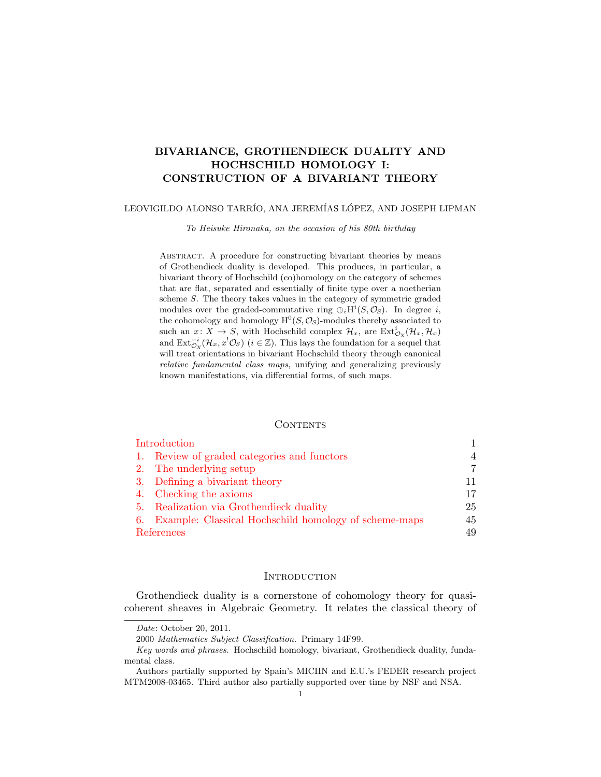# BIVARIANCE, GROTHENDIECK DUALITY AND HOCHSCHILD HOMOLOGY I: CONSTRUCTION OF A BIVARIANT THEORY

## LEOVIGILDO ALONSO TARRÍO, ANA JEREMÍAS LÓPEZ, AND JOSEPH LIPMAN

To Heisuke Hironaka, on the occasion of his 80th birthday

ABSTRACT. A procedure for constructing bivariant theories by means of Grothendieck duality is developed. This produces, in particular, a bivariant theory of Hochschild (co)homology on the category of schemes that are flat, separated and essentially of finite type over a noetherian scheme S. The theory takes values in the category of symmetric graded modules over the graded-commutative ring  $\oplus_i H^i(S, \mathcal{O}_S)$ . In degree i, the cohomology and homology  $H^0(S, \mathcal{O}_S)$ -modules thereby associated to such an  $x: X \to S$ , with Hochschild complex  $\mathcal{H}_x$ , are  $\text{Ext}^i_{\mathcal{O}_X}(\mathcal{H}_x, \mathcal{H}_x)$ and  $\text{Ext}_{\mathcal{O}_X}^{-i}(\mathcal{H}_x, x^!\mathcal{O}_S)$   $(i \in \mathbb{Z})$ . This lays the foundation for a sequel that will treat orientations in bivariant Hochschild theory through canonical relative fundamental class maps, unifying and generalizing previously known manifestations, via differential forms, of such maps.

#### **CONTENTS**

| Introduction |                                                          |    |
|--------------|----------------------------------------------------------|----|
|              | 1. Review of graded categories and functors              | 4  |
|              | 2. The underlying setup                                  |    |
|              | 3. Defining a bivariant theory                           |    |
|              | 4. Checking the axioms                                   | 17 |
|              | 5. Realization via Grothendieck duality                  | 25 |
|              | 6. Example: Classical Hochschild homology of scheme-maps | 45 |
| References   |                                                          | 49 |

## **INTRODUCTION**

<span id="page-0-0"></span>Grothendieck duality is a cornerstone of cohomology theory for quasicoherent sheaves in Algebraic Geometry. It relates the classical theory of

Date: October 20, 2011.

<sup>2000</sup> Mathematics Subject Classification. Primary 14F99.

Key words and phrases. Hochschild homology, bivariant, Grothendieck duality, fundamental class.

Authors partially supported by Spain's MICIIN and E.U.'s FEDER research project MTM2008-03465. Third author also partially supported over time by NSF and NSA.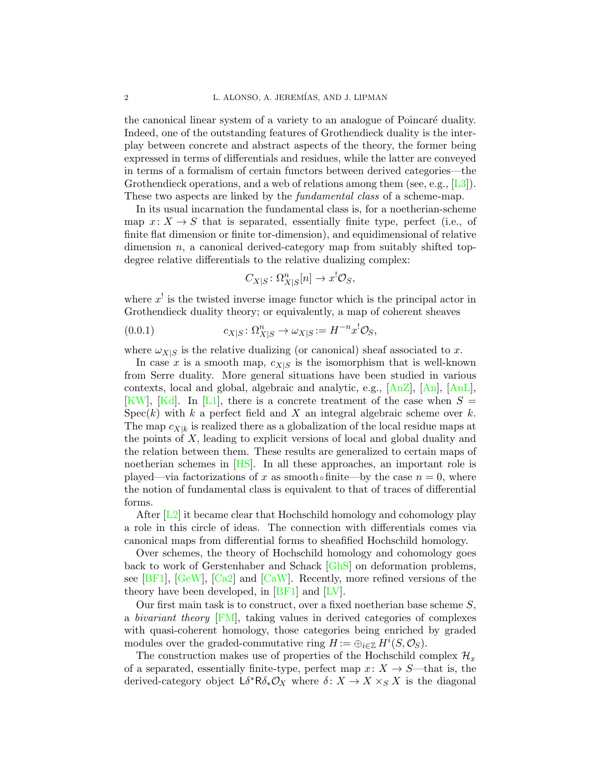the canonical linear system of a variety to an analogue of Poincaré duality. Indeed, one of the outstanding features of Grothendieck duality is the interplay between concrete and abstract aspects of the theory, the former being expressed in terms of differentials and residues, while the latter are conveyed in terms of a formalism of certain functors between derived categories—the Grothendieck operations, and a web of relations among them (see, e.g.,  $[L3]$ ). These two aspects are linked by the *fundamental class* of a scheme-map.

In its usual incarnation the fundamental class is, for a noetherian-scheme map  $x: X \to S$  that is separated, essentially finite type, perfect (i.e., of finite flat dimension or finite tor-dimension), and equidimensional of relative dimension  $n$ , a canonical derived-category map from suitably shifted topdegree relative differentials to the relative dualizing complex:

<span id="page-1-0"></span>
$$
C_{X|S} \colon \Omega_{X|S}^n[n] \to x^! \mathcal{O}_S,
$$

where  $x^{\dagger}$  is the twisted inverse image functor which is the principal actor in Grothendieck duality theory; or equivalently, a map of coherent sheaves

$$
(0.0.1) \t\t\t c_{X|S} \colon \Omega_{X|S}^n \to \omega_{X|S} := H^{-n}x^!\mathcal{O}_S,
$$

where  $\omega_{X|S}$  is the relative dualizing (or canonical) sheaf associated to x.

In case x is a smooth map,  $c_{X|S}$  is the isomorphism that is well-known from Serre duality. More general situations have been studied in various contexts, local and global, algebraic and analytic, e.g., [\[AnZ\]](#page-48-2), [\[An\]](#page-48-3), [\[AnL\]](#page-48-4), [\[KW\]](#page-48-5), [\[Kd\]](#page-48-6). In [\[L1\]](#page-48-7), there is a concrete treatment of the case when  $S =$  $Spec(k)$  with k a perfect field and X an integral algebraic scheme over k. The map  $c_{X|k}$  is realized there as a globalization of the local residue maps at the points of  $X$ , leading to explicit versions of local and global duality and the relation between them. These results are generalized to certain maps of noetherian schemes in [\[HS\]](#page-48-8). In all these approaches, an important role is played—via factorizations of x as smooth∘finite—by the case  $n = 0$ , where the notion of fundamental class is equivalent to that of traces of differential forms.

After  $[L2]$  it became clear that Hochschild homology and cohomology play a role in this circle of ideas. The connection with differentials comes via canonical maps from differential forms to sheafified Hochschild homology.

Over schemes, the theory of Hochschild homology and cohomology goes back to work of Gerstenhaber and Schack [\[GhS\]](#page-48-10) on deformation problems, see  $[BF1]$ ,  $[GeV]$ ,  $[Ca2]$  and  $[CaW]$ . Recently, more refined versions of the theory have been developed, in [\[BF1\]](#page-48-11) and [\[LV\]](#page-49-0).

Our first main task is to construct, over a fixed noetherian base scheme  $S$ , a bivariant theory [\[FM\]](#page-48-15), taking values in derived categories of complexes with quasi-coherent homology, those categories being enriched by graded modules over the graded-commutative ring  $H := \bigoplus_{i \in \mathbb{Z}} H^i(S, \mathcal{O}_S)$ .

The construction makes use of properties of the Hochschild complex  $\mathcal{H}_x$ of a separated, essentially finite-type, perfect map  $x: X \to S$ —that is, the derived-category object  $L \delta^* \mathsf{R} \delta_* \mathcal{O}_X$  where  $\delta: X \to X \times_S X$  is the diagonal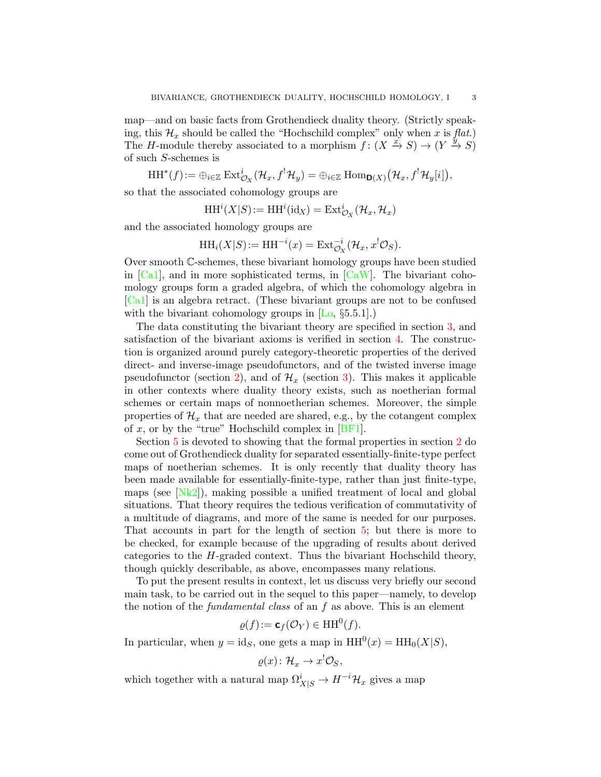map—and on basic facts from Grothendieck duality theory. (Strictly speaking, this  $\mathcal{H}_x$  should be called the "Hochschild complex" only when x is flat.) The H-module thereby associated to a morphism  $f: (X \xrightarrow{x} S) \rightarrow (Y \xrightarrow{y} S)$ of such S-schemes is

 $\mathrm{HH}^*(f):=\oplus_{i\in\mathbb{Z}}\,\mathrm{Ext}^i_{\mathcal{O}_X}(\mathcal{H}_x,f^{!}\mathcal{H}_y)=\oplus_{i\in\mathbb{Z}}\,\mathrm{Hom}_{\mathbf{D}(X)}\big(\mathcal{H}_x,f^{!}\mathcal{H}_y[i]\big),$ 

so that the associated cohomology groups are

 $HH^{i}(X|S) := HH^{i}(\text{id}_X) = \text{Ext}^{i}_{\mathcal{O}_X}(\mathcal{H}_x, \mathcal{H}_x)$ 

and the associated homology groups are

$$
\mathrm{HH}_i(X|S) := \mathrm{HH}^{-i}(x) = \mathrm{Ext}^{-i}_{\mathcal{O}_X}(\mathcal{H}_x, x^!\mathcal{O}_S).
$$

Over smooth C-schemes, these bivariant homology groups have been studied in  $[Ca1]$ , and in more sophisticated terms, in  $[CaW]$ . The bivariant cohomology groups form a graded algebra, of which the cohomology algebra in [\[Ca1\]](#page-48-16) is an algebra retract. (These bivariant groups are not to be confused with the bivariant cohomology groups in  $[L_0, \S_5, 5.1]$ .

The data constituting the bivariant theory are specified in section [3,](#page-10-0) and satisfaction of the bivariant axioms is verified in section [4.](#page-16-0) The construction is organized around purely category-theoretic properties of the derived direct- and inverse-image pseudofunctors, and of the twisted inverse image pseudofunctor (section [2\)](#page-6-0), and of  $\mathcal{H}_x$  (section [3\)](#page-10-0). This makes it applicable in other contexts where duality theory exists, such as noetherian formal schemes or certain maps of nonnoetherian schemes. Moreover, the simple properties of  $\mathcal{H}_x$  that are needed are shared, e.g., by the cotangent complex of x, or by the "true" Hochschild complex in  $[BF1]$ .

Section [5](#page-24-0) is devoted to showing that the formal properties in section [2](#page-6-0) do come out of Grothendieck duality for separated essentially-finite-type perfect maps of noetherian schemes. It is only recently that duality theory has been made available for essentially-finite-type, rather than just finite-type, maps (see  $[Nk2]$ ), making possible a unified treatment of local and global situations. That theory requires the tedious verification of commutativity of a multitude of diagrams, and more of the same is needed for our purposes. That accounts in part for the length of section [5;](#page-24-0) but there is more to be checked, for example because of the upgrading of results about derived categories to the  $H$ -graded context. Thus the bivariant Hochschild theory, though quickly describable, as above, encompasses many relations.

To put the present results in context, let us discuss very briefly our second main task, to be carried out in the sequel to this paper—namely, to develop the notion of the *fundamental class* of an  $f$  as above. This is an element

$$
\varrho(f) := \mathbf{c}_f(\mathcal{O}_Y) \in \mathbf{HH}^0(f).
$$

In particular, when  $y = id_S$ , one gets a map in  $HH^0(x) = HH_0(X|S)$ ,

$$
\varrho(x)\colon \mathcal{H}_x\to x^!\mathcal{O}_S,
$$

which together with a natural map  $\Omega^i_{X|S} \to H^{-i} \mathcal{H}_x$  gives a map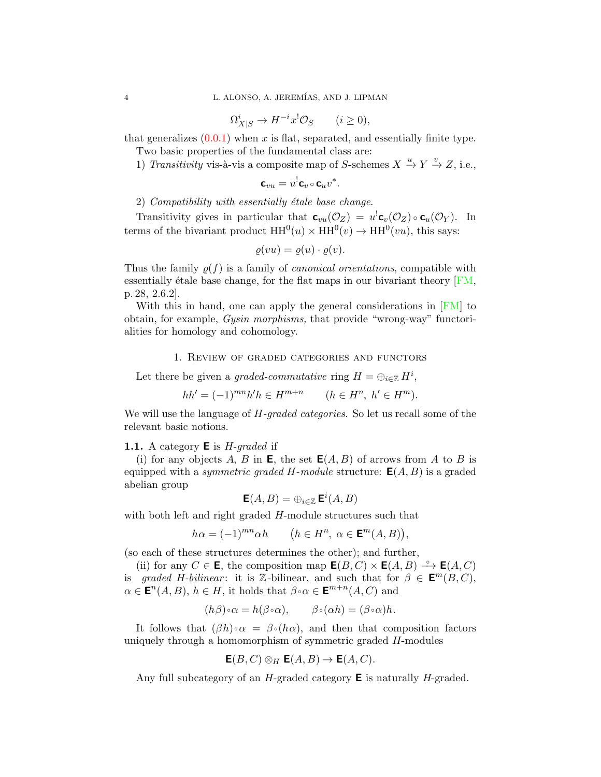$$
\Omega^i_{X|S} \to H^{-i}x^! \mathcal{O}_S \qquad (i \ge 0),
$$

that generalizes  $(0.0.1)$  when x is flat, separated, and essentially finite type.

Two basic properties of the fundamental class are:

1) Transitivity vis-à-vis a composite map of S-schemes  $X \stackrel{u}{\rightarrow} Y \stackrel{v}{\rightarrow} Z$ , i.e.,

$$
\mathbf{c}_{vu} = u^! \mathbf{c}_v \circ \mathbf{c}_u v^*.
$$

2) Compatibility with essentially étale base change.

Transitivity gives in particular that  $\mathbf{c}_{vu}(\mathcal{O}_Z) = u^! \mathbf{c}_v(\mathcal{O}_Z) \circ \mathbf{c}_u(\mathcal{O}_Y)$ . In terms of the bivariant product  $HH^0(u) \times HH^0(v) \rightarrow HH^0(vu)$ , this says:

$$
\varrho(vu) = \varrho(u) \cdot \varrho(v).
$$

Thus the family  $\rho(f)$  is a family of *canonical orientations*, compatible with essentially étale base change, for the flat maps in our bivariant theory  $[FM,$ p. 28, 2.6.2].

With this in hand, one can apply the general considerations in [\[FM\]](#page-48-15) to obtain, for example, Gysin morphisms, that provide "wrong-way" functorialities for homology and cohomology.

#### 1. Review of graded categories and functors

<span id="page-3-0"></span>Let there be given a graded-commutative ring  $H = \bigoplus_{i \in \mathbb{Z}} H^i$ ,

$$
hh' = (-1)^{mn}h'h \in H^{m+n} \qquad (h \in H^n, \ h' \in H^m).
$$

We will use the language of  $H$ -graded categories. So let us recall some of the relevant basic notions.

#### **1.1.** A category  $\bf{E}$  is *H*-graded if

(i) for any objects A, B in **E**, the set  $E(A, B)$  of arrows from A to B is equipped with a *symmetric graded H-module* structure:  $E(A, B)$  is a graded abelian group

$$
\mathsf{E}(A,B) = \oplus_{i \in \mathbb{Z}} \mathsf{E}^i(A,B)
$$

with both left and right graded H-module structures such that

$$
h\alpha = (-1)^{mn}\alpha h \qquad (h \in H^n, \ \alpha \in \mathbf{E}^m(A, B)),
$$

(so each of these structures determines the other); and further,

(ii) for any  $C \in \mathbf{E}$ , the composition map  $\mathbf{E}(B, C) \times \mathbf{E}(A, B) \stackrel{\circ}{\longrightarrow} \mathbf{E}(A, C)$ is graded H-bilinear: it is Z-bilinear, and such that for  $\beta \in \mathbf{E}^m(B,C)$ ,  $\alpha \in \mathbf{E}^n(A, B), h \in H$ , it holds that  $\beta \circ \alpha \in \mathbf{E}^{m+n}(A, C)$  and

$$
(h\beta)\circ\alpha = h(\beta\circ\alpha), \qquad \beta\circ(\alpha h) = (\beta\circ\alpha)h.
$$

It follows that  $(\beta h) \circ \alpha = \beta \circ (h\alpha)$ , and then that composition factors uniquely through a homomorphism of symmetric graded H-modules

$$
\mathsf{E}(B,C) \otimes_H \mathsf{E}(A,B) \to \mathsf{E}(A,C).
$$

Any full subcategory of an H-graded category  $\bf{E}$  is naturally H-graded.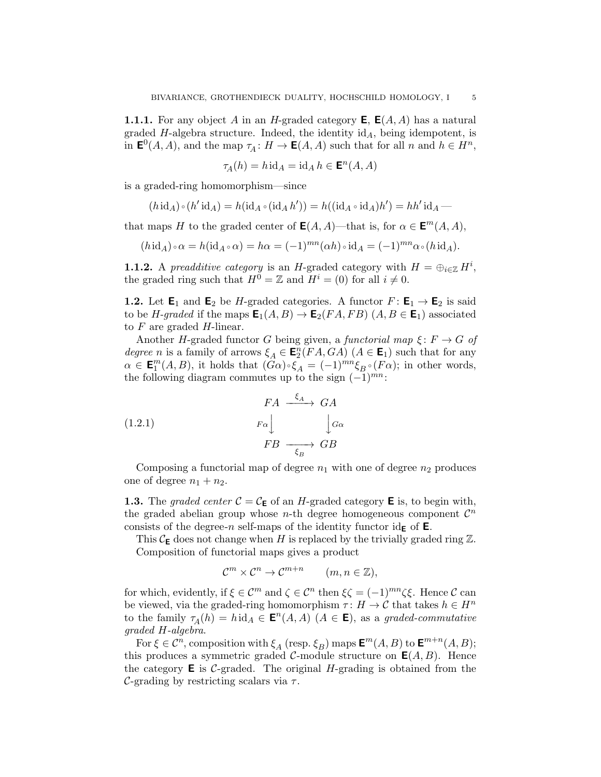<span id="page-4-0"></span>**1.1.1.** For any object A in an H-graded category  $E$ ,  $E(A, A)$  has a natural graded H-algebra structure. Indeed, the identity  $id<sub>A</sub>$ , being idempotent, is in  $\mathbf{E}^0(A, A)$ , and the map  $\tau_A: H \to \mathbf{E}(A, A)$  such that for all n and  $h \in H^n$ ,

$$
\tau_A(h) = h \operatorname{id}_A = \operatorname{id}_A h \in \mathbf{E}^n(A, A)
$$

is a graded-ring homomorphism—since

$$
(h\operatorname{id}_A)\circ(h'\operatorname{id}_A)=h(\operatorname{id}_A\circ(\operatorname{id}_A h'))=h((\operatorname{id}_A\circ\operatorname{id}_A)h')=hh'\operatorname{id}_A-
$$

that maps H to the graded center of  $E(A, A)$ —that is, for  $\alpha \in E^{m}(A, A)$ ,

$$
(h\mathrm{id}_A)\circ\alpha = h(\mathrm{id}_A\circ\alpha) = h\alpha = (-1)^{mn}(\alpha h)\circ\mathrm{id}_A = (-1)^{mn}\alpha\circ(h\mathrm{id}_A).
$$

**1.1.2.** A preadditive category is an H-graded category with  $H = \bigoplus_{i \in \mathbb{Z}} H^i$ , the graded ring such that  $H^0 = \mathbb{Z}$  and  $H^i = (0)$  for all  $i \neq 0$ .

**1.2.** Let  $\mathbf{E}_1$  and  $\mathbf{E}_2$  be H-graded categories. A functor  $F: \mathbf{E}_1 \to \mathbf{E}_2$  is said to be H-graded if the maps  $\mathbf{E}_1(A, B) \to \mathbf{E}_2(FA, FB)$   $(A, B \in \mathbf{E}_1)$  associated to  $F$  are graded  $H$ -linear.

Another H-graded functor G being given, a functorial map  $\xi: F \to G$  of degree n is a family of arrows  $\xi_A \in \mathbf{E}_2^n(FA, GA)$   $(A \in \mathbf{E}_1)$  such that for any  $\alpha \in \mathbf{E}_1^m(A, B)$ , it holds that  $(\widehat{G}\alpha) \circ \widehat{\xi}_A = (-1)^{mn} \xi_B \circ (F\alpha)$ ; in other words, the following diagram commutes up to the sign  $(-1)^{mn}$ :

(1.2.1) 
$$
FA \xrightarrow{f_A} GA
$$

$$
F_A \xrightarrow{F_A} G_A
$$

$$
FB \xrightarrow{f_B} GB
$$

Composing a functorial map of degree  $n_1$  with one of degree  $n_2$  produces one of degree  $n_1 + n_2$ .

<span id="page-4-1"></span>**1.3.** The graded center  $C = C_{\mathsf{E}}$  of an H-graded category **E** is, to begin with, the graded abelian group whose *n*-th degree homogeneous component  $\mathcal{C}^n$ consists of the degree-n self-maps of the identity functor  $id_{\mathsf{E}}$  of  $\mathsf{E}$ .

This  $\mathcal{C}_{\mathbf{E}}$  does not change when H is replaced by the trivially graded ring  $\mathbb{Z}$ . Composition of functorial maps gives a product

$$
\mathcal{C}^m \times \mathcal{C}^n \to \mathcal{C}^{m+n} \qquad (m, n \in \mathbb{Z}),
$$

for which, evidently, if  $\xi \in \mathcal{C}^m$  and  $\zeta \in \mathcal{C}^n$  then  $\xi \zeta = (-1)^{mn} \zeta \xi$ . Hence  $\mathcal{C}$  can be viewed, via the graded-ring homomorphism  $\tau: H \to \mathcal{C}$  that takes  $h \in H^n$ to the family  $\tau_A(h) = h \mathrm{id}_A \in \mathbf{E}^n(A, A)$   $(A \in \mathbf{E})$ , as a graded-commutative graded H-algebra.

For  $\xi \in \mathcal{C}^n$ , composition with  $\xi_A$  (resp.  $\xi_B$ ) maps  $\mathbf{E}^m(A, B)$  to  $\mathbf{E}^{m+n}(A, B)$ ; this produces a symmetric graded C-module structure on  $E(A, B)$ . Hence the category  $\bf{E}$  is C-graded. The original H-grading is obtained from the C-grading by restricting scalars via  $\tau$ .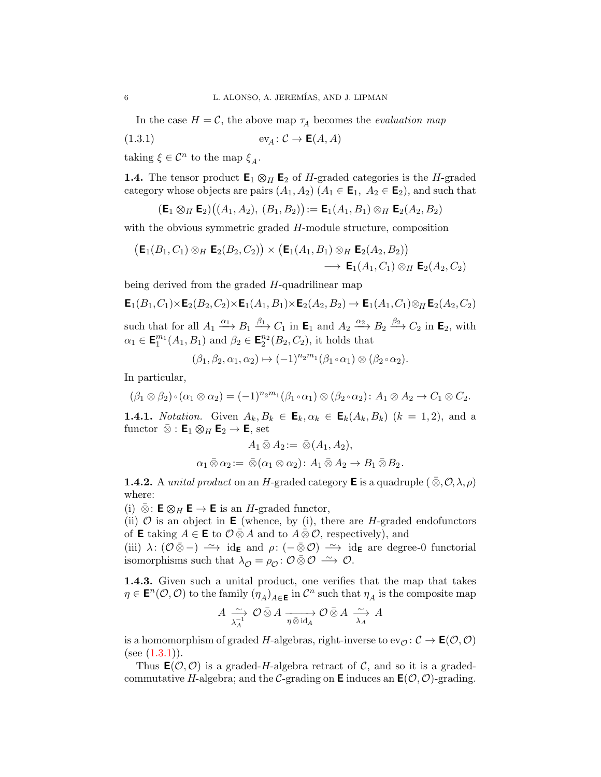In the case  $H = \mathcal{C}$ , the above map  $\tau_A$  becomes the *evaluation map* 

$$
(1.3.1) \t\t ev_A: \mathcal{C} \to \mathsf{E}(A, A)
$$

taking  $\xi \in \mathcal{C}^n$  to the map  $\xi_A$ .

<span id="page-5-2"></span>**1.4.** The tensor product  $\mathbf{E}_1 \otimes_H \mathbf{E}_2$  of H-graded categories is the H-graded category whose objects are pairs  $(A_1, A_2)$   $(A_1 \in \mathsf{E}_1, A_2 \in \mathsf{E}_2)$ , and such that

<span id="page-5-0"></span>
$$
(\mathsf{E}_1 \otimes_H \mathsf{E}_2)((A_1, A_2), (B_1, B_2)) := \mathsf{E}_1(A_1, B_1) \otimes_H \mathsf{E}_2(A_2, B_2)
$$

with the obvious symmetric graded H-module structure, composition

$$
(\mathsf{E}_1(B_1,C_1)\otimes_H \mathsf{E}_2(B_2,C_2)) \times (\mathsf{E}_1(A_1,B_1)\otimes_H \mathsf{E}_2(A_2,B_2))
$$
  

$$
\longrightarrow \mathsf{E}_1(A_1,C_1)\otimes_H \mathsf{E}_2(A_2,C_2)
$$

being derived from the graded H-quadrilinear map

$$
\mathsf{E}_1(B_1, C_1) \times \mathsf{E}_2(B_2, C_2) \times \mathsf{E}_1(A_1, B_1) \times \mathsf{E}_2(A_2, B_2) \to \mathsf{E}_1(A_1, C_1) \otimes_H \mathsf{E}_2(A_2, C_2)
$$
  
such that for all  $A_1 \xrightarrow{\alpha_1} B_1 \xrightarrow{\beta_1} C_1$  in  $\mathsf{E}_1$  and  $A_2 \xrightarrow{\alpha_2} B_2 \xrightarrow{\beta_2} C_2$  in  $\mathsf{E}_2$ , with  $\alpha_1 \in \mathsf{E}_1^{m_1}(A_1, B_1)$  and  $\beta_2 \in \mathsf{E}_2^{n_2}(B_2, C_2)$ , it holds that

$$
(\beta_1, \beta_2, \alpha_1, \alpha_2) \mapsto (-1)^{n_2 m_1} (\beta_1 \circ \alpha_1) \otimes (\beta_2 \circ \alpha_2).
$$

In particular,

$$
(\beta_1 \otimes \beta_2) \circ (\alpha_1 \otimes \alpha_2) = (-1)^{n_2 m_1} (\beta_1 \circ \alpha_1) \otimes (\beta_2 \circ \alpha_2) \colon A_1 \otimes A_2 \to C_1 \otimes C_2.
$$

**1.4.1.** Notation. Given  $A_k, B_k \in \mathbf{E}_k, \alpha_k \in \mathbf{E}_k(A_k, B_k)$   $(k = 1, 2)$ , and a functor  $\bar{\otimes}$  :  $\mathsf{E}_1 \otimes_H \mathsf{E}_2 \to \mathsf{E}$ , set

$$
A_1 \,\overline{\otimes}\, A_2 := \,\overline{\otimes}\,(A_1, A_2),
$$
  

$$
\alpha_1 \,\overline{\otimes}\, \alpha_2 := \,\overline{\otimes}\, (\alpha_1 \otimes \alpha_2) : A_1 \,\overline{\otimes}\, A_2 \to B_1 \,\overline{\otimes}\, B_2.
$$

**1.4.2.** A *unital product* on an H-graded category **E** is a quadruple  $(\bar{\otimes}, \mathcal{O}, \lambda, \rho)$ where:

(i)  $\bar{\otimes}$ : **E**  $\otimes$ <sub>H</sub> **E**  $\rightarrow$  **E** is an *H*-graded functor,

(ii)  $\mathcal O$  is an object in **E** (whence, by (i), there are *H*-graded endofunctors of **E** taking  $A \in \mathbf{E}$  to  $\mathcal{O} \bar{\otimes} A$  and to  $A \bar{\otimes} \mathcal{O}$ , respectively), and

(iii)  $\lambda: (\mathcal{O} \bar{\otimes} -) \longrightarrow \text{id}_{\mathsf{E}}$  and  $\rho: (- \bar{\otimes} \mathcal{O}) \longrightarrow \text{id}_{\mathsf{E}}$  are degree-0 functorial isomorphisms such that  $\lambda_{\mathcal{O}} = \rho_{\mathcal{O}} : \mathcal{O} \bar{\otimes} \mathcal{O} \longrightarrow \mathcal{O}$ .

<span id="page-5-1"></span>1.4.3. Given such a unital product, one verifies that the map that takes  $\eta \in \mathsf{E}^n(\mathcal{O}, \mathcal{O})$  to the family  $(\eta_A)_{A \in \mathsf{E}}$  in  $\mathcal{C}^n$  such that  $\eta_A$  is the composite map

$$
A \xrightarrow[\lambda_A^{-1}]{} \mathcal{O} \,\bar{\otimes}\, A \xrightarrow[\eta \,\bar{\otimes}\, \mathrm{id}_A]{} \mathcal{O} \,\bar{\otimes}\, A \xrightarrow[\lambda_A]{} A
$$

is a homomorphism of graded H-algebras, right-inverse to  $ev_{\mathcal{O}}: \mathcal{C} \to \mathsf{E}(\mathcal{O}, \mathcal{O})$ (see  $(1.3.1)$ ).

Thus  $\mathsf{E}(\mathcal{O}, \mathcal{O})$  is a graded-H-algebra retract of C, and so it is a gradedcommutative H-algebra; and the C-grading on **E** induces an  $\mathbf{E}(\mathcal{O}, \mathcal{O})$ -grading.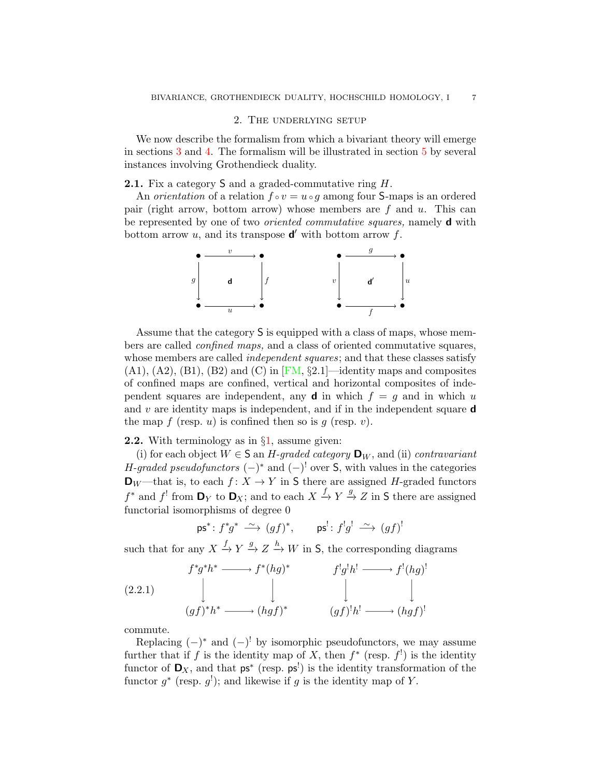## 2. The underlying setup

<span id="page-6-0"></span>We now describe the formalism from which a bivariant theory will emerge in sections [3](#page-10-0) and [4.](#page-16-0) The formalism will be illustrated in section [5](#page-24-0) by several instances involving Grothendieck duality.

<span id="page-6-2"></span>2.1. Fix a category S and a graded-commutative ring H.

An *orientation* of a relation  $f \circ v = u \circ q$  among four S-maps is an ordered pair (right arrow, bottom arrow) whose members are f and u. This can be represented by one of two *oriented commutative squares*, namely **d** with bottom arrow  $u$ , and its transpose  $\mathbf{d}'$  with bottom arrow  $f$ .



Assume that the category S is equipped with a class of maps, whose members are called confined maps, and a class of oriented commutative squares, whose members are called *independent squares*; and that these classes satisfy  $(A1), (A2), (B1), (B2)$  and  $(C)$  in [\[FM,](#page-48-15) §2.1]—identity maps and composites of confined maps are confined, vertical and horizontal composites of independent squares are independent, any **d** in which  $f = g$  and in which u and  $v$  are identity maps is independent, and if in the independent square **d** the map f (resp. u) is confined then so is  $q$  (resp. v).

**2.2.** With terminology as in  $\S1$ , assume given:

(i) for each object  $W \in \mathsf{S}$  an H-graded category  $\mathsf{D}_W$ , and (ii) contravariant H-graded pseudofunctors  $(-)^*$  and  $(-)^!$  over S, with values in the categories  $\mathbf{D}_W$  —that is, to each  $f: X \to Y$  in S there are assigned H-graded functors  $f^*$  and  $f'$  from  $\mathbf{D}_Y$  to  $\mathbf{D}_X$ ; and to each  $X \xrightarrow{f} Y \xrightarrow{g} Z$  in S there are assigned functorial isomorphisms of degree 0

<span id="page-6-1"></span> $\mathsf{ps}^* \colon f^* g^* \stackrel{\sim}{\longrightarrow} (gf)^*, \qquad \mathsf{ps}^! \colon f^! g^! \stackrel{\sim}{\longrightarrow} (gf)^!$ 

such that for any  $X \xrightarrow{f} Y \xrightarrow{g} Z \xrightarrow{h} W$  in S, the corresponding diagrams

(2.2.1)  

$$
\downarrow f^*g^*h^* \longrightarrow f^*(hg)^* \qquad f^!g^!h^! \longrightarrow f^!(hg)^!
$$
  

$$
\downarrow \qquad \qquad \downarrow \qquad \qquad \downarrow \qquad \qquad \downarrow
$$
  

$$
(gf)^*h^* \longrightarrow (hgf)^* \qquad \qquad (gf)^!h^! \longrightarrow (hgf)^!
$$

commute.

Replacing  $(-)^*$  and  $(-)^!$  by isomorphic pseudofunctors, we may assume further that if f is the identity map of X, then  $f^*$  (resp.  $f^!$ ) is the identity functor of  $\mathbf{D}_X$ , and that  $\mathsf{ps}^*$  (resp.  $\mathsf{ps}^!$ ) is the identity transformation of the functor  $g^*$  (resp.  $g^!$ ); and likewise if g is the identity map of Y.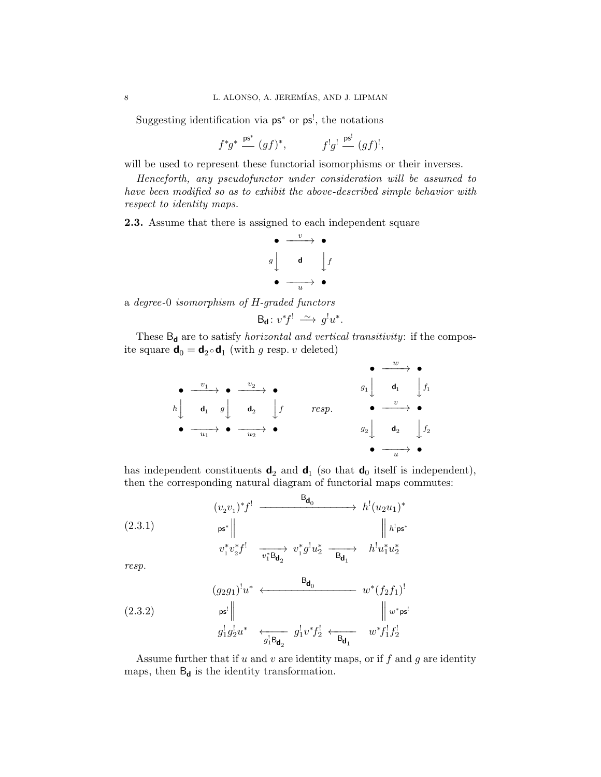Suggesting identification via  $ps^*$  or  $ps^!$ , the notations

$$
f^*g^* \stackrel{\mathbf{ps}^*}{=} (gf)^*, \qquad f^!g^! \stackrel{\mathbf{ps}^!}{=} (gf)^!,
$$

will be used to represent these functorial isomorphisms or their inverses.

Henceforth, any pseudofunctor under consideration will be assumed to have been modified so as to exhibit the above-described simple behavior with respect to identity maps.

<span id="page-7-2"></span>2.3. Assume that there is assigned to each independent square

$$
\begin{array}{c}\n\bullet \quad \xrightarrow{v} \quad \bullet \\
g \downarrow \quad \mathbf{d} \quad \downarrow f \\
\bullet \quad \xrightarrow{u} \quad \bullet\n\end{array}
$$

a degree-0 isomorphism of H-graded functors

$$
\mathsf{B}_{\mathsf{d}}\colon v^*f^! \; \xrightarrow{\sim} \; g^!u^*.
$$

These  $\mathsf{B}_{\mathsf{d}}$  are to satisfy  $\emph{horizontal}$  and  $\emph{vertical transitivity:}$  if the composite square  $\mathbf{d}_0 = \mathbf{d}_2 \circ \mathbf{d}_1$  (with g resp. v deleted)

$$
\begin{array}{ccccccc}\n\bullet & \xrightarrow{v_1} & \bullet & \xrightarrow{v_2} & \bullet & & & & \\
\bullet & \xrightarrow{d_1} & g & \bullet & & & & \\
b & \bullet & \searrow & \searrow & \searrow & \bullet & & & \\
\bullet & \xrightarrow{d_1} & g & \bullet & & & \\
\bullet & \xrightarrow{u_1} & \bullet & \xrightarrow{u_2} & \bullet & & & \\
\bullet & \xrightarrow{u_2} & \bullet & & & & & \\
\bullet & \xrightarrow{u_2} & \bullet & & & & & \\
\bullet & \xrightarrow{u_2} & \bullet & & & & \\
\bullet & \xrightarrow{u_2} & \bullet & & & & \\
\end{array}
$$

has independent constituents  $\mathbf{d}_2$  and  $\mathbf{d}_1$  (so that  $\mathbf{d}_0$  itself is independent), then the corresponding natural diagram of functorial maps commutes:

<span id="page-7-0"></span>(2.3.1)  
\n
$$
(v_2v_1)^*f^! \xrightarrow{\qquad \qquad } h^!(u_2u_1)^*
$$
\n
$$
(2.3.1)
$$
\n
$$
\begin{array}{c|c|c|c}\n & & b^!(u_2u_1)^* \\
 & & & b^* \parallel \\
 & & & \downarrow h^!\mathbf{ps}^* \\
 & & & v_1^*v_2^*f^! \xrightarrow{\qquad \qquad } v_1^*g^!u_2^* \xrightarrow{\qquad \qquad } h^!u_1^*u_2^* \\
 & & & & \downarrow \qquad \qquad \text{res} \quad \text{res} \quad \text{res} \quad \text{res} \quad \text{res} \quad \text{res} \quad \text{res} \quad \text{res} \quad \text{res} \quad \text{res} \quad \text{res} \quad \text{res} \quad \text{res} \quad \text{res} \quad \text{res} \quad \text{res} \quad \text{res} \quad \text{res} \quad \text{res} \quad \text{res} \quad \text{res} \quad \text{res} \quad \text{res} \quad \text{res} \quad \text{res} \quad \text{res} \quad \text{res} \quad \text{res} \quad \text{res} \quad \text{res} \quad \text{res} \quad \text{res} \quad \text{res} \quad \text{res} \quad \text{res} \quad \text{res} \quad \text{res} \quad \text{res} \quad \text{res} \quad \text{res} \quad \text{res} \quad \text{res} \quad \text{res} \quad \text{res} \quad \text{res} \quad \text{res} \quad \text{res} \quad \text{res} \quad \text{res} \quad \text{res} \quad \text{res} \quad \text{res} \quad \text{res} \quad \text{res} \quad \text{res} \quad \text{res} \quad \text{res} \quad \text{res} \quad \text{res} \quad \text{res} \quad \text{res} \quad \text{res} \quad \text{res} \quad \text{res} \quad \text{res} \quad \text{res} \quad \text{res} \quad \text{res} \quad \text{res} \quad \text{res} \quad \text{res} \quad \text{res} \quad \text{res} \quad \text{res} \quad \text{res} \quad \text{res} \quad \text{res} \quad \text{res} \quad \text{res} \quad \text{res} \quad \text{res
$$

resp.

<span id="page-7-1"></span>(2.3.2) 
$$
(g_2 g_1)^! u^* \leftarrow \xrightarrow{\mathbf{B}_{\mathbf{d}_0}} w^* (f_2 f_1)^!
$$
  
\n
$$
g_1^! g_2^! u^* \leftarrow \xrightarrow{g_1^! \mathbf{B}_{\mathbf{d}_2}} g_1^! v^* f_2^! \leftarrow \xrightarrow{\mathbf{B}_{\mathbf{d}_1}} w^* f_1^! f_2^!
$$

Assume further that if  $u$  and  $v$  are identity maps, or if  $f$  and  $g$  are identity maps, then  $B_d$  is the identity transformation.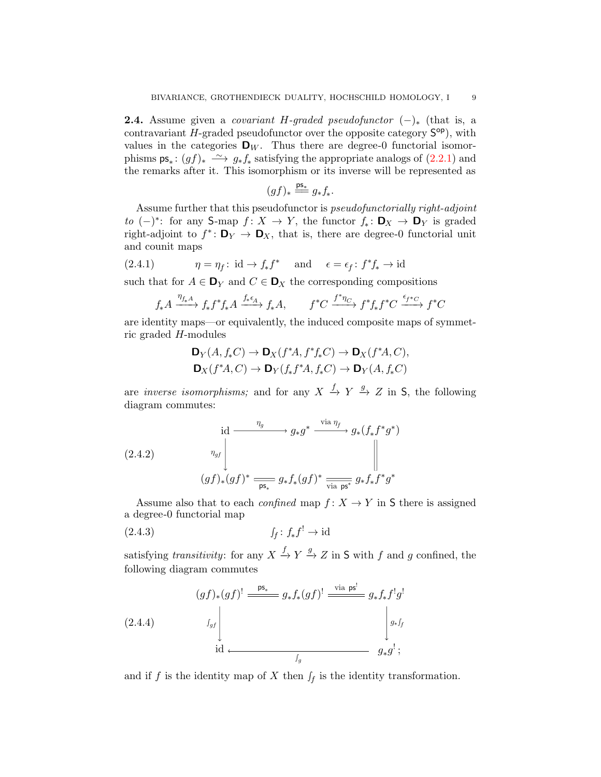<span id="page-8-2"></span>**2.4.** Assume given a *covariant H-graded pseudofunctor*  $(-)_*$  (that is, a contravariant  $H$ -graded pseudofunctor over the opposite category  $S^{op}$ ), with values in the categories  $\mathbf{D}_W$ . Thus there are degree-0 functorial isomorphisms  $\mathsf{ps}_* : (gf)_* \longrightarrow g_* f_*$  satisfying the appropriate analogs of  $(2.2.1)$  and the remarks after it. This isomorphism or its inverse will be represented as

$$
(gf)_*\stackrel{\mathrm{ps}_*}{=\!\!=} g_*f_*.
$$

Assume further that this pseudofunctor is pseudofunctorially right-adjoint to  $(-)^*$ : for any S-map  $f: X \to Y$ , the functor  $f_*: \mathbf{D}_X \to \mathbf{D}_Y$  is graded right-adjoint to  $f^*$ :  $\mathbf{D}_Y \to \mathbf{D}_X$ , that is, there are degree-0 functorial unit and counit maps

(2.4.1) 
$$
\eta = \eta_f : \text{id} \to f_* f^* \quad \text{and} \quad \epsilon = \epsilon_f : f^* f_* \to \text{id}
$$

such that for  $A \in \mathbf{D}_Y$  and  $C \in \mathbf{D}_X$  the corresponding compositions

$$
f_* A \xrightarrow{\eta_{f_* A}} f_* f^* f_* A \xrightarrow{f_* \epsilon_A} f_* A, \qquad f^* C \xrightarrow{f^* \eta_C} f^* f_* f^* C \xrightarrow{\epsilon_{f^* C}} f^* C
$$

are identity maps—or equivalently, the induced composite maps of symmetric graded H-modules

$$
\mathbf{D}_Y(A, f_*C) \to \mathbf{D}_X(f^*A, f^*f_*C) \to \mathbf{D}_X(f^*A, C),
$$
  

$$
\mathbf{D}_X(f^*A, C) \to \mathbf{D}_Y(f_*f^*A, f_*C) \to \mathbf{D}_Y(A, f_*C)
$$

are *inverse isomorphisms*; and for any  $X \xrightarrow{f} Y \xrightarrow{g} Z$  in S, the following diagram commutes:

<span id="page-8-0"></span>(2.4.2)   
\n
$$
\begin{array}{ccc}\n \text{id} & \xrightarrow{\eta_g} g_* g^* \xrightarrow{\text{via } \eta_f} g_*(f_* f^* g^*) \\
 & \xrightarrow{\eta_{gf}} & \xrightarrow{\eta_{gf}} & \xrightarrow{\text{vs.}} & \text{vs.} & \text{vs.} \\
 (gf)_*(gf)^* & \xrightarrow{\text{vs.}} & \text{vs.} & \text{vs.} & \text{vs.} & \text{vs.} & \text{vs.} \\
 & & \xrightarrow{\text{vs.}} & \text{vs.} & \text{vs.} & \text{vs.} & \text{vs.} & \text{vs.} \\
 & & & \xrightarrow{\text{vs.}} & \text{vs.} & \text{vs.} & \text{vs.} & \text{vs.} & \text{vs.} \\
 & & & \xrightarrow{\text{vs.}} & \text{vs.} & \text{vs.} & \text{vs.} & \text{vs.} & \text{vs.} & \text{vs.} \\
 & & & \xrightarrow{\text{vs.}} & \text{vs.} & \text{vs.} & \text{vs.} & \text{vs.} & \text{vs.} & \text{vs.} & \text{vs.} & \text{vs.} \\
 & & & \xrightarrow{\text{vs.}} & \text{vs.} & \text{vs.} & \text{vs.} & \text{vs.} & \text{vs.} & \text{vs.} & \text{vs.} & \text{vs.} & \text{vs.} \\
 & & & \xrightarrow{\text{vs.}} & \text{vs.} & \text{vs.} & \text{vs.} & \text{vs.} & \text{vs.} & \text{vs.} & \text{vs.} & \text{vs.} & \text{vs.} & \text{vs.} & \text{vs.} & \text{vs.} & \text{vs.} \\
 & & & \xrightarrow{\text{vs.}} & \text{vs.} & \text{vs.} & \text{vs.} & \text{vs.} & \text{vs.} & \text{vs.} & \text{vs.} & \text{vs.} & \text{vs.} & \text{vs.} & \text{vs.} & \text{vs.} & \text{vs.} & \text{vs.} & \text{vs.} & \text{vs.} & \text{vs.} & \text{vs.} & \text{vs.} & \text{vs.} & \text{vs.} & \text{vs.} & \text{vs.} & \text{vs.} & \text{vs.} & \text{vs.} & \text{vs.} & \text{
$$

Assume also that to each *confined* map  $f: X \to Y$  in S there is assigned a degree-0 functorial map

(2.4.3) ∫<sup>f</sup> : f<sup>∗</sup> f ! → id

satisfying *transitivity*: for any  $X \xrightarrow{f} Y \xrightarrow{g} Z$  in S with f and g confined, the following diagram commutes

<span id="page-8-1"></span>
$$
(g f)_*(g f)^! \xrightarrow{\mathsf{ps}_*} g_* f_*(g f)^! \xrightarrow{\text{via } \mathsf{ps}^!} g_* f_* f^! g^!
$$
\n
$$
(2.4.4) \qquad \qquad \downarrow g_s
$$
\n
$$
\downarrow \qquad \qquad \downarrow g_* f_s
$$
\n
$$
\downarrow \qquad \qquad \downarrow g_* f_s
$$
\n
$$
\downarrow g_* f_s
$$
\n
$$
g_* g^! ;
$$

and if f is the identity map of X then  $\int_f$  is the identity transformation.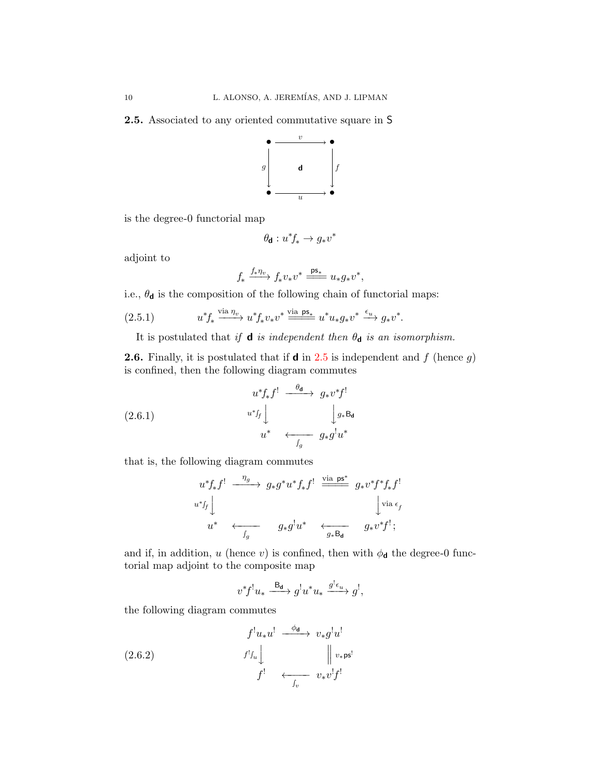<span id="page-9-0"></span>2.5. Associated to any oriented commutative square in S



is the degree-0 functorial map

$$
\theta_{\mathbf{d}}: u^*f_* \to g_*v^*
$$

adjoint to

$$
f_* \xrightarrow{f_* \eta_v} f_* v_* v^* \xrightarrow{\mathsf{ps}_*} u_* g_* v^*,
$$

i.e.,  $\theta_{\mathbf{d}}$  is the composition of the following chain of functorial maps:

$$
(2.5.1) \t u^* f_* \xrightarrow{\text{via } \eta_v} u^* f_* v_* v^* \xrightarrow{\text{via } \text{ps}_*} u^* u_* g_* v^* \xrightarrow{\epsilon_u} g_* v^*.
$$

It is postulated that if **d** is independent then  $\theta_d$  is an isomorphism.

**2.6.** Finally, it is postulated that if **d** in [2.5](#page-9-0) is independent and f (hence q) is confined, then the following diagram commutes

$$
(2.6.1)
$$
\n
$$
u^* f_* f' \xrightarrow{\theta_{\mathbf{d}}} g_* v^* f'
$$
\n
$$
u^* f_* \downarrow \qquad \qquad \downarrow g_* B_{\mathbf{d}}
$$
\n
$$
u^* \leftarrow f_* \qquad \qquad g_* g^! u^*
$$

that is, the following diagram commutes

<span id="page-9-1"></span>
$$
\begin{array}{ccc}\n u^* f_* f^! & \xrightarrow{\eta_g} & g_* g^* u^* f_* f^! & \xrightarrow{\text{via }\text{ps}^*} & g_* v^* f^* f_* f^! \\
 u^* f_* & & & \downarrow{\text{via }\epsilon_f} \\
 u^* & \longleftrightarrow_{f_g} & g_* g^! u^* & \longleftrightarrow_{g_* \text{B}_\mathbf{d}} & g_* v^* f^! ;\n\end{array}
$$

and if, in addition, u (hence v) is confined, then with  $\phi_{\mathbf{d}}$  the degree-0 functorial map adjoint to the composite map

<span id="page-9-2"></span>
$$
v^*f^!u_* \xrightarrow{\mathsf{B}_{\mathsf{d}}} g^!u^*u_* \xrightarrow{g^!\epsilon_u} g^!,
$$

the following diagram commutes

(2.6.2) 
$$
\begin{array}{ccc}\nf^! u_* u^! & \xrightarrow{\phi_{\mathbf{d}}} v_* g^! u^! \\
f^! J_u \downarrow & & \parallel v_* \mathsf{ps}^! \\
f^! & \xleftarrow{\qquad \qquad}_{v} v^! f^! \\
\end{array}
$$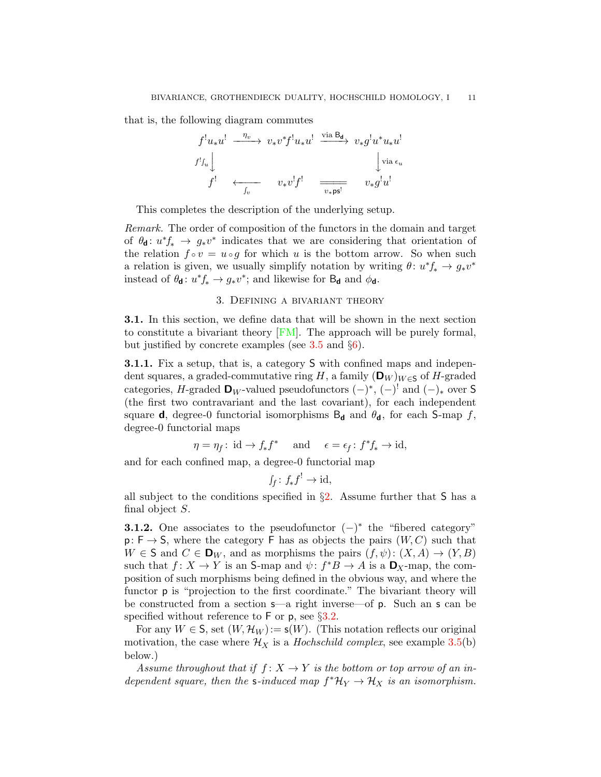that is, the following diagram commutes

$$
f^! u_* u^! \xrightarrow{\eta_v} v_* v^* f^! u_* u^! \xrightarrow{\text{via } B_d} v_* g^! u^* u_* u^!
$$
  

$$
f^! J_u \downarrow \qquad \qquad \downarrow \text{via } \epsilon_u
$$
  

$$
f^! \xleftarrow{\qquad \qquad } v_* v^! f^! \xrightarrow{\qquad \qquad } v_* g^! u^!
$$

This completes the description of the underlying setup.

Remark. The order of composition of the functors in the domain and target of  $\theta_{d}: u^* f_* \to g_* v^*$  indicates that we are considering that orientation of the relation  $f \circ v = u \circ g$  for which u is the bottom arrow. So when such a relation is given, we usually simplify notation by writing  $\theta: u^* f_* \to g_* v^*$ instead of  $\theta_{\mathbf{d}}: u^* f_* \to g_* v^*$ ; and likewise for  $B_{\mathbf{d}}$  and  $\phi_{\mathbf{d}}$ .

## 3. Defining a bivariant theory

<span id="page-10-0"></span>3.1. In this section, we define data that will be shown in the next section to constitute a bivariant theory [\[FM\]](#page-48-15). The approach will be purely formal, but justified by concrete examples (see  $3.5$  and  $\S6$ ).

<span id="page-10-1"></span>3.1.1. Fix a setup, that is, a category S with confined maps and independent squares, a graded-commutative ring H, a family  $(D_W)_{W \in S}$  of H-graded categories, H-graded  $\mathbf{D}_W$ -valued pseudofunctors  $(-)^*$ ,  $(-)^!$  and  $(-)_*$  over S (the first two contravariant and the last covariant), for each independent square **d**, degree-0 functorial isomorphisms  $B_d$  and  $\theta_d$ , for each S-map f, degree-0 functorial maps

$$
\eta = \eta_f : \text{id} \to f_* f^*
$$
 and  $\epsilon = \epsilon_f : f^* f_* \to \text{id},$ 

and for each confined map, a degree-0 functorial map

$$
f_f \colon f_* f^! \to \mathrm{id},
$$

all subject to the conditions specified in  $\S2$ . Assume further that S has a final object S.

**3.1.2.** One associates to the pseudofunctor  $(-)^*$  the "fibered category"  $p: F \to S$ , where the category F has as objects the pairs  $(W, C)$  such that  $W \in S$  and  $C \in \mathbf{D}_W$ , and as morphisms the pairs  $(f, \psi) : (X, A) \to (Y, B)$ such that  $f: X \to Y$  is an S-map and  $\psi: f^*B \to A$  is a  $\mathbf{D}_X$ -map, the composition of such morphisms being defined in the obvious way, and where the functor p is "projection to the first coordinate." The bivariant theory will be constructed from a section s—a right inverse—of p. Such an s can be specified without reference to  $\overline{F}$  or  $\overline{p}$ , see §[3.2.](#page-11-0)

For any  $W \in \mathsf{S}$ , set  $(W, \mathcal{H}_W) := \mathsf{s}(W)$ . (This notation reflects our original motivation, the case where  $\mathcal{H}_X$  is a *Hochschild complex*, see example [3.5\(](#page-14-0)b) below.)

Assume throughout that if  $f: X \to Y$  is the bottom or top arrow of an independent square, then the s-induced map  $f^* \mathcal{H}_Y \to \mathcal{H}_X$  is an isomorphism.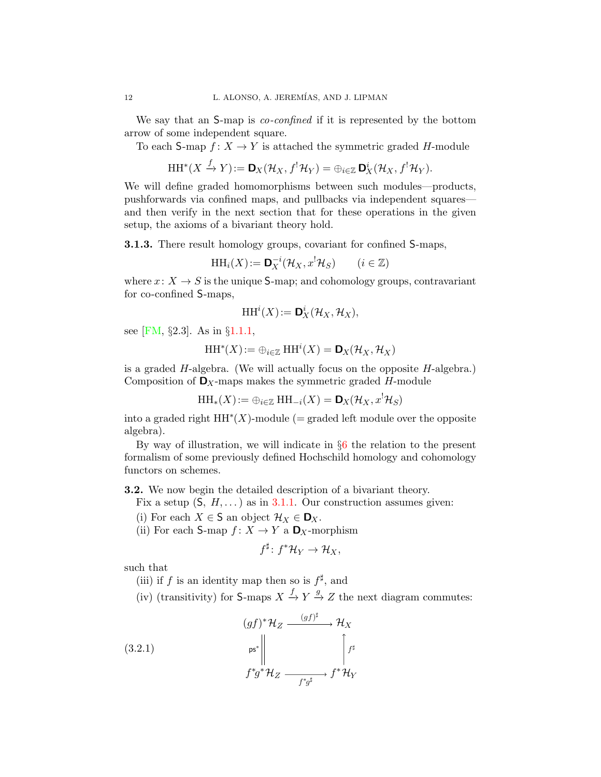We say that an S-map is *co-confined* if it is represented by the bottom arrow of some independent square.

To each S-map  $f: X \to Y$  is attached the symmetric graded H-module

$$
\mathrm{HH}^*(X \xrightarrow{f} Y) := \mathbf{D}_X(\mathcal{H}_X, f^! \mathcal{H}_Y) = \bigoplus_{i \in \mathbb{Z}} \mathbf{D}_X^i(\mathcal{H}_X, f^! \mathcal{H}_Y).
$$

We will define graded homomorphisms between such modules—products, pushforwards via confined maps, and pullbacks via independent squares and then verify in the next section that for these operations in the given setup, the axioms of a bivariant theory hold.

3.1.3. There result homology groups, covariant for confined S-maps,

$$
\mathrm{HH}_i(X) := \mathbf{D}_X^{-i}(\mathcal{H}_X, x^! \mathcal{H}_S) \qquad (i \in \mathbb{Z})
$$

where  $x: X \to S$  is the unique S-map; and cohomology groups, contravariant for co-confined S-maps,

$$
\mathrm{HH}^i(X):=\mathbf{D}^i_X(\mathcal{H}_X,\mathcal{H}_X),
$$

see [\[FM,](#page-48-15) §2.3]. As in §[1.1.1,](#page-4-0)

$$
\operatorname{HH}\nolimits^\ast(X) := \oplus_{i \in \mathbb{Z}} \operatorname{HH}\nolimits^i(X) = \mathbf{D}_X(\mathcal{H}_X, \mathcal{H}_X)
$$

is a graded  $H$ -algebra. (We will actually focus on the opposite  $H$ -algebra.) Composition of  $\mathbf{D}_X$ -maps makes the symmetric graded H-module

 $HH_*(X):=\oplus_{i\in\mathbb{Z}}HH_{-i}(X)=\mathbf{D}_X(\mathcal{H}_X,x^!\mathcal{H}_S)$ 

into a graded right  $HH^*(X)$ -module (= graded left module over the opposite algebra).

By way of illustration, we will indicate in §[6](#page-44-0) the relation to the present formalism of some previously defined Hochschild homology and cohomology functors on schemes.

<span id="page-11-0"></span>3.2. We now begin the detailed description of a bivariant theory.

Fix a setup  $(S, H, \dots)$  as in [3.1.1.](#page-10-1) Our construction assumes given:

(i) For each  $X \in S$  an object  $\mathcal{H}_X \in \mathbf{D}_X$ .

(ii) For each S-map  $f: X \to Y$  a  $\mathbf{D}_X$ -morphism

<span id="page-11-1"></span>
$$
f^{\sharp} \colon f^* \mathcal{H}_Y \to \mathcal{H}_X,
$$

such that

(iii) if f is an identity map then so is  $f^{\sharp}$ , and

(iv) (transitivity) for S-maps  $X \stackrel{f}{\to} Y \stackrel{g}{\to} Z$  the next diagram commutes:

(3.2.1) 
$$
(gf)^{*}\mathcal{H}_{Z} \xrightarrow{\qquad (gf)^{\sharp}\qquad} \mathcal{H}_{X}
$$

$$
f^{*}g^{*}\mathcal{H}_{Z} \xrightarrow{\qquad f^{*}g^{\sharp}\qquad} f^{*}\mathcal{H}_{Y}
$$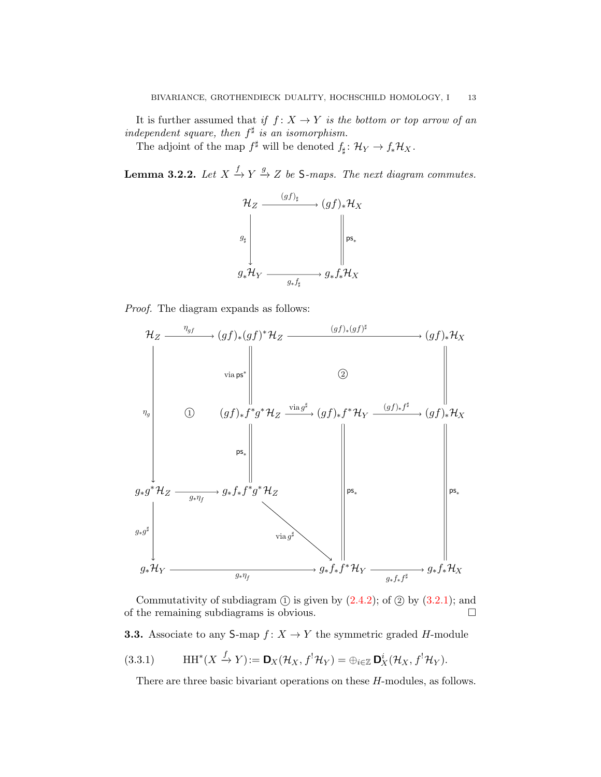It is further assumed that if  $f: X \to Y$  is the bottom or top arrow of an independent square, then  $f^{\sharp}$  is an isomorphism.

The adjoint of the map  $f^{\sharp}$  will be denoted  $f_{\sharp} \colon \mathcal{H}_Y \to f_*\mathcal{H}_X$ .

<span id="page-12-2"></span>**Lemma 3.2.2.** Let  $X \xrightarrow{f} Y \xrightarrow{g} Z$  be S-maps. The next diagram commutes.



Proof. The diagram expands as follows:



Commutativity of subdiagram  $(1)$  is given by  $(2.4.2)$ ; of  $(2)$  by  $(3.2.1)$ ; and of the remaining subdiagrams is obvious.

<span id="page-12-0"></span>**3.3.** Associate to any S-map  $f: X \to Y$  the symmetric graded H-module

(3.3.1) 
$$
\text{HH}^*(X \xrightarrow{f} Y) := \mathbf{D}_X(\mathcal{H}_X, f^!\mathcal{H}_Y) = \bigoplus_{i \in \mathbb{Z}} \mathbf{D}_X^i(\mathcal{H}_X, f^!\mathcal{H}_Y).
$$

<span id="page-12-1"></span>There are three basic bivariant operations on these H-modules, as follows.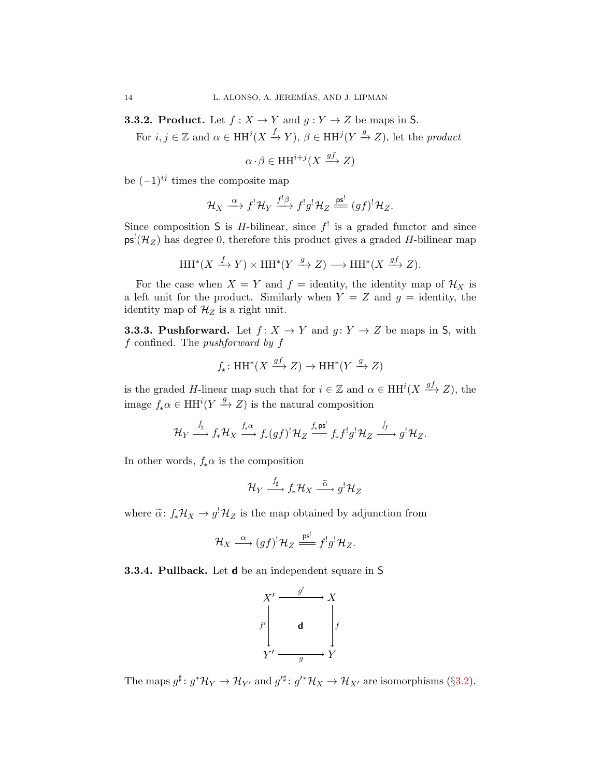<span id="page-13-0"></span>**3.3.2. Product.** Let  $f : X \to Y$  and  $g : Y \to Z$  be maps in S.

For  $i, j \in \mathbb{Z}$  and  $\alpha \in HH^{i}(X \xrightarrow{f} Y), \beta \in HH^{j}(Y \xrightarrow{g} Z)$ , let the product

$$
\alpha \cdot \beta \in \mathrm{HH}^{i+j}(X \xrightarrow{gf} Z)
$$

be  $(-1)^{ij}$  times the composite map

$$
\mathcal{H}_X \stackrel{\alpha}{\longrightarrow} f^! \mathcal{H}_Y \stackrel{f^! \beta}{\longrightarrow} f^! g^! \mathcal{H}_Z \stackrel{\mathsf{ps}^!}{\longrightarrow} (gf)^! \mathcal{H}_Z.
$$

Since composition S is *H*-bilinear, since  $f^!$  is a graded functor and since  $\mathsf{ps}^!({\mathcal H}_Z)$  has degree 0, therefore this product gives a graded H-bilinear map

$$
\operatorname{HH}^*(X \xrightarrow{f} Y) \times \operatorname{HH}^*(Y \xrightarrow{g} Z) \longrightarrow \operatorname{HH}^*(X \xrightarrow{gf} Z).
$$

For the case when  $X = Y$  and  $f =$  identity, the identity map of  $\mathcal{H}_X$  is a left unit for the product. Similarly when  $Y = Z$  and  $g =$  identity, the identity map of  $\mathcal{H}_Z$  is a right unit.

<span id="page-13-2"></span>**3.3.3. Pushforward.** Let  $f: X \to Y$  and  $g: Y \to Z$  be maps in S, with f confined. The pushforward by f

$$
f_{\star} \colon \mathrm{HH}^*(X \xrightarrow{gf} Z) \to \mathrm{HH}^*(Y \xrightarrow{g} Z)
$$

is the graded H-linear map such that for  $i \in \mathbb{Z}$  and  $\alpha \in HH^{i}(X \xrightarrow{gf} Z)$ , the image  $f_*\alpha \in HH^i(Y \xrightarrow{g} Z)$  is the natural composition

$$
\mathcal{H}_Y \stackrel{f_\sharp}{\longrightarrow} f_*\mathcal{H}_X \stackrel{f_*\alpha}{\longrightarrow} f_*(gf)^!\mathcal{H}_Z \stackrel{f_*\mathsf{ps}^!}{\Longrightarrow} f_*f^!g^!\mathcal{H}_Z \stackrel{f_f}{\longrightarrow} g^!\mathcal{H}_Z.
$$

In other words,  $f_{\star}\alpha$  is the composition

$$
\mathcal{H}_Y \stackrel{f_\sharp}{\longrightarrow} f_*\mathcal{H}_X \stackrel{\widetilde{\alpha}}{\longrightarrow} g^!\mathcal{H}_Z
$$

where  $\tilde{\alpha}$ :  $f_*\mathcal{H}_X \to g^!\mathcal{H}_Z$  is the map obtained by adjunction from

$$
\mathcal{H}_X \stackrel{\alpha}{\longrightarrow} (gf)^! \mathcal{H}_Z \stackrel{\mathrm{ps}^!}{\longrightarrow} f^!g^! \mathcal{H}_Z.
$$

<span id="page-13-1"></span>3.3.4. Pullback. Let d be an independent square in S



The maps  $g^{\sharp}$ :  $g^*\mathcal{H}_Y \to \mathcal{H}_{Y'}$  and  $g'^{\sharp}$ :  $g'^*\mathcal{H}_X \to \mathcal{H}_{X'}$  are isomorphisms (§[3.2\)](#page-11-0).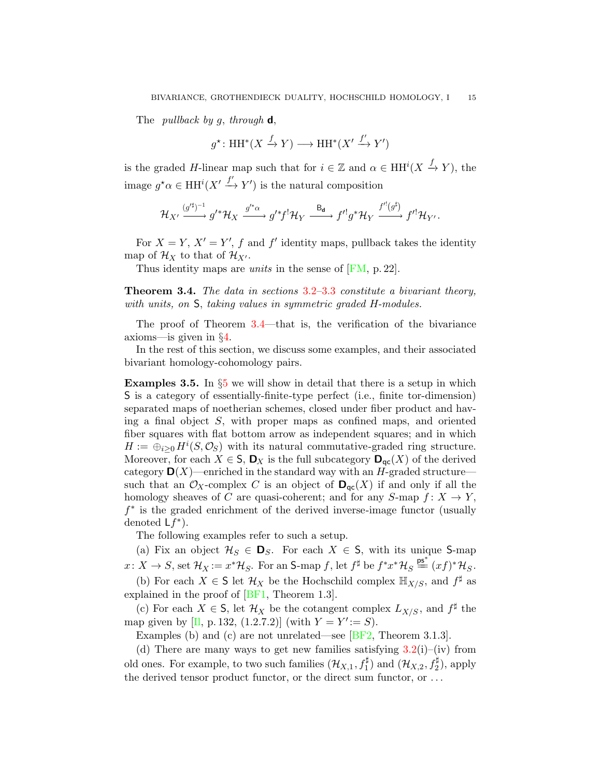The *pullback by g, through*  $d$ ,

$$
g^\star\colon\mathrm{HH}^*(X\xrightarrow{f} Y)\longrightarrow\mathrm{HH}^*(X'\xrightarrow{f'} Y')
$$

is the graded H-linear map such that for  $i \in \mathbb{Z}$  and  $\alpha \in HH^{i}(X \xrightarrow{f} Y)$ , the image  $g^*\alpha \in HH^i(X' \xrightarrow{f'} Y')$  is the natural composition

$$
\mathcal{H}_{X'} \xrightarrow{(g'^\sharp)^{-1}} g'^* \mathcal{H}_X \xrightarrow{g'^*\alpha} g'^* f^! \mathcal{H}_Y \xrightarrow{\mathsf{B}_{\mathbf{d}}} f'^! g^* \mathcal{H}_Y \xrightarrow{f'^! (g^{\sharp})} f'^! \mathcal{H}_{Y'}.
$$

For  $X = Y$ ,  $X' = Y'$ , f and f' identity maps, pullback takes the identity map of  $\mathcal{H}_X$  to that of  $\mathcal{H}_{X'}$ .

Thus identity maps are *units* in the sense of [\[FM,](#page-48-15) p. 22].

<span id="page-14-1"></span>Theorem 3.4. The data in sections [3.2–](#page-11-0)[3.3](#page-12-0) constitute a bivariant theory, with units, on  $S$ , taking values in symmetric graded H-modules.

The proof of Theorem [3.4—](#page-14-1)that is, the verification of the bivariance axioms—is given in §[4.](#page-16-0)

In the rest of this section, we discuss some examples, and their associated bivariant homology-cohomology pairs.

<span id="page-14-0"></span>**Examples 3.[5](#page-24-0).** In  $\S5$  we will show in detail that there is a setup in which S is a category of essentially-finite-type perfect (i.e., finite tor-dimension) separated maps of noetherian schemes, closed under fiber product and having a final object S, with proper maps as confined maps, and oriented fiber squares with flat bottom arrow as independent squares; and in which  $H := \bigoplus_{i \geq 0} H^i(S, \mathcal{O}_S)$  with its natural commutative-graded ring structure. Moreover, for each  $X \in S$ ,  $\mathbf{D}_X$  is the full subcategory  $\mathbf{D}_{\text{ac}}(X)$  of the derived category  $\mathbf{D}(X)$ —enriched in the standard way with an H-graded structure such that an  $\mathcal{O}_X$ -complex C is an object of  $\mathbf{D}_{\text{qc}}(X)$  if and only if all the homology sheaves of C are quasi-coherent; and for any  $S$ -map  $f: X \to Y$ , f ∗ is the graded enrichment of the derived inverse-image functor (usually denoted  $Lf^*$ ).

The following examples refer to such a setup.

(a) Fix an object  $\mathcal{H}_S \in \mathbf{D}_S$ . For each  $X \in \mathsf{S}$ , with its unique S-map  $x \colon X \to S$ , set  $\mathcal{H}_X := x^*\mathcal{H}_S$ . For an S-map f, let  $f^{\sharp}$  be  $f^*x^*\mathcal{H}_S \stackrel{\text{ps*}}{=} (xf)^*\mathcal{H}_S$ .

(b) For each  $X \in \mathsf{S}$  let  $\mathcal{H}_X$  be the Hochschild complex  $\mathbb{H}_{X/S}$ , and  $f^{\sharp}$  as explained in the proof of [\[BF1,](#page-48-11) Theorem 1.3].

(c) For each  $X \in \mathsf{S}$ , let  $\mathcal{H}_X$  be the cotangent complex  $L_{X/S}$ , and  $f^{\sharp}$  the map given by [I], p. 132, (1.2.7.2)] (with  $Y = Y' := S$ ).

Examples (b) and (c) are not unrelated—see [\[BF2,](#page-48-18) Theorem 3.1.3].

(d) There are many ways to get new families satisfying  $3.2(i)$  $3.2(i)$ –(iv) from old ones. For example, to two such families  $(\mathcal{H}_{X,1}, f_1^{\sharp})$  and  $(\mathcal{H}_{X,2}, f_2^{\sharp})$ , apply the derived tensor product functor, or the direct sum functor, or . . .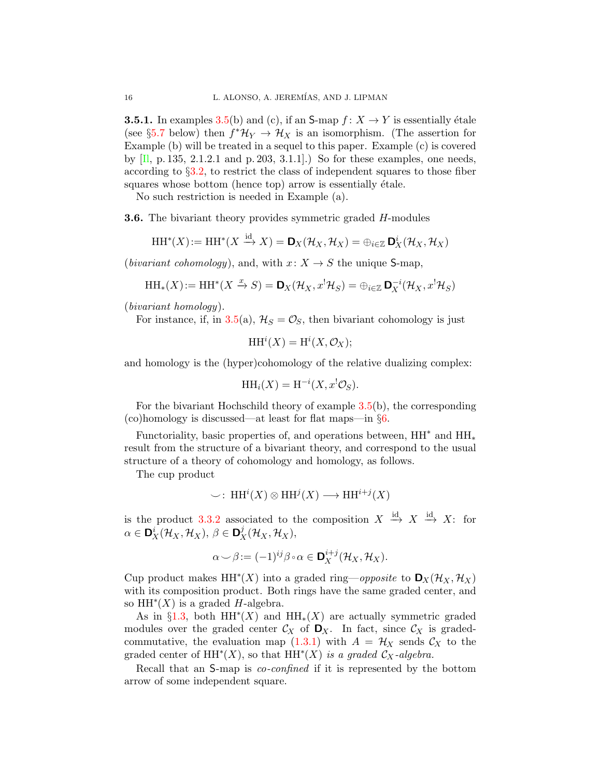**3.5.1.** In examples [3.5\(](#page-14-0)b) and (c), if an S-map  $f: X \to Y$  is essentially étale (see §[5.7](#page-36-0) below) then  $f^* \mathcal{H}_Y \to \mathcal{H}_X$  is an isomorphism. (The assertion for Example (b) will be treated in a sequel to this paper. Example (c) is covered by  $[\Pi, p. 135, 2.1.2.1 \text{ and } p. 203, 3.1.1]$ . So for these examples, one needs, according to §[3.2,](#page-11-0) to restrict the class of independent squares to those fiber squares whose bottom (hence top) arrow is essentially étale.

No such restriction is needed in Example (a).

<span id="page-15-0"></span>**3.6.** The bivariant theory provides symmetric graded H-modules

$$
\mathrm{HH}^*(X) := \mathrm{HH}^*(X \xrightarrow{\mathrm{id}} X) = \mathbf{D}_X(\mathcal{H}_X, \mathcal{H}_X) = \bigoplus_{i \in \mathbb{Z}} \mathbf{D}_X^i(\mathcal{H}_X, \mathcal{H}_X)
$$

(*bivariant cohomology*), and, with  $x: X \rightarrow S$  the unique S-map,

$$
\mathrm{HH}_*(X) := \mathrm{HH}^*(X \xrightarrow{x} S) = \mathbf{D}_X(\mathcal{H}_X, x^! \mathcal{H}_S) = \bigoplus_{i \in \mathbb{Z}} \mathbf{D}_X^{-i}(\mathcal{H}_X, x^! \mathcal{H}_S)
$$

(bivariant homology).

For instance, if, in [3.5\(](#page-14-0)a),  $\mathcal{H}_S = \mathcal{O}_S$ , then bivariant cohomology is just

$$
\mathrm{HH}^i(X) = \mathrm{H}^i(X, \mathcal{O}_X);
$$

and homology is the (hyper)cohomology of the relative dualizing complex:

$$
\mathrm{HH}_i(X) = \mathrm{H}^{-i}(X, x^! \mathcal{O}_S).
$$

For the bivariant Hochschild theory of example [3.5\(](#page-14-0)b), the corresponding (co)homology is discussed—at least for flat maps—in §[6.](#page-44-0)

Functoriality, basic properties of, and operations between,  $HH^*$  and  $HH^*$ result from the structure of a bivariant theory, and correspond to the usual structure of a theory of cohomology and homology, as follows.

The cup product

$$
\smile: \operatorname{HH}\nolimits^i(X) \otimes \operatorname{HH}\nolimits^j(X) \longrightarrow \operatorname{HH}\nolimits^{i+j}(X)
$$

is the product [3.3.2](#page-13-0) associated to the composition  $X \stackrel{\text{id}}{\rightarrow} X \stackrel{\text{id}}{\rightarrow} X$ : for  $\alpha \in \mathbf{D}_X^i(\mathcal{H}_X, \mathcal{H}_X), \ \beta \in \mathbf{D}_X^j(\mathcal{H}_X, \mathcal{H}_X),$ 

$$
\alpha \smile \beta := (-1)^{ij} \beta \circ \alpha \in \mathbf{D}_X^{i+j}(\mathcal{H}_X, \mathcal{H}_X).
$$

Cup product makes  $HH^*(X)$  into a graded ring—*opposite* to  $\mathbf{D}_X(\mathcal{H}_X, \mathcal{H}_X)$ with its composition product. Both rings have the same graded center, and so  $HH^*(X)$  is a graded H-algebra.

As in §[1.3,](#page-4-1) both  $HH^*(X)$  and  $HH_*(X)$  are actually symmetric graded modules over the graded center  $\mathcal{C}_X$  of  $\mathbf{D}_X$ . In fact, since  $\mathcal{C}_X$  is gradedcommutative, the evaluation map  $(1.3.1)$  with  $A = H_X$  sends  $C_X$  to the graded center of  $HH^*(X)$ , so that  $HH^*(X)$  is a graded  $C_X$ -algebra.

Recall that an S-map is *co-confined* if it is represented by the bottom arrow of some independent square.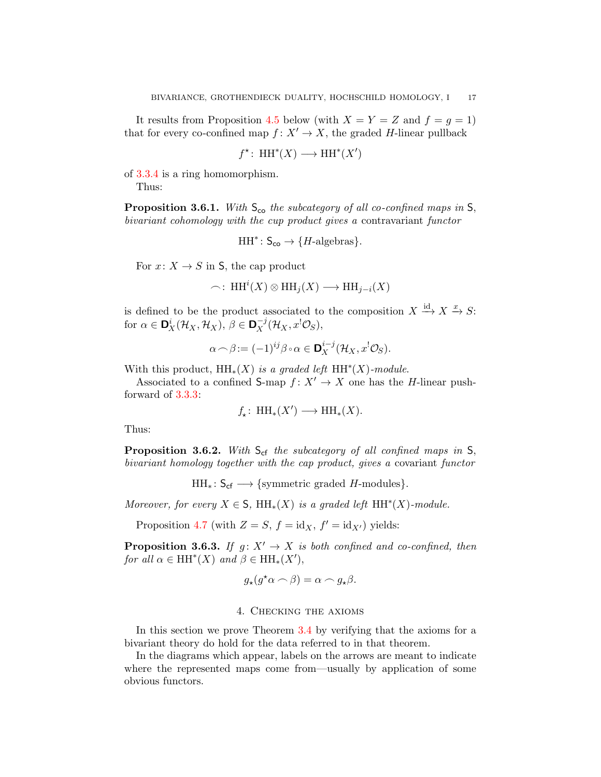It results from Proposition [4.5](#page-20-0) below (with  $X = Y = Z$  and  $f = g = 1$ ) that for every co-confined map  $f: X' \to X$ , the graded H-linear pullback

$$
f^* \colon \operatorname{HH}\nolimits^*(X) \longrightarrow \operatorname{HH}\nolimits^*(X')
$$

of [3.3.4](#page-13-1) is a ring homomorphism.

Thus:

**Proposition 3.6.1.** With  $S_{co}$  the subcategory of all co-confined maps in  $S$ , bivariant cohomology with the cup product gives a contravariant functor

$$
HH^*\colon S_{\mathsf{co}} \to \{H\text{-algebras}\}.
$$

For  $x: X \to S$  in S, the cap product

$$
\frown: \, \mathrm{HH}^i(X) \otimes \mathrm{HH}_j(X) \longrightarrow \mathrm{HH}_{j-i}(X)
$$

is defined to be the product associated to the composition  $X \xrightarrow{\text{id}} X \xrightarrow{x} S$ : for  $\alpha \in \mathbf{D}_X^i(\mathcal{H}_X, \mathcal{H}_X), \ \beta \in \mathbf{D}_X^{-j}(\mathcal{H}_X, x^!\mathcal{O}_S),$ 

$$
\alpha \cap \beta := (-1)^{ij} \beta \circ \alpha \in \mathbf{D}_X^{i-j}(\mathcal{H}_X, x^! \mathcal{O}_S).
$$

With this product,  $HH_*(X)$  is a graded left  $HH^*(X)$ -module.

Associated to a confined S-map  $f: X' \to X$  one has the H-linear pushforward of [3.3.3:](#page-13-2)

$$
f_{\star}\colon \operatorname{HH}_{\ast}(X') \longrightarrow \operatorname{HH}_{\ast}(X).
$$

Thus:

**Proposition 3.6.2.** With  $S_{cf}$  the subcategory of all confined maps in  $S$ , bivariant homology together with the cap product, gives a covariant functor

 $HH_*: S_{cf} \longrightarrow \{symmetric \ graded \ H\text{-modules}\}.$ 

Moreover, for every  $X \in \mathsf{S}$ ,  $\mathrm{HH}_*(X)$  is a graded left  $\mathrm{HH}^*(X)$ -module.

Proposition [4.7](#page-23-0) (with  $Z = S$ ,  $f = id_X$ ,  $f' = id_{X'}$ ) yields:

**Proposition 3.6.3.** If  $q: X' \to X$  is both confined and co-confined, then for all  $\alpha \in \mathrm{HH}^*(X)$  and  $\beta \in \mathrm{HH}_*(X'),$ 

$$
g_\star(g^\star\alpha\frown\beta)=\alpha\frown g_\star\beta.
$$

## 4. Checking the axioms

<span id="page-16-0"></span>In this section we prove Theorem [3.4](#page-14-1) by verifying that the axioms for a bivariant theory do hold for the data referred to in that theorem.

In the diagrams which appear, labels on the arrows are meant to indicate where the represented maps come from—usually by application of some obvious functors.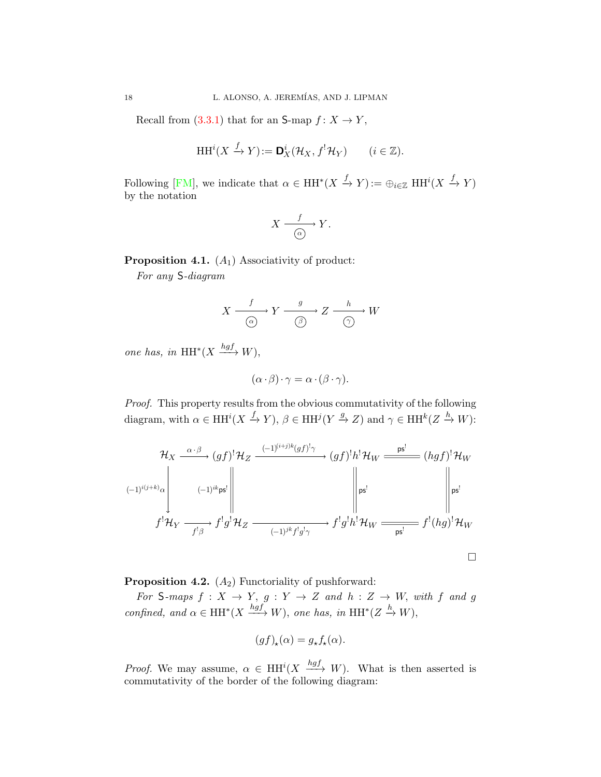Recall from  $(3.3.1)$  that for an S-map  $f: X \to Y$ ,

$$
\mathrm{HH}^i(X \xrightarrow{f} Y) := \mathbf{D}_X^i(\mathcal{H}_X, f^!\mathcal{H}_Y) \qquad (i \in \mathbb{Z}).
$$

Following [\[FM\]](#page-48-15), we indicate that  $\alpha \in HH^*(X \stackrel{f}{\to} Y) := \bigoplus_{i \in \mathbb{Z}} HH^i(X \stackrel{f}{\to} Y)$ by the notation

$$
X \xrightarrow{\quad f \quad} Y.
$$

**Proposition 4.1.**  $(A_1)$  Associativity of product:

For any S-diagram

$$
X \xrightarrow{\qquad f \qquad } Y \xrightarrow{\qquad g \qquad} Z \xrightarrow{\qquad h \qquad} W
$$

one has, in  $HH^*(X \xrightarrow{hgf} W)$ ,

$$
(\alpha \cdot \beta) \cdot \gamma = \alpha \cdot (\beta \cdot \gamma).
$$

Proof. This property results from the obvious commutativity of the following diagram, with  $\alpha \in HH^{i}(X \xrightarrow{f} Y), \beta \in HH^{j}(Y \xrightarrow{g} Z)$  and  $\gamma \in HH^{k}(Z \xrightarrow{h} W)$ :

$$
\mathcal{H}_X \xrightarrow{\alpha \cdot \beta} (gf)^! \mathcal{H}_Z \xrightarrow{(-1)^{(i+j)k} (gf)^! \gamma} (gf)^! h^! \mathcal{H}_W \xrightarrow{\mathbf{ps}^!} (hgf)^! \mathcal{H}_W
$$
  
\n
$$
\left.\begin{array}{c} (-1)^{i(j+k)} \alpha \\ \beta^! \end{array}\right\|_{\mathbf{ps}^!} \xrightarrow{(-1)^{ik} \mathbf{ps}^!} f^! g^! \mathcal{H}_Z \xrightarrow{(-1)^{jk} f^! g^! \gamma} f^! g^! h^! \mathcal{H}_W \xrightarrow{\mathbf{ps}^!} f^! (hg)^! \mathcal{H}_W
$$

**Proposition 4.2.**  $(A_2)$  Functoriality of pushforward:

For S-maps  $f: X \rightarrow Y$ ,  $g: Y \rightarrow Z$  and  $h: Z \rightarrow W$ , with f and g confined, and  $\alpha \in HH^*(X \xrightarrow{hgf} W)$ , one has, in  $HH^*(Z \xrightarrow{h} W)$ ,

$$
(gf)_{\star}(\alpha) = g_{\star}f_{\star}(\alpha).
$$

*Proof.* We may assume,  $\alpha \in HH^{i}(X \xrightarrow{hgf} W)$ . What is then asserted is commutativity of the border of the following diagram: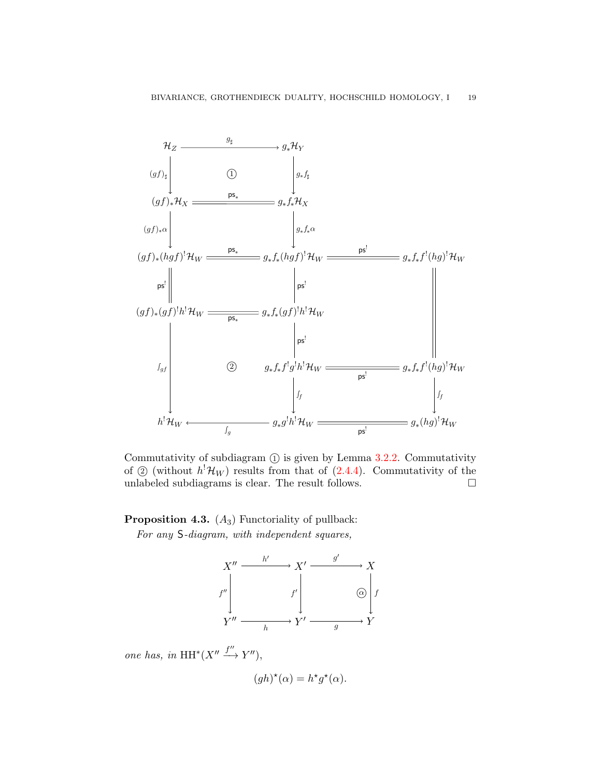

Commutativity of subdiagram  $(1)$  is given by Lemma [3.2.2.](#page-12-2) Commutativity of  $\odot$  (without  $h^{\dagger} \mathcal{H}_W$ ) results from that of [\(2.4.4\)](#page-8-1). Commutativity of the unlabeled subdiagrams is clear. The result follows.  $\Box$ 

# **Proposition 4.3.**  $(A_3)$  Functoriality of pullback: For any S-diagram, with independent squares,



one has, in  $HH^*(X'' \xrightarrow{f''} Y'')$ ,

$$
(gh)^{\star}(\alpha) = h^{\star}g^{\star}(\alpha).
$$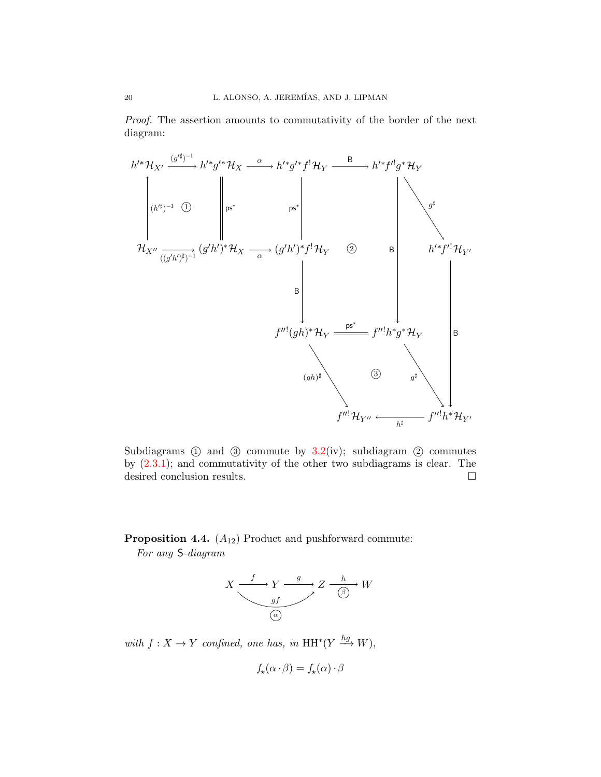Proof. The assertion amounts to commutativity of the border of the next diagram:



Subdiagrams  $(1)$  and  $(3)$  commute by  $3.2$ (iv); subdiagram  $(2)$  commutes by [\(2.3.1\)](#page-7-0); and commutativity of the other two subdiagrams is clear. The desired conclusion results.

**Proposition 4.4.**  $(A_{12})$  Product and pushforward commute: For any S-diagram



with  $f: X \to Y$  confined, one has, in  $HH^*(Y \xrightarrow{hg} W)$ ,

$$
f_{\star}(\alpha \cdot \beta) = f_{\star}(\alpha) \cdot \beta
$$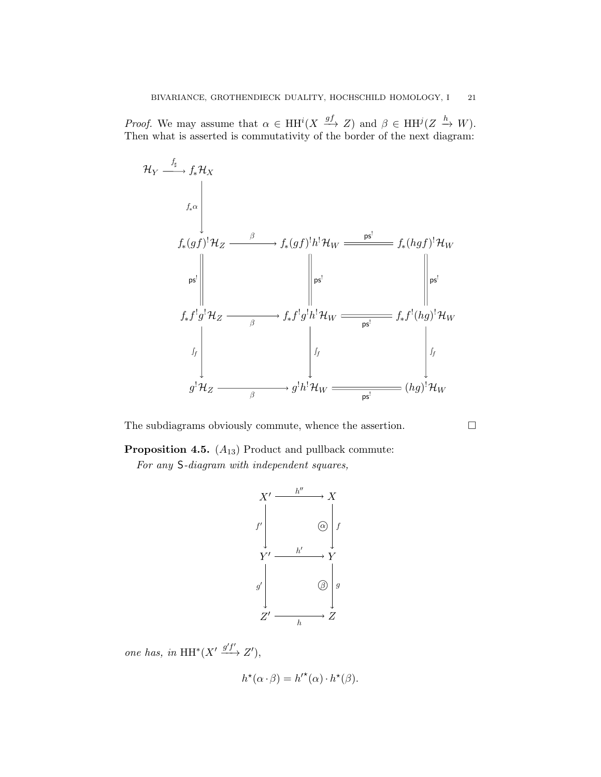*Proof.* We may assume that  $\alpha \in HH^{i}(X \xrightarrow{gf} Z)$  and  $\beta \in HH^{j}(Z \xrightarrow{h} W)$ . Then what is asserted is commutativity of the border of the next diagram:



The subdiagrams obviously commute, whence the assertion.

<span id="page-20-0"></span>**Proposition 4.5.**  $(A_{13})$  Product and pullback commute:

For any S-diagram with independent squares,



one has, in  $HH^*(X' \xrightarrow{g'f'} Z')$ ,

$$
h^{\star}(\alpha \cdot \beta) = h^{\prime \star}(\alpha) \cdot h^{\star}(\beta).
$$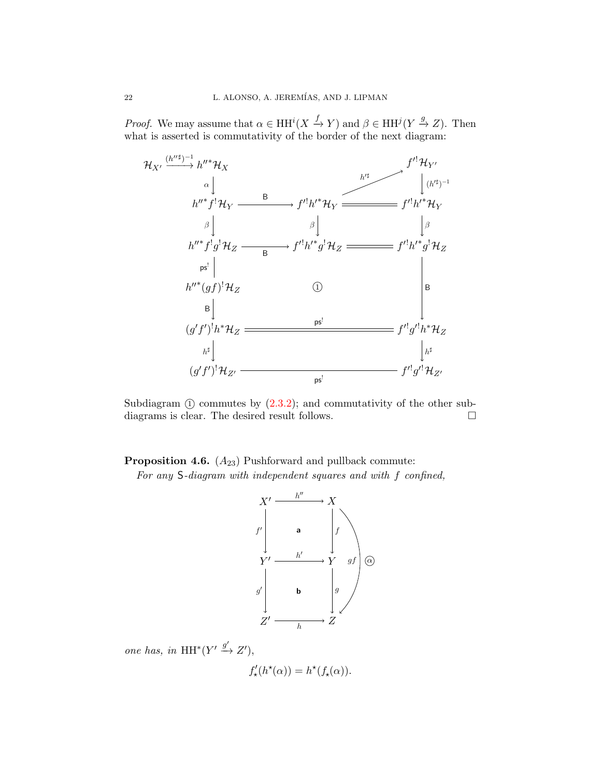*Proof.* We may assume that  $\alpha \in HH^{i}(X \xrightarrow{f} Y)$  and  $\beta \in HH^{j}(Y \xrightarrow{g} Z)$ . Then what is asserted is commutativity of the border of the next diagram:



Subdiagram  $(1)$  commutes by  $(2.3.2)$ ; and commutativity of the other subdiagrams is clear. The desired result follows.

**Proposition 4.6.**  $(A_{23})$  Pushforward and pullback commute:

For any S-diagram with independent squares and with f confined,



one has, in  $HH^*(Y' \xrightarrow{g'} Z'),$ 

$$
f'_\star(h^\star(\alpha)) = h^\star(f_\star(\alpha)).
$$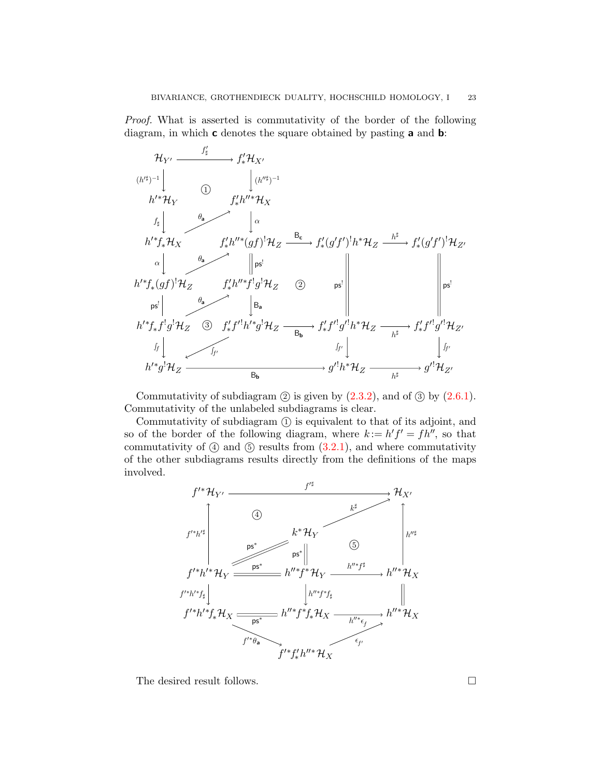Proof. What is asserted is commutativity of the border of the following diagram, in which **c** denotes the square obtained by pasting **a** and **b**:



Commutativity of subdiagram  $(2)$  is given by  $(2.3.2)$ , and of  $(3)$  by  $(2.6.1)$ . Commutativity of the unlabeled subdiagrams is clear.

Commutativity of subdiagram (1) is equivalent to that of its adjoint, and so of the border of the following diagram, where  $k := h' f' = f h''$ , so that commutativity of  $(4)$  and  $(5)$  results from  $(3.2.1)$ , and where commutativity of the other subdiagrams results directly from the definitions of the maps involved.



The desired result follows.  $\hfill \square$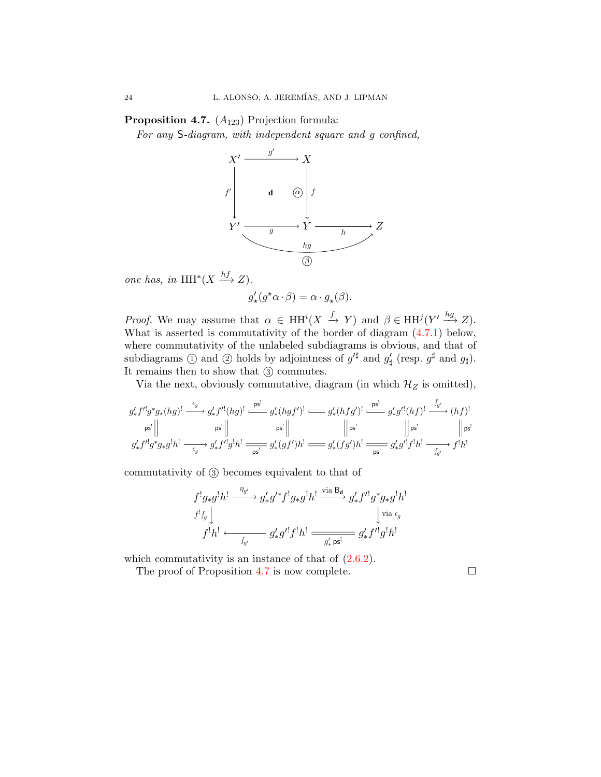<span id="page-23-0"></span>**Proposition 4.7.**  $(A_{123})$  Projection formula:

For any S-diagram, with independent square and g confined,



one has, in  $HH^*(X \xrightarrow{hf} Z)$ .

$$
g'_{\star}(g^{\star}\alpha \cdot \beta) = \alpha \cdot g_{\star}(\beta).
$$

*Proof.* We may assume that  $\alpha \in HH^{i}(X \xrightarrow{f} Y)$  and  $\beta \in HH^{j}(Y' \xrightarrow{hg} Z)$ . What is asserted is commutativity of the border of diagram [\(4.7.1\)](#page-24-1) below, where commutativity of the unlabeled subdiagrams is obvious, and that of subdiagrams  $\textcircled{1}$  and  $\textcircled{2}$  holds by adjointness of  $g'^{\sharp}$  and  $g'_{\sharp}$  (resp.  $g^{\sharp}$  and  $g_{\sharp}$ ). It remains then to show that 3 commutes.

Via the next, obviously commutative, diagram (in which  $\mathcal{H}_Z$  is omitted),

$$
\begin{array}{c|c|c} g'_*f'^!g^*g_*(hg)^! & \xrightarrow{\epsilon_g} g'_*f'^!(hg)^! & \xrightarrow{\operatorname{ps}^!} g'_*(hgf')^! & \xrightarrow{\operatorname{ps}^!} g'_*(hfg')^! & \xrightarrow{\operatorname{ps}^!} g'_*g'^!(hf)^! & \xrightarrow{\int_{g'}} (hf)^! \\ \hline \hspace{0.2cm}\operatorname{ps}^! & & & & \end{array} \hspace{1.5cm} g'_*[fg^*g_*g^!h^! & \xrightarrow{\operatorname{ps}^!} g'_*(gf')h^! & \xrightarrow{\operatorname{ps}^!} g'_*(fg')h^! & \xrightarrow{\operatorname{ps}^!} g'_*g'^!f^!h^! & \xrightarrow{\int_{g'}} f^!h^!
$$

commutativity of 3 becomes equivalent to that of

$$
\begin{array}{c}\n f^!g_*g^!h^! \xrightarrow{\eta_{g'}} g'_*g'^*f^!g_*g^!h^! \xrightarrow{\mathrm{via}\, \mathsf{B}_{\mathbf{d}}} g'_*f'^!g^*g_*g^!h^! \\
 f^!h^! \xleftarrow{\qquad \qquad \downarrow \mathrm{via}\, \epsilon_g} \n f^!h^! \xleftarrow{\qquad \qquad \downarrow \mathrm{via}\, \epsilon_g} \n g'_*g'^!f^!h^! \xrightarrow{\qquad \qquad \downarrow \mathrm{gs}^!} g'_*f'^!g^!h^! \\
 \end{array}
$$

which commutativity is an instance of that of  $(2.6.2)$ .

The proof of Proposition [4.7](#page-23-0) is now complete.  $\Box$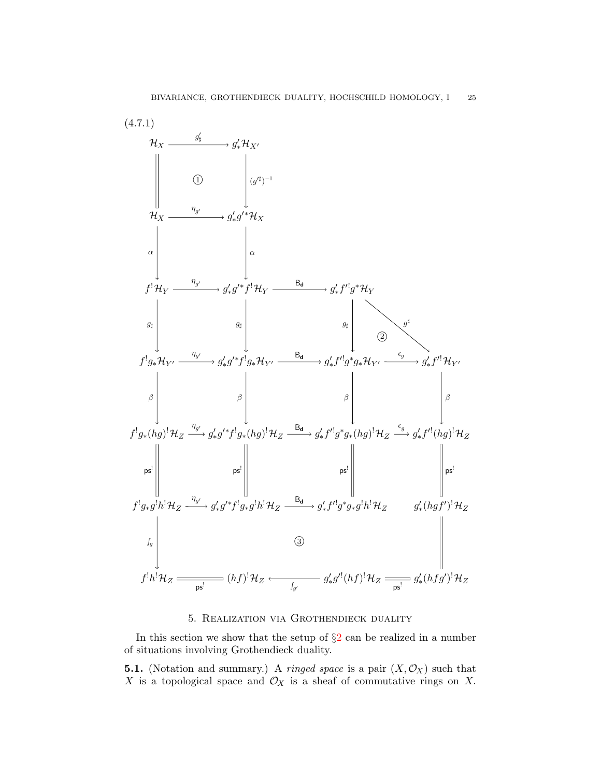

### 5. Realization via Grothendieck duality

<span id="page-24-1"></span><span id="page-24-0"></span>In this section we show that the setup of  $\S2$  $\S2$  can be realized in a number of situations involving Grothendieck duality.

<span id="page-24-2"></span>**5.1.** (Notation and summary.) A *ringed space* is a pair  $(X, \mathcal{O}_X)$  such that X is a topological space and  $\mathcal{O}_X$  is a sheaf of commutative rings on X.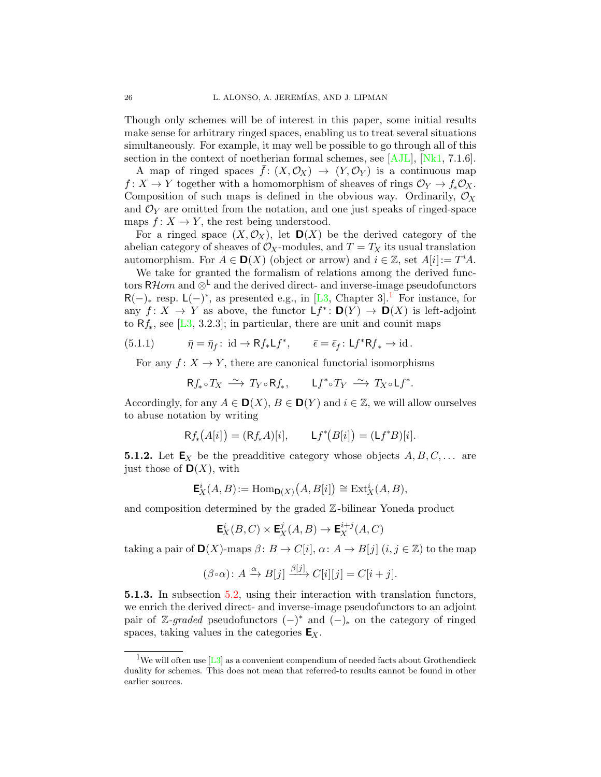Though only schemes will be of interest in this paper, some initial results make sense for arbitrary ringed spaces, enabling us to treat several situations simultaneously. For example, it may well be possible to go through all of this section in the context of noetherian formal schemes, see [\[AJL\]](#page-48-0), [\[Nk1,](#page-49-3) 7.1.6].

A map of ringed spaces  $\bar{f}: (X, \mathcal{O}_X) \to (Y, \mathcal{O}_Y)$  is a continuous map  $f: X \to Y$  together with a homomorphism of sheaves of rings  $\mathcal{O}_Y \to f_* \mathcal{O}_X$ . Composition of such maps is defined in the obvious way. Ordinarily,  $\mathcal{O}_X$ and  $\mathcal{O}_Y$  are omitted from the notation, and one just speaks of ringed-space maps  $f: X \to Y$ , the rest being understood.

For a ringed space  $(X, \mathcal{O}_X)$ , let  $\mathbf{D}(X)$  be the derived category of the abelian category of sheaves of  $\mathcal{O}_X$ -modules, and  $T = T_X$  its usual translation automorphism. For  $A \in \mathbf{D}(X)$  (object or arrow) and  $i \in \mathbb{Z}$ , set  $A[i] := T^i A$ .

We take for granted the formalism of relations among the derived functors RHom and  $\otimes^{\mathsf{L}}$  and the derived direct- and inverse-image pseudofunctors  $R(-)_*$  resp.  $L(-)^*$ , as presented e.g., in [\[L3,](#page-48-1) Chapter 3].<sup>[1](#page-25-0)</sup> For instance, for any  $f: X \to Y$  as above, the functor  $Lf^*: \mathbf{D}(Y) \to \mathbf{D}(X)$  is left-adjoint to  $Rf_*$ , see [\[L3,](#page-48-1) 3.2.3]; in particular, there are unit and counit maps

(5.1.1) 
$$
\bar{\eta} = \bar{\eta}_f : \text{id} \to \mathsf{R} f_* \mathsf{L} f^*, \qquad \bar{\epsilon} = \bar{\epsilon}_f : \mathsf{L} f^* \mathsf{R} f_* \to \text{id}.
$$

For any  $f: X \to Y$ , there are canonical functorial isomorphisms

<span id="page-25-2"></span>
$$
\mathsf{R} f_*\circ T_X\;\overset{\sim}{\longrightarrow}\; T_Y\circ\mathsf{R} f_*\,,\qquad \mathsf{L} f^*\circ T_Y\;\overset{\sim}{\longrightarrow}\; T_X\circ\mathsf{L} f^*.
$$

Accordingly, for any  $A \in \mathbf{D}(X)$ ,  $B \in \mathbf{D}(Y)$  and  $i \in \mathbb{Z}$ , we will allow ourselves to abuse notation by writing

$$
Rf_*(A[i]) = (Rf_*A)[i], \qquad Lf^*(B[i]) = (Lf^*B)[i].
$$

**5.1.2.** Let  $\mathbf{E}_X$  be the preadditive category whose objects  $A, B, C, \ldots$  are just those of  $\mathbf{D}(X)$ , with

$$
\mathbf{E}^i_X(A, B) := \text{Hom}_{\mathbf{D}(X)}(A, B[i]) \cong \text{Ext}^i_X(A, B),
$$

and composition determined by the graded Z-bilinear Yoneda product

$$
\mathbf{E}^i_X(B,C)\times \mathbf{E}^j_X(A,B)\to \mathbf{E}^{i+j}_X(A,C)
$$

taking a pair of  $\mathbf{D}(X)$ -maps  $\beta: B \to C[i], \alpha: A \to B[j]$   $(i, j \in \mathbb{Z})$  to the map

$$
(\beta \circ \alpha) : A \xrightarrow{\alpha} B[j] \xrightarrow{\beta[j]} C[i][j] = C[i+j].
$$

<span id="page-25-1"></span>5.1.3. In subsection [5.2,](#page-27-0) using their interaction with translation functors, we enrich the derived direct- and inverse-image pseudofunctors to an adjoint pair of Z-graded pseudofunctors  $(-)^*$  and  $(-)_*$  on the category of ringed spaces, taking values in the categories  $E_X$ .

<span id="page-25-0"></span><sup>&</sup>lt;sup>1</sup>We will often use [\[L3\]](#page-48-1) as a convenient compendium of needed facts about Grothendieck duality for schemes. This does not mean that referred-to results cannot be found in other earlier sources.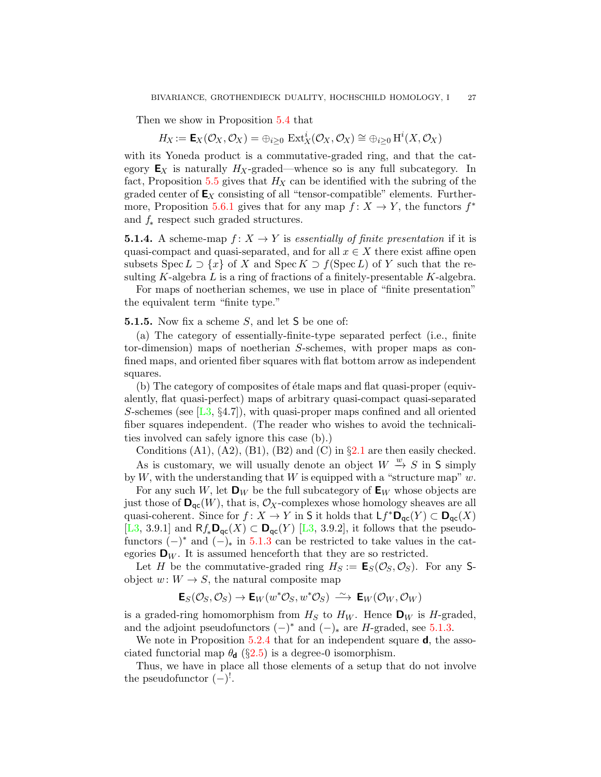Then we show in Proposition [5.4](#page-30-0) that

$$
H_X := \mathsf{E}_X(\mathcal{O}_X, \mathcal{O}_X) = \oplus_{i \geq 0} \ \mathrm{Ext}^i_X(\mathcal{O}_X, \mathcal{O}_X) \cong \oplus_{i \geq 0} \mathrm{H}^i(X, \mathcal{O}_X)
$$

with its Yoneda product is a commutative-graded ring, and that the category  $\mathbf{E}_X$  is naturally  $H_X$ -graded—whence so is any full subcategory. In fact, Proposition [5.5](#page-31-0) gives that  $H_X$  can be identified with the subring of the graded center of  $\mathsf{E}_X$  consisting of all "tensor-compatible" elements. Further-more, Proposition [5.6.1](#page-34-0) gives that for any map  $f: X \to Y$ , the functors  $f^*$ and  $f_*$  respect such graded structures.

<span id="page-26-1"></span>**5.1.4.** A scheme-map  $f: X \to Y$  is essentially of finite presentation if it is quasi-compact and quasi-separated, and for all  $x \in X$  there exist affine open subsets Spec  $L \supset \{x\}$  of X and Spec  $K \supset f(\text{Spec } L)$  of Y such that the resulting K-algebra  $L$  is a ring of fractions of a finitely-presentable K-algebra.

For maps of noetherian schemes, we use in place of "finite presentation" the equivalent term "finite type."

<span id="page-26-0"></span>**5.1.5.** Now fix a scheme  $S$ , and let  $S$  be one of:

(a) The category of essentially-finite-type separated perfect (i.e., finite tor-dimension) maps of noetherian S-schemes, with proper maps as confined maps, and oriented fiber squares with flat bottom arrow as independent squares.

(b) The category of composites of étale maps and flat quasi-proper (equivalently, flat quasi-perfect) maps of arbitrary quasi-compact quasi-separated S-schemes (see  $[L3, §4.7]$  $[L3, §4.7]$ ), with quasi-proper maps confined and all oriented fiber squares independent. (The reader who wishes to avoid the technicalities involved can safely ignore this case (b).)

Conditions  $(A1)$ ,  $(A2)$ ,  $(B1)$ ,  $(B2)$  and  $(C)$  in  $\S 2.1$  $\S 2.1$  are then easily checked. As is customary, we will usually denote an object  $W \stackrel{w}{\rightarrow} S$  in S simply

by W, with the understanding that W is equipped with a "structure map"  $w$ . For any such W, let  $\mathbf{D}_W$  be the full subcategory of  $\mathbf{E}_W$  whose objects are

just those of  $\mathbf{D}_{\text{qc}}(W)$ , that is,  $\mathcal{O}_X$ -complexes whose homology sheaves are all quasi-coherent. Since for  $f: X \to Y$  in S it holds that  $\mathsf{L} f^* \mathsf{D}_{\mathsf{qc}}(Y) \subset \mathsf{D}_{\mathsf{qc}}(X)$ [\[L3,](#page-48-1) 3.9.1] and  $Rf_*\mathbf{D}_{\mathsf{qc}}(X) \subset \mathbf{D}_{\mathsf{qc}}(Y)$  [L3, 3.9.2], it follows that the pseudofunctors  $(-)^*$  and  $(-)_*$  in [5.1.3](#page-25-1) can be restricted to take values in the categories  $\mathbf{D}_W$ . It is assumed henceforth that they are so restricted.

Let H be the commutative-graded ring  $H_S := \mathsf{E}_S(\mathcal{O}_S, \mathcal{O}_S)$ . For any Sobject  $w: W \to S$ , the natural composite map

$$
\mathsf{E}_S(\mathcal{O}_S,\mathcal{O}_S) \to \mathsf{E}_W(w^*\mathcal{O}_S,w^*\mathcal{O}_S) \xrightarrow{\sim} \mathsf{E}_W(\mathcal{O}_W,\mathcal{O}_W)
$$

is a graded-ring homomorphism from  $H_S$  to  $H_W$ . Hence  $\mathbf{D}_W$  is H-graded, and the adjoint pseudofunctors  $(-)^*$  and  $(-)_*$  are H-graded, see [5.1.3.](#page-25-1)

We note in Proposition [5.2.4](#page-29-0) that for an independent square **d**, the associated functorial map  $\theta_d$  (§[2.5\)](#page-9-0) is a degree-0 isomorphism.

Thus, we have in place all those elements of a setup that do not involve the pseudofunctor  $(-)^!$ .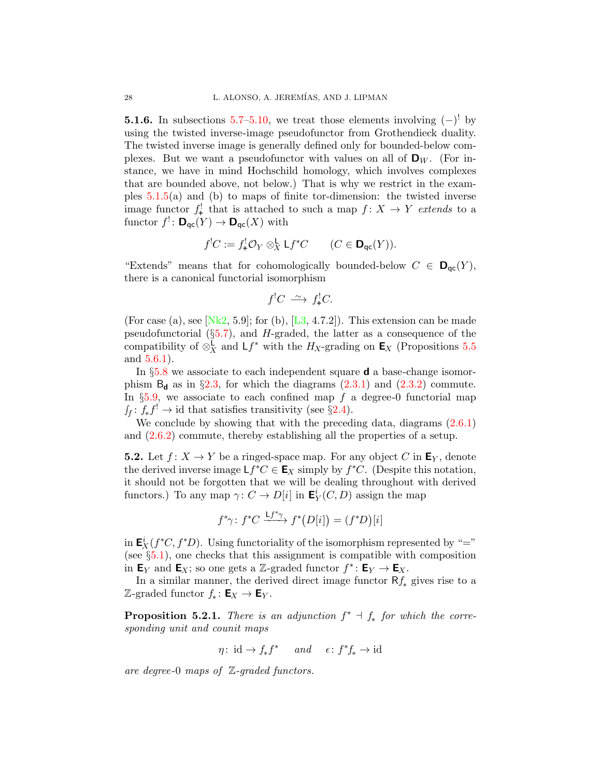**5.1.6.** In subsections  $5.7-5.10$  $5.7-5.10$ , we treat those elements involving  $(-)^{!}$  by using the twisted inverse-image pseudofunctor from Grothendieck duality. The twisted inverse image is generally defined only for bounded-below complexes. But we want a pseudofunctor with values on all of  $\mathbf{D}_W$ . (For instance, we have in mind Hochschild homology, which involves complexes that are bounded above, not below.) That is why we restrict in the examples  $5.1.5(a)$  $5.1.5(a)$  and (b) to maps of finite tor-dimension: the twisted inverse image functor  $f^!$  that is attached to such a map  $f: X \to Y$  extends to a functor  $f^! \colon \mathbf{D}_{\mathsf{qc}}(Y) \to \mathbf{D}_{\mathsf{qc}}(X)$  with

$$
f^{!}C := f^{!}_{+}\mathcal{O}_{Y} \otimes_{X}^{\mathsf{L}} \mathsf{L} f^{*}C \qquad (C \in \mathsf{D}_{\mathsf{qc}}(Y)).
$$

"Extends" means that for cohomologically bounded-below  $C \in \mathbf{D}_{\mathsf{qc}}(Y)$ , there is a canonical functorial isomorphism

$$
f^{!}C \stackrel{\sim}{\longrightarrow} f^{!}_{+}C.
$$

(For case (a), see [\[Nk2,](#page-49-2) 5.9]; for (b),  $[L3, 4.7.2]$  $[L3, 4.7.2]$ ). This extension can be made pseudofunctorial  $(\S 5.7)$  $(\S 5.7)$ , and H-graded, the latter as a consequence of the compatibility of  $\otimes_X^{\mathsf{L}}$  and  $\mathsf{L}f^*$  with the  $H_X$ -grading on  $\mathsf{E}_X$  (Propositions [5.5](#page-31-0) and [5.6.1\)](#page-34-0).

In  $\S5.8$  $\S5.8$  we associate to each independent square **d** a base-change isomorphism  $B_d$  as in §[2.3,](#page-7-2) for which the diagrams [\(2.3.1\)](#page-7-0) and [\(2.3.2\)](#page-7-1) commute. In  $\S5.9$ , we associate to each confined map f a degree-0 functorial map  $f_f: f_* f^! \to id$  that satisfies transitivity (see §[2.4\)](#page-8-2).

We conclude by showing that with the preceding data, diagrams  $(2.6.1)$ and [\(2.6.2\)](#page-9-2) commute, thereby establishing all the properties of a setup.

<span id="page-27-0"></span>**5.2.** Let  $f: X \to Y$  be a ringed-space map. For any object C in  $\mathbf{E}_Y$ , denote the derived inverse image  $Lf^*C \in \mathbf{E}_X$  simply by  $f^*C$ . (Despite this notation, it should not be forgotten that we will be dealing throughout with derived functors.) To any map  $\gamma: C \to D[i]$  in  $\mathbf{E}_Y^i(C, D)$  assign the map

$$
f^*\gamma\colon f^*C \xrightarrow{\mathsf{L}f^*\gamma} f^*\big(D[i]\big) = (f^*D)[i]
$$

in  $\mathbf{E}_X^i(f^*C, f^*D)$ . Using functoriality of the isomorphism represented by "=" (see §[5.1\)](#page-24-2), one checks that this assignment is compatible with composition in  $\mathsf{E}_Y$  and  $\mathsf{E}_X$ ; so one gets a Z-graded functor  $f^* \colon \mathsf{E}_Y \to \mathsf{E}_X$ .

In a similar manner, the derived direct image functor  $Rf_*$  gives rise to a Z-graded functor  $f_*: \mathsf{E}_X \to \mathsf{E}_Y$ .

<span id="page-27-1"></span>**Proposition 5.2.1.** There is an adjunction  $f^* \dashv f_*$  for which the corresponding unit and counit maps

$$
\eta\colon \operatorname{id} \to f_*f^* \quad \textit{ and } \quad \epsilon\colon f^*f_* \to \operatorname{id}
$$

are degree-0 maps of Z-graded functors.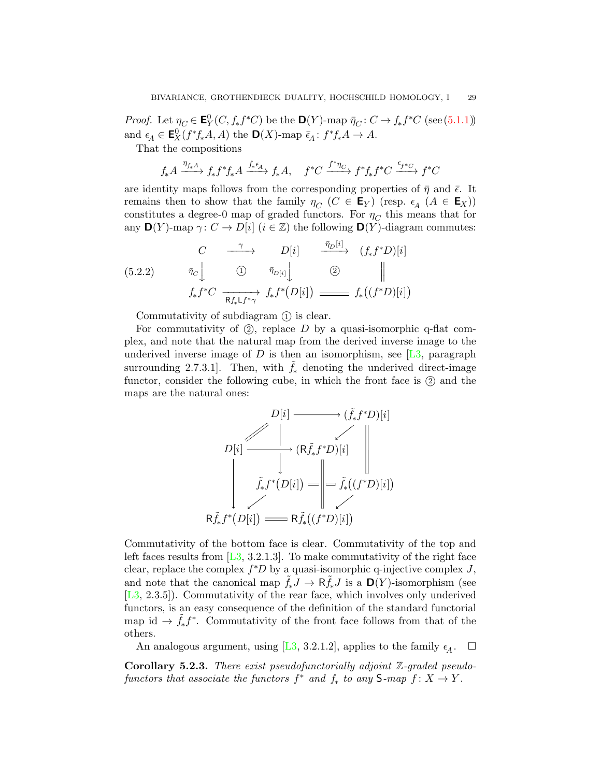*Proof.* Let  $\eta_C \in \mathbf{E}^0_Y(C, f_* f^*C)$  be the  $\mathbf{D}(Y)$ -map  $\bar{\eta}_C : C \to f_* f^*C$  (see [\(5.1.1\)](#page-25-2)) and  $\epsilon_A \in \mathbf{E}_X^0(f^*f_*A, A)$  the  $\mathbf{D}(X)$ -map  $\bar{\epsilon}_A: f^*f_*A \to A$ .

That the compositions

$$
f_* A \xrightarrow{\eta_{f_* A}} f_* f^* f_* A \xrightarrow{f_* \epsilon_A} f_* A, \quad f^* C \xrightarrow{f^* \eta_C} f^* f_* f^* C \xrightarrow{\epsilon_{f^* C}} f^* C
$$

are identity maps follows from the corresponding properties of  $\bar{\eta}$  and  $\bar{\epsilon}$ . It remains then to show that the family  $\eta_C$  ( $C \in \mathsf{E}_Y$ ) (resp.  $\epsilon_A$  ( $A \in \mathsf{E}_X$ )) constitutes a degree-0 map of graded functors. For  $\eta_C$  this means that for any  $\mathbf{D}(Y)$ -map  $\gamma: C \to D[i]$   $(i \in \mathbb{Z})$  the following  $\mathbf{D}(Y)$ -diagram commutes:

 $\overline{a}$  in  $\overline{a}$ 

<span id="page-28-1"></span>
$$
(5.2.2) \quad\n\begin{array}{ccc}\nC & \xrightarrow{\gamma} & D[i] & \xrightarrow{\bar{\eta}_D[i]} & (f_*f^*D)[i] \\
\varphi_c \downarrow & \xrightarrow{\bar{\eta}_D[i]} & \xrightarrow{\bar{\eta}_D[i]} & \xrightarrow{\bar{\eta}_D[i]} & \\
f_*f^*C & \xrightarrow{\overline{\mathsf{R}f_*\mathsf{L}f^*\gamma}} & f_*f^*(D[i]) & \xrightarrow{\text{max}} & f_*((f^*D)[i])\n\end{array}
$$

Commutativity of subdiagram  $(1)$  is clear.

For commutativity of  $(2)$ , replace D by a quasi-isomorphic q-flat complex, and note that the natural map from the derived inverse image to the underived inverse image of D is then an isomorphism, see  $[L3,$  paragraph surrounding 2.7.3.1]. Then, with  $f_*$  denoting the underived direct-image functor, consider the following cube, in which the front face is  $(2)$  and the maps are the natural ones:

$$
D[i] \longrightarrow (\tilde{f}_* f^* D)[i]
$$
\n
$$
D[i] \longrightarrow (\mathsf{R}\tilde{f}_* f^* D)[i]
$$
\n
$$
\tilde{f}_* f^* (D[i]) = \bigg\| = \tilde{f}_* ((f^* D)[i])
$$
\n
$$
\mathsf{R}\tilde{f}_* f^* (D[i]) \longrightarrow \mathsf{R}\tilde{f}_* ((f^* D)[i])
$$

Commutativity of the bottom face is clear. Commutativity of the top and left faces results from  $[L3, 3.2.1.3]$  $[L3, 3.2.1.3]$ . To make commutativity of the right face clear, replace the complex  $f^*D$  by a quasi-isomorphic q-injective complex J, and note that the canonical map  $f_*J \to \mathsf{R} f_*J$  is a  $\mathsf{D}(Y)$ -isomorphism (see [\[L3,](#page-48-1) 2.3.5]). Commutativity of the rear face, which involves only underived functors, is an easy consequence of the definition of the standard functorial map id  $\rightarrow \tilde{f}_{*}f^{*}$ . Commutativity of the front face follows from that of the others.

An analogous argument, using [\[L3,](#page-48-1) 3.2.1.2], applies to the family  $\epsilon_A$ .  $\Box$ 

<span id="page-28-0"></span>Corollary 5.2.3. There exist pseudofunctorially adjoint Z-graded pseudofunctors that associate the functors  $f^*$  and  $f_*$  to any  $S$ -map  $f: X \to Y$ .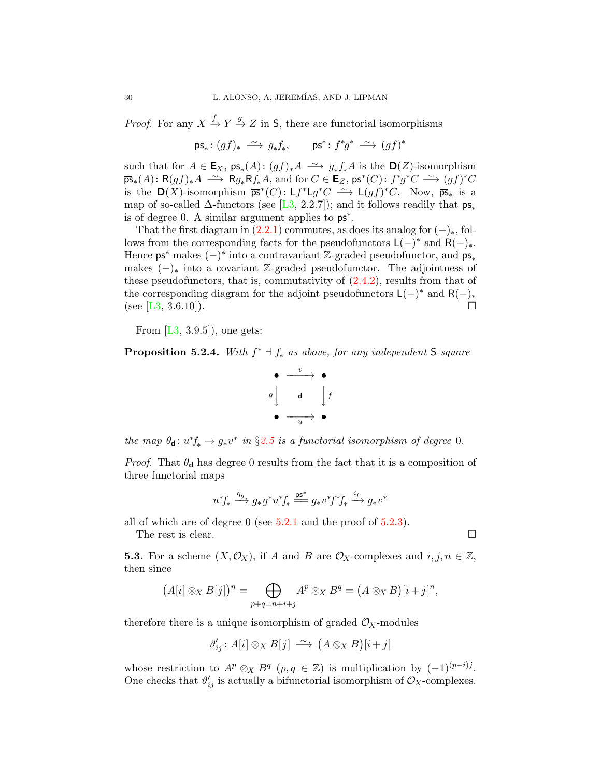*Proof.* For any  $X \xrightarrow{f} Y \xrightarrow{g} Z$  in S, there are functorial isomorphisms

 $\mathsf{ps}_* \colon (gf)_* \stackrel{\sim}{\longrightarrow} g_* f_*$ ,  $\qquad \mathsf{ps}^* \colon f^* g^* \stackrel{\sim}{\longrightarrow} (gf)^*$ 

such that for  $A \in \mathbf{E}_X$ ,  $\mathsf{ps}_*(A) : (gf)_*A \longrightarrow g_*f_*A$  is the  $\mathbf{D}(Z)$ -isomorphism  $\overline{\mathsf{ps}}_*(A) \colon \mathsf{R}(gf)_*A \longrightarrow \mathsf{R}g_*\mathsf{R}f_*A$ , and for  $C \in \mathsf{E}_Z$ ,  $\mathsf{ps}^*(C) \colon f^*g^*C \longrightarrow (gf)^*C$ is the  $\mathbf{D}(X)$ -isomorphism  $\overline{ps}^*(C): Lf^*Lg^*C \longrightarrow L(gf)^*C$ . Now,  $\overline{ps}_*$  is a map of so-called  $\Delta$ -functors (see [\[L3,](#page-48-1) 2.2.7]); and it follows readily that  $ps_*$ is of degree 0. A similar argument applies to ps<sup>∗</sup> .

That the first diagram in  $(2.2.1)$  commutes, as does its analog for  $(-)_*,$  follows from the corresponding facts for the pseudofunctors  $\mathsf{L}(-)^*$  and  $\mathsf{R}(-)_*.$ Hence  $ps^*$  makes  $(-)^*$  into a contravariant Z-graded pseudofunctor, and  $ps_*$ makes  $(-)_*$  into a covariant Z-graded pseudofunctor. The adjointness of these pseudofunctors, that is, commutativity of  $(2.4.2)$ , results from that of the corresponding diagram for the adjoint pseudofunctors  $\mathsf{L}(-)$ <sup>\*</sup> and  $\mathsf{R}(-)$ <sub>\*</sub> (see [\[L3,](#page-48-1) 3.6.10]).

From  $[L3, 3.9.5]$  $[L3, 3.9.5]$ , one gets:

<span id="page-29-0"></span>**Proposition 5.2.4.** With  $f^* \dashv f_*$  as above, for any independent S-square

$$
\begin{array}{c}\n\bullet \quad \xrightarrow{v} \quad \bullet \\
g \downarrow \quad \mathbf{d} \quad \downarrow f \\
\bullet \quad \xrightarrow{u} \quad \bullet\n\end{array}
$$

the map  $\theta_{d}: u^*f_* \to g_*v^*$  in §[2.5](#page-9-0) is a functorial isomorphism of degree 0.

*Proof.* That  $\theta_d$  has degree 0 results from the fact that it is a composition of three functorial maps

$$
u^*f_* \xrightarrow{\eta_g} g_*g^*u^*f_* \xrightarrow{\text{ps}^*} g_*v^*f^*f_* \xrightarrow{\epsilon_f} g_*v^*
$$

all of which are of degree 0 (see [5.2.1](#page-27-1) and the proof of [5.2.3\)](#page-28-0).

The rest is clear.  $\Box$ 

**5.3.** For a scheme  $(X, \mathcal{O}_X)$ , if A and B are  $\mathcal{O}_X$ -complexes and  $i, j, n \in \mathbb{Z}$ , then since

$$
(A[i] \otimes_X B[j])^n = \bigoplus_{p+q=n+i+j} A^p \otimes_X B^q = (A \otimes_X B)[i+j]^n,
$$

therefore there is a unique isomorphism of graded  $\mathcal{O}_X$ -modules

$$
\vartheta'_{ij} \colon A[i] \otimes_X B[j] \stackrel{\sim}{\longrightarrow} (A \otimes_X B)[i+j]
$$

whose restriction to  $A^p \otimes_X B^q$   $(p, q \in \mathbb{Z})$  is multiplication by  $(-1)^{(p-i)j}$ . One checks that  $\vartheta'_{ij}$  is actually a bifunctorial isomorphism of  $\mathcal{O}_X$ -complexes.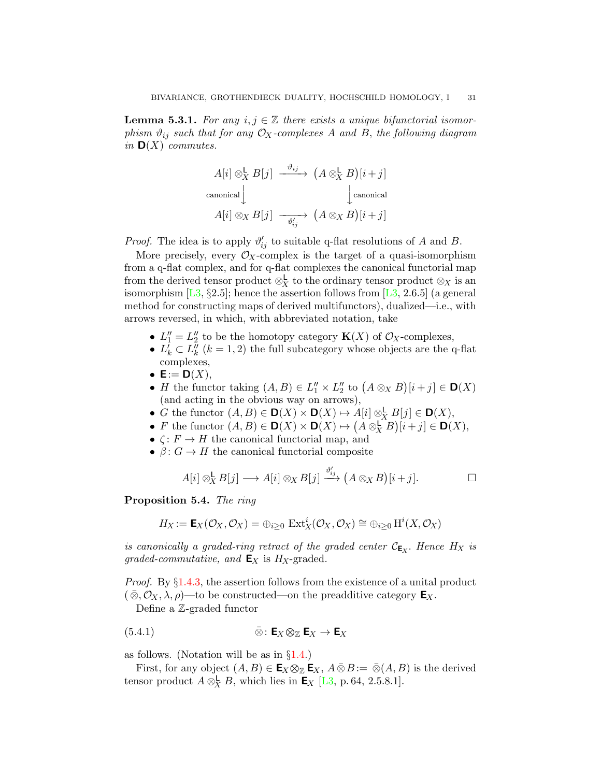<span id="page-30-1"></span>**Lemma 5.3.1.** For any  $i, j \in \mathbb{Z}$  there exists a unique bifunctorial isomorphism  $\vartheta_{ij}$  such that for any  $\mathcal{O}_X$ -complexes A and B, the following diagram in  $\mathbf{D}(X)$  commutes.

$$
A[i] \otimes_X^{\mathsf{L}} B[j] \xrightarrow{\vartheta_{ij}} (A \otimes_X^{\mathsf{L}} B)[i+j]
$$
  
canonical  

$$
A[i] \otimes_X B[j] \xrightarrow{\vartheta_{ij}} (A \otimes_X B)[i+j]
$$

*Proof.* The idea is to apply  $\vartheta'_{ij}$  to suitable q-flat resolutions of A and B.

More precisely, every  $\mathcal{O}_X$ -complex is the target of a quasi-isomorphism from a q-flat complex, and for q-flat complexes the canonical functorial map from the derived tensor product  $\otimes_X^{\mathsf{L}}$  to the ordinary tensor product  $\otimes_X$  is an isomorphism  $[L3, §2.5]$  $[L3, §2.5]$ ; hence the assertion follows from  $[L3, 2.6.5]$  (a general method for constructing maps of derived multifunctors), dualized—i.e., with arrows reversed, in which, with abbreviated notation, take

- $L_1'' = L_2''$  to be the homotopy category  $\mathbf{K}(X)$  of  $\mathcal{O}_X$ -complexes,
- $L_k^{\tilde{l}} \subset L_k^{\tilde{l}}$  ( $k = 1, 2$ ) the full subcategory whose objects are the q-flat complexes,
- $\mathsf{E} := \mathsf{D}(X),$
- *H* the functor taking  $(A, B) \in L_1'' \times L_2''$  to  $(A \otimes_X B)[i + j] \in \mathbf{D}(X)$ (and acting in the obvious way on arrows),
- G the functor  $(A, B) \in \mathbf{D}(X) \times \mathbf{D}(X) \mapsto A[i] \otimes_X^{\mathsf{L}} B[j] \in \mathbf{D}(X)$ ,
- *F* the functor  $(A, B) \in \mathbf{D}(X) \times \mathbf{D}(X) \mapsto (A \otimes_X^{\mathbf{L}} B)[i + j] \in \mathbf{D}(X)$ ,
- $\zeta: F \to H$  the canonical functorial map, and
- $\beta: G \to H$  the canonical functorial composite

$$
A[i] \otimes_X^{\mathsf{L}} B[j] \longrightarrow A[i] \otimes_X B[j] \stackrel{\vartheta'_{ij}}{\longrightarrow} (A \otimes_X B)[i+j]. \square
$$

<span id="page-30-0"></span>Proposition 5.4. The ring

$$
H_X:=\mathsf{E}_X(\mathcal{O}_X,\mathcal{O}_X)=\oplus_{i\geq 0}\,\operatorname{Ext}^i_X(\mathcal{O}_X,\mathcal{O}_X)\cong \oplus_{i\geq 0}\operatorname{H}^i(X,\mathcal{O}_X)
$$

is canonically a graded-ring retract of the graded center  $\mathcal{C}_{\mathsf{E}_X}$ . Hence  $H_X$  is graded-commutative, and  $\mathbf{E}_X$  is  $H_X$ -graded.

Proof. By §[1.4.3,](#page-5-1) the assertion follows from the existence of a unital product  $(\bar{\otimes}, \mathcal{O}_X, \lambda, \rho)$ —to be constructed—on the preadditive category  $\mathbf{E}_X$ .

<span id="page-30-2"></span>Define a Z-graded functor

(5.4.1) 
$$
\bar{\otimes} : \mathbf{E}_X \otimes_{\mathbb{Z}} \mathbf{E}_X \to \mathbf{E}_X
$$

as follows. (Notation will be as in §[1.4.](#page-5-2))

First, for any object  $(A, B) \in \mathbf{E}_X \otimes_{\mathbb{Z}} \mathbf{E}_X$ ,  $A \bar{\otimes} B := \bar{\otimes} (A, B)$  is the derived tensor product  $A \otimes_X^{\mathsf{L}} B$ , which lies in  $\mathsf{E}_X$  [\[L3,](#page-48-1) p. 64, 2.5.8.1].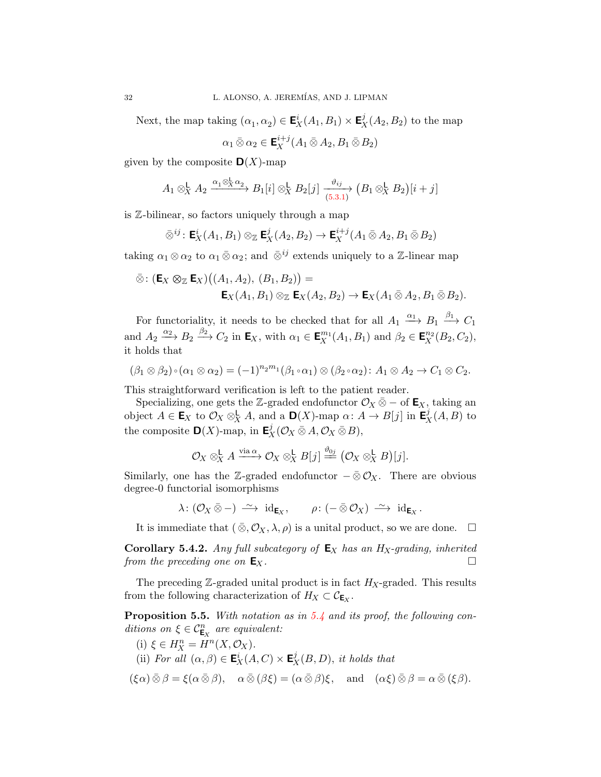Next, the map taking  $(\alpha_1, \alpha_2) \in \mathbf{E}_X^i(A_1, B_1) \times \mathbf{E}_X^j(A_2, B_2)$  to the map

$$
\alpha_1 \,\bar{\otimes}\, \alpha_2 \in \mathbf{E}_X^{i+j}(A_1 \,\bar{\otimes}\, A_2, B_1 \,\bar{\otimes}\, B_2)
$$

given by the composite  $\mathbf{D}(X)$ -map

$$
A_1 \otimes_X^{\mathsf{L}} A_2 \xrightarrow{\alpha_1 \otimes_X^{\mathsf{L}} \alpha_2} B_1[i] \otimes_X^{\mathsf{L}} B_2[j] \xrightarrow{\vartheta_{ij}} (B_1 \otimes_X^{\mathsf{L}} B_2)[i+j]
$$

is Z-bilinear, so factors uniquely through a map

$$
\bar{\otimes}^{ij} : \mathbf{E}_X^i(A_1, B_1) \otimes_{\mathbb{Z}} \mathbf{E}_X^j(A_2, B_2) \to \mathbf{E}_X^{i+j}(A_1 \bar{\otimes} A_2, B_1 \bar{\otimes} B_2)
$$

taking  $\alpha_1 \otimes \alpha_2$  to  $\alpha_1 \bar{\otimes} \alpha_2$ ; and  $\bar{\otimes}^{ij}$  extends uniquely to a Z-linear map

$$
\bar{\otimes} \colon (\mathbf{E}_X \otimes_{\mathbb{Z}} \mathbf{E}_X)((A_1, A_2), (B_1, B_2)) =
$$
  

$$
\mathbf{E}_X(A_1, B_1) \otimes_{\mathbb{Z}} \mathbf{E}_X(A_2, B_2) \to \mathbf{E}_X(A_1 \bar{\otimes} A_2, B_1 \bar{\otimes} B_2).
$$

For functoriality, it needs to be checked that for all  $A_1 \xrightarrow{\alpha_1} B_1 \xrightarrow{\beta_1} C_1$ and  $A_2 \xrightarrow{\alpha_2} B_2 \xrightarrow{\beta_2} C_2$  in  $\mathbf{E}_X$ , with  $\alpha_1 \in \mathbf{E}_X^{m_1}(A_1, B_1)$  and  $\beta_2 \in \mathbf{E}_X^{n_2}(B_2, C_2)$ , it holds that

$$
(\beta_1 \otimes \beta_2) \circ (\alpha_1 \otimes \alpha_2) = (-1)^{n_2 m_1} (\beta_1 \circ \alpha_1) \otimes (\beta_2 \circ \alpha_2) : A_1 \otimes A_2 \to C_1 \otimes C_2.
$$

This straightforward verification is left to the patient reader.

Specializing, one gets the Z-graded endofunctor  $\mathcal{O}_X \bar{\otimes} -$  of  $\mathsf{E}_X$ , taking an object  $A \in \mathbf{E}_X$  to  $\mathcal{O}_X \otimes_X^{\mathsf{L}} A$ , and a  $\mathbf{D}(X)$ -map  $\alpha \colon A \to B[j]$  in  $\mathbf{E}_X^j(A, B)$  to the composite  $\mathbf{D}(X)$ -map, in  $\mathbf{E}_X^j(\mathcal{O}_X\bar{\otimes}A,\mathcal{O}_X\bar{\otimes}B)$ ,

$$
\mathcal{O}_X \otimes_X^{\mathsf{L}} A \xrightarrow{\text{via }\alpha} \mathcal{O}_X \otimes_X^{\mathsf{L}} B[j] \xrightarrow{\vartheta_{0j}} (\mathcal{O}_X \otimes_X^{\mathsf{L}} B)[j].
$$

Similarly, one has the Z-graded endofunctor  $-\bar{\otimes}\mathcal{O}_X$ . There are obvious degree-0 functorial isomorphisms

$$
\lambda\colon (\mathcal{O}_X\,\bar{\otimes}\, -)\;\stackrel{\sim}{\longrightarrow}\; \mathrm{id}_{\mathsf{E}_X},\qquad \rho\colon (-\,\bar{\otimes}\,\mathcal{O}_X)\;\stackrel{\sim}{\longrightarrow}\;\mathrm{id}_{\mathsf{E}_X}\, .
$$

It is immediate that  $(\bar{\otimes}, \mathcal{O}_X, \lambda, \rho)$  is a unital product, so we are done.  $\Box$ 

<span id="page-31-1"></span>**Corollary 5.4.2.** Any full subcategory of  $E_X$  has an  $H_X$ -grading, inherited from the preceding one on  $E_X$ .

The preceding  $\mathbb{Z}$ -graded unital product is in fact  $H_X$ -graded. This results from the following characterization of  $H_X \subset \mathcal{C}_{\mathsf{E}_X}$ .

<span id="page-31-0"></span>Proposition 5.5. With notation as in [5.4](#page-30-0) and its proof, the following conditions on  $\xi \in \mathcal{C}_{\mathsf{E}_X}^n$  are equivalent:

(i)  $\xi \in H_X^n = H^n(X, \mathcal{O}_X)$ .

(ii) For all  $(\alpha, \beta) \in \mathbf{E}_X^i(A, C) \times \mathbf{E}_X^j(B, D)$ , it holds that

$$
(\xi \alpha) \bar{\otimes} \beta = \xi(\alpha \bar{\otimes} \beta), \quad \alpha \bar{\otimes} (\beta \xi) = (\alpha \bar{\otimes} \beta)\xi, \quad \text{and} \quad (\alpha \xi) \bar{\otimes} \beta = \alpha \bar{\otimes} (\xi \beta).
$$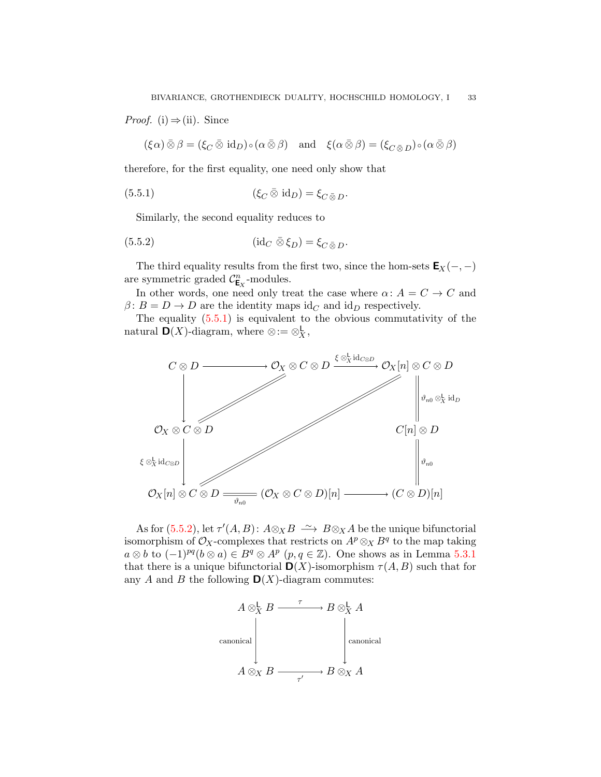*Proof.* (i)  $\Rightarrow$  (ii). Since

<span id="page-32-0"></span> $(\xi \alpha) \bar{\otimes} \beta = (\xi_C \bar{\otimes} \text{id}_D) \circ (\alpha \bar{\otimes} \beta) \text{ and } \xi(\alpha \bar{\otimes} \beta) = (\xi_C \bar{\otimes} D) \circ (\alpha \bar{\otimes} \beta)$ 

therefore, for the first equality, one need only show that

(5.5.1) 
$$
(\xi_C \,\overline{\otimes}\, \mathrm{id}_D) = \xi_{C \,\overline{\otimes}\, D}.
$$

<span id="page-32-1"></span>Similarly, the second equality reduces to

(5.5.2) 
$$
(\mathrm{id}_C \,\,\bar{\otimes}\,\xi_D) = \xi_{C \,\bar{\otimes}\, D}.
$$

The third equality results from the first two, since the hom-sets  $\mathbf{E}_X(-, -)$ are symmetric graded  $C_{\mathsf{E}_X}^n$ -modules.

In other words, one need only treat the case where  $\alpha: A = C \rightarrow C$  and  $\beta: B = D \to D$  are the identity maps id<sub>C</sub> and id<sub>D</sub> respectively.

The equality  $(5.5.1)$  is equivalent to the obvious commutativity of the natural  $\mathbf{D}(X)$ -diagram, where  $\otimes := \otimes_X^{\mathsf{L}}$ ,  $\frac{\mathsf{L}}{X},$ 



As for [\(5.5.2\)](#page-32-1), let  $\tau'(A, B)$ :  $A \otimes_X B \longrightarrow B \otimes_X A$  be the unique bifunctorial isomorphism of  $\mathcal{O}_X$ -complexes that restricts on  $A^p \otimes_X B^q$  to the map taking  $a \otimes b$  to  $(-1)^{pq} (b \otimes a) \in B^q \otimes A^p$   $(p, q \in \mathbb{Z})$ . One shows as in Lemma [5.3.1](#page-30-1) that there is a unique bifunctorial  $\mathbf{D}(X)$ -isomorphism  $\tau(A, B)$  such that for any A and B the following  $\mathbf{D}(X)$ -diagram commutes:

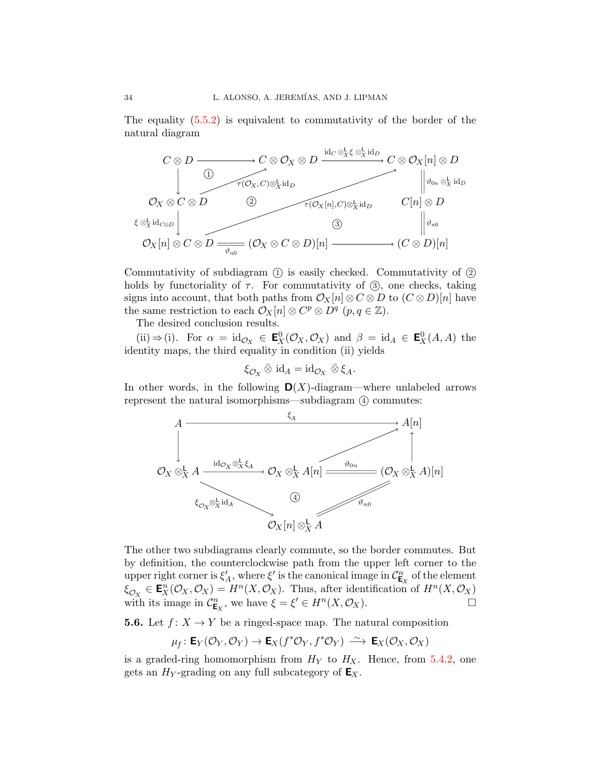The equality  $(5.5.2)$  is equivalent to commutativity of the border of the natural diagram



Commutativity of subdiagram (1) is easily checked. Commutativity of (2) holds by functoriality of  $\tau$ . For commutativity of  $\Im$ , one checks, taking signs into account, that both paths from  $\mathcal{O}_X[n] \otimes C \otimes D$  to  $(C \otimes D)[n]$  have the same restriction to each  $\mathcal{O}_X[n] \otimes C^p \otimes D^q$   $(p, q \in \mathbb{Z}).$ 

The desired conclusion results.

(ii)  $\Rightarrow$  (i). For  $\alpha = \text{id}_{\mathcal{O}_X} \in \mathbf{E}_X^0(\mathcal{O}_X, \mathcal{O}_X)$  and  $\beta = \text{id}_A \in \mathbf{E}_X^0(A, A)$  the identity maps, the third equality in condition (ii) yields

$$
\xi_{\mathcal{O}_X}\mathbin{\bar{\otimes}}\mathrm{id}_A=\mathrm{id}_{\mathcal{O}_X}\mathbin{\bar{\otimes}}\xi_A.
$$

In other words, in the following  $\mathbf{D}(X)$ -diagram—where unlabeled arrows represent the natural isomorphisms—subdiagram  $\alpha$  commutes:



The other two subdiagrams clearly commute, so the border commutes. But by definition, the counterclockwise path from the upper left corner to the upper right corner is  $\xi'_A$ , where  $\xi'$  is the canonical image in  $\mathcal{C}_{\mathsf{E}_X}^n$  of the element  $\xi_{\mathcal{O}_X} \in \mathbf{E}_X^n(\mathcal{O}_X, \mathcal{O}_X) = H^n(X, \mathcal{O}_X)$ . Thus, after identification of  $H^n(X, \mathcal{O}_X)$ with its image in  $\mathcal{C}_{\mathsf{E}_X}^n$ , we have  $\xi = \xi' \in H^n(X, \mathcal{O}_X)$ .

**5.6.** Let  $f: X \to Y$  be a ringed-space map. The natural composition

$$
\mu_f\colon \mathsf{E}_Y(\mathcal{O}_Y,\mathcal{O}_Y)\to \mathsf{E}_X(f^*\mathcal{O}_Y,f^*\mathcal{O}_Y)\,\xrightarrow{\,\sim\,} \,\mathsf{E}_X(\mathcal{O}_X,\mathcal{O}_X)
$$

is a graded-ring homomorphism from  $H_Y$  to  $H_X$ . Hence, from [5.4.2,](#page-31-1) one gets an  $H_Y$ -grading on any full subcategory of  $\mathsf{E}_X$ .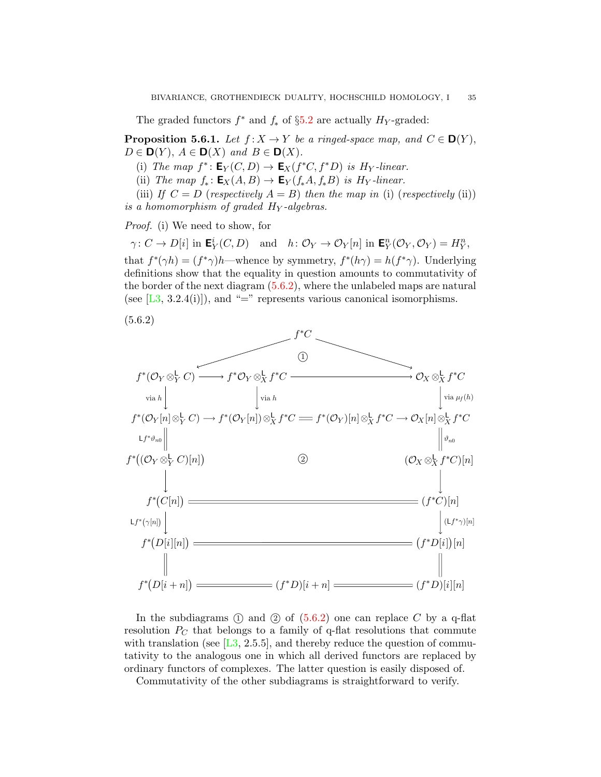The graded functors  $f^*$  and  $f_*$  of §[5.2](#page-27-0) are actually  $H_Y$ -graded:

<span id="page-34-0"></span>**Proposition 5.6.1.** Let  $f: X \to Y$  be a ringed-space map, and  $C \in \mathbf{D}(Y)$ ,  $D \in \mathbf{D}(Y)$ ,  $A \in \mathbf{D}(X)$  and  $B \in \mathbf{D}(X)$ .

(i) The map  $f^*$ :  $\mathbf{E}_Y(C,D) \to \mathbf{E}_X(f^*C, f^*D)$  is  $H_Y$ -linear.

(ii) The map  $f_*: \mathbf{E}_X(A, B) \to \mathbf{E}_Y(f_*A, f_*B)$  is  $H_Y$ -linear.

(iii) If  $C = D$  (respectively  $A = B$ ) then the map in (i) (respectively (ii)) is a homomorphism of graded  $H_Y$ -algebras.

Proof. (i) We need to show, for

 $\gamma: C \to D[i]$  in  $\mathbf{E}_Y^i(C, D)$  and  $h: \mathcal{O}_Y \to \mathcal{O}_Y[n]$  in  $\mathbf{E}_Y^n(\mathcal{O}_Y, \mathcal{O}_Y) = H_Y^n$ , that  $f^*(\gamma h) = (f^*\gamma)h$ —whence by symmetry,  $f^*(h\gamma) = h(f^*\gamma)$ . Underlying definitions show that the equality in question amounts to commutativity of the border of the next diagram  $(5.6.2)$ , where the unlabeled maps are natural (see  $[L3, 3.2.4(i)]$  $[L3, 3.2.4(i)]$ ), and "=" represents various canonical isomorphisms.

(5.6.2)



<span id="page-34-1"></span>In the subdiagrams  $(1)$  and  $(2)$  of  $(5.6.2)$  one can replace C by a q-flat resolution  $P<sub>C</sub>$  that belongs to a family of q-flat resolutions that commute with translation (see  $[L3, 2.5.5]$  $[L3, 2.5.5]$ , and thereby reduce the question of commutativity to the analogous one in which all derived functors are replaced by ordinary functors of complexes. The latter question is easily disposed of.

Commutativity of the other subdiagrams is straightforward to verify.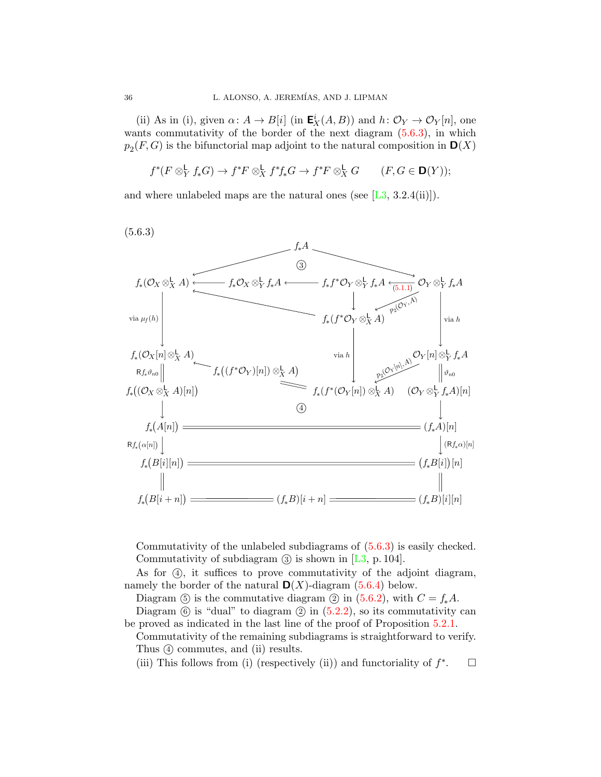(ii) As in (i), given  $\alpha \colon A \to B[i]$  (in  $\mathbf{E}_X^i(A, B)$ ) and  $h \colon \mathcal{O}_Y \to \mathcal{O}_Y[n]$ , one wants commutativity of the border of the next diagram  $(5.6.3)$ , in which  $p_2(F, G)$  is the bifunctorial map adjoint to the natural composition in  $\mathbf{D}(X)$ 

$$
f^*(F \otimes^{\mathsf{L}}_Y f_* G) \to f^*F \otimes^{\mathsf{L}}_X f^*f_* G \to f^*F \otimes^{\mathsf{L}}_X G \qquad (F, G \in \mathbf{D}(Y));
$$

and where unlabeled maps are the natural ones (see  $[L3, 3.2.4(ii)]$  $[L3, 3.2.4(ii)]$ ).

(5.6.3)



<span id="page-35-0"></span>Commutativity of the unlabeled subdiagrams of [\(5.6.3\)](#page-35-0) is easily checked. Commutativity of subdiagram  $\circled{3}$  is shown in [\[L3,](#page-48-1) p. 104].

As for  $(4)$ , it suffices to prove commutativity of the adjoint diagram, namely the border of the natural  $\mathbf{D}(X)$ -diagram [\(5.6.4\)](#page-36-1) below.

Diagram (5) is the commutative diagram (2) in [\(5.6.2\)](#page-34-1), with  $C = f_*A$ . Diagram  $\circled{6}$  is "dual" to diagram  $\circled{2}$  in  $(5.2.2)$ , so its commutativity can be proved as indicated in the last line of the proof of Proposition [5.2.1.](#page-27-1)

Commutativity of the remaining subdiagrams is straightforward to verify. Thus  $\Omega$  commutes, and (ii) results.

(iii) This follows from (i) (respectively (ii)) and functoriality of  $f^*$  $\Box$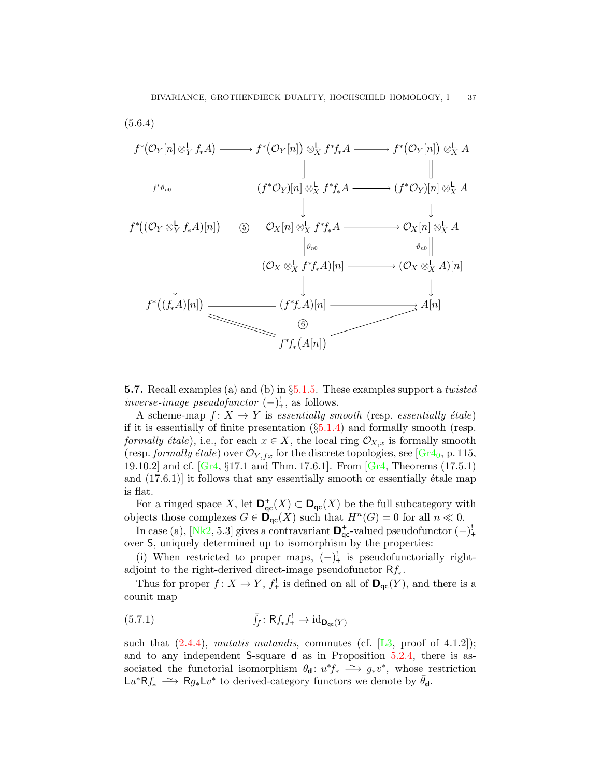

<span id="page-36-1"></span><span id="page-36-0"></span>**5.7.** Recall examples (a) and (b) in  $\S5.1.5$ . These examples support a *twisted inverse-image pseudofunctor*  $(-)^!_+$ , as follows.

A scheme-map  $f: X \to Y$  is essentially smooth (resp. essentially étale) if it is essentially of finite presentation  $(\S 5.1.4)$  $(\S 5.1.4)$  and formally smooth (resp. formally étale), i.e., for each  $x \in X$ , the local ring  $\mathcal{O}_{X,x}$  is formally smooth (resp. formally étale) over  $\mathcal{O}_{Y,fx}$  for the discrete topologies, see [\[Gr4](#page-48-19)<sub>0</sub>, p. 115, 19.10.2] and cf. [\[Gr4,](#page-48-20) §17.1 and Thm. 17.6.1]. From [\[Gr4,](#page-48-20) Theorems (17.5.1) and  $(17.6.1)$  it follows that any essentially smooth or essentially  $\acute{e}t$  and is flat.

For a ringed space X, let  $\mathbf{D}_{\mathsf{qc}}^+(X) \subset \mathbf{D}_{\mathsf{qc}}(X)$  be the full subcategory with objects those complexes  $G \in \mathbf{D}_{\mathrm{qc}}(X)$  such that  $H^{n}(G) = 0$  for all  $n \ll 0$ .

In case (a), [\[Nk2,](#page-49-2) 5.3] gives a contravariant  $\mathbf{D}_{\mathsf{qc}}^+$ -valued pseudofunctor  $(-)^!$ over S, uniquely determined up to isomorphism by the properties:

(i) When restricted to proper maps,  $(-)^!$  is pseudofunctorially rightadjoint to the right-derived direct-image pseudofunctor  $Rf_*$ .

Thus for proper  $f: X \to Y$ ,  $f^!_{\tau}$  is defined on all of  $\mathsf{D}_{\mathsf{qc}}(Y)$ , and there is a counit map

<span id="page-36-2"></span>(5.7.1) 
$$
\bar{f}_f: \mathsf{R} f_* f^!_{\mathsf{+}} \to \mathrm{id}_{\mathbf{D}_{\mathsf{qc}}(Y)}
$$

such that  $(2.4.4)$ , mutatis mutandis, commutes (cf. [\[L3,](#page-48-1) proof of 4.1.2]); and to any independent  $S$ -square **d** as in Proposition [5.2.4,](#page-29-0) there is associated the functorial isomorphism  $\theta_{\mathbf{d}}: u^* f_* \longrightarrow g_* v^*$ , whose restriction Lu<sup>\*</sup>Rf<sub>\*</sub>  $\xrightarrow{\sim}$  Rg<sub>\*</sub>Lv<sup>\*</sup> to derived-category functors we denote by  $\bar{\theta}_d$ .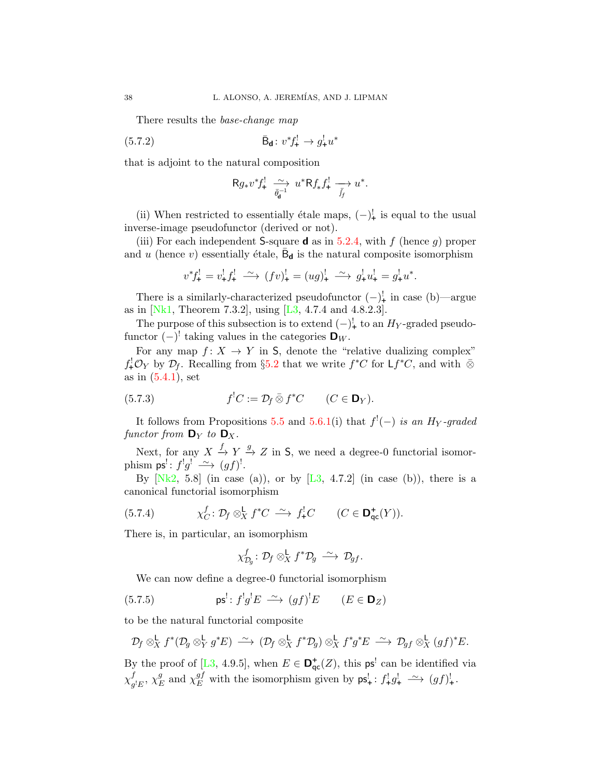There results the base-change map

(5.7.2) 
$$
\bar{\mathbf{B}}_{\mathbf{d}}: v^* f^!_{+} \to g^!_{+} u^*
$$

that is adjoint to the natural composition

<span id="page-37-0"></span>
$$
\mathsf{R} g_* v^* f^!_{+} \xrightarrow[\bar{\theta}_{\mathbf{d}}^{-1}]{} u^* \mathsf{R} f_* f^!_{+} \xrightarrow[\bar{f}_f]{} u^*.
$$

(ii) When restricted to essentially étale maps,  $(-)^1$ <sub>+</sub> is equal to the usual inverse-image pseudofunctor (derived or not).

(iii) For each independent S-square **d** as in [5.2.4,](#page-29-0) with f (hence g) proper and u (hence v) essentially étale,  $\bar{B}_{d}$  is the natural composite isomorphism

$$
v^* f^!_+ = v^!_+ f^!_+ \xrightarrow{\sim} (f v)^!_+ = (u g)^!_+ \xrightarrow{\sim} g^!_+ u^!_+ = g^!_+ u^*.
$$

There is a similarly-characterized pseudofunctor  $(-)^!_+$  in case (b)—argue as in [\[Nk1,](#page-49-3) Theorem 7.3.2], using [\[L3,](#page-48-1) 4.7.4 and 4.8.2.3].

The purpose of this subsection is to extend  $(-)^!$  to an  $H_Y$ -graded pseudofunctor  $(-)^!$  taking values in the categories  $\mathbf{D}_W$ .

For any map  $f: X \to Y$  in S, denote the "relative dualizing complex"  $f^!_*\mathcal{O}_Y$  by  $\mathcal{D}_f$ . Recalling from §[5.2](#page-27-0) that we write  $f^*C$  for  $\mathsf{L} f^*C$ , and with  $\bar{\otimes}$ as in  $(5.4.1)$ , set

<span id="page-37-1"></span>(5.7.3) 
$$
f^{!}C := \mathcal{D}_{f} \,\bar{\otimes}\, f^{*}C \qquad (C \in \mathbf{D}_{Y}).
$$

It follows from Propositions [5.5](#page-31-0) and [5.6.1\(](#page-34-0)i) that  $f'(-)$  is an  $H_Y$ -graded functor from  $\mathbf{D}_Y$  to  $\mathbf{D}_X$ .

Next, for any  $X \stackrel{f}{\to} Y \stackrel{g}{\to} Z$  in S, we need a degree-0 functorial isomorphism  $ps' : f'g' \longrightarrow (gf)'$ .

By  $[Nk2, 5.8]$  $[Nk2, 5.8]$  (in case (a)), or by  $[L3, 4.7.2]$  $[L3, 4.7.2]$  (in case (b)), there is a canonical functorial isomorphism

(5.7.4) 
$$
\chi_C^f: \mathcal{D}_f \otimes_X^{\mathsf{L}} f^*C \stackrel{\sim}{\longrightarrow} f^!_+C \qquad (C \in \mathsf{D}^+_{\mathsf{qc}}(Y)).
$$

There is, in particular, an isomorphism

<span id="page-37-3"></span><span id="page-37-2"></span>
$$
\chi_{\mathcal{D}_g}^f \colon \mathcal{D}_f \otimes_X^{\mathsf{L}} f^* \mathcal{D}_g \; \xrightarrow{\sim} \; \mathcal{D}_{gf}.
$$

We can now define a degree-0 functorial isomorphism

(5.7.5) 
$$
\mathsf{ps}^! : f^!g^!E \longrightarrow (gf)^!E \qquad (E \in \mathsf{D}_Z)
$$

to be the natural functorial composite

$$
\mathcal{D}_f\otimes^{\mathbf{L}}_X f^*(\mathcal{D}_g\otimes^{\mathbf{L}}_Y g^*E)\ \stackrel{\sim}{\longrightarrow}\ (\mathcal{D}_f\otimes^{\mathbf{L}}_X f^*\mathcal{D}_g)\otimes^{\mathbf{L}}_X f^*g^*E\ \stackrel{\sim}{\longrightarrow}\ \mathcal{D}_{gf}\otimes^{\mathbf{L}}_X (gf)^*E.
$$

By the proof of [\[L3,](#page-48-1) 4.9.5], when  $E \in \mathbf{D}_{\mathsf{qc}}^{\dagger}(Z)$ , this  $\mathsf{ps}^!$  can be identified via  $\chi^f_a$  ${}_{g^!E}^f$ ,  $\chi^g_{\scriptscriptstyle{E}}$ g and  $\chi_E^{gf}$  with the isomorphism given by  $\mathsf{ps}_+^! : f_+^! g_+^! \longrightarrow (gf)_+^!$ .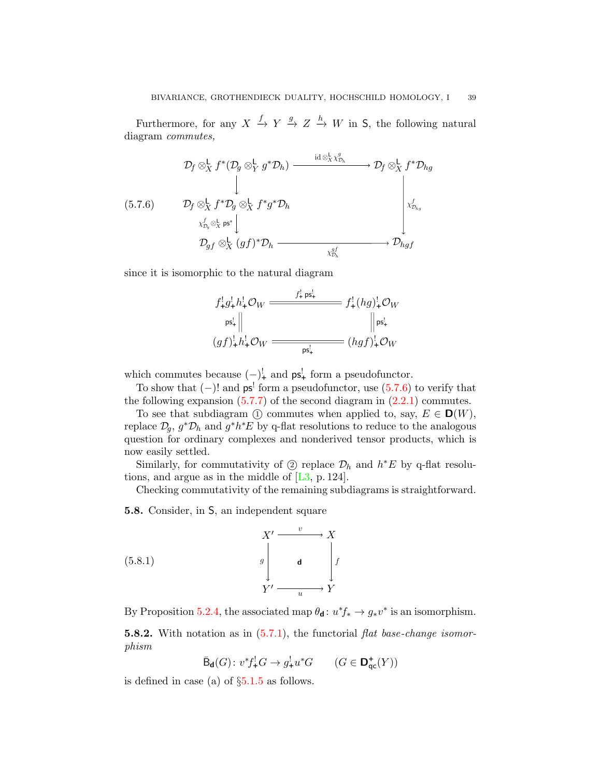Furthermore, for any  $X \xrightarrow{f} Y \xrightarrow{g} Z \xrightarrow{h} W$  in S, the following natural diagram commutes,

<span id="page-38-1"></span>
$$
\begin{array}{ccc}\n\mathcal{D}_{f} \otimes_{X}^{\mathsf{L}} f^{*}(\mathcal{D}_{g} \otimes_{Y}^{\mathsf{L}} g^{*}\mathcal{D}_{h}) & \xrightarrow{\operatorname{id} \otimes_{X}^{L} \mathcal{X}_{\mathcal{D}_{h}}^{0}} & \mathcal{D}_{f} \otimes_{X}^{\mathsf{L}} f^{*}\mathcal{D}_{hg} \\
\downarrow & & & \downarrow & & \\
(5.7.6) & \mathcal{D}_{f} \otimes_{X}^{\mathsf{L}} f^{*}\mathcal{D}_{g} \otimes_{X}^{\mathsf{L}} f^{*}g^{*}\mathcal{D}_{h} & & & \downarrow & \\
& & & & \downarrow & \\
& & \mathcal{D}_{g} \otimes_{X}^{\mathsf{L}} \operatorname{ps}^{*} & & & \\
& & & \mathcal{D}_{g} \otimes_{X}^{\mathsf{L}} (gf)^{*}\mathcal{D}_{h} & \xrightarrow{\operatorname{sg}_{h}} & \mathcal{D}_{hg} \end{array}
$$

since it is isomorphic to the natural diagram

$$
f_{+}^{!}g_{+}^{!}h_{+}^{!}\mathcal{O}_{W} \xrightarrow{\qquad \qquad f_{+}^{!} \text{ps}_{+}^{!}} f_{+}^{!}(hg)_{+}^{!}\mathcal{O}_{W}
$$
\n
$$
\begin{array}{c}\n\text{ps}_{+}^{!}\n\end{array}\n\begin{array}{c}\n\text{ps}_{+}^{!}\n\end{array}\n\begin{array}{c}\n\text{ps}_{+}^{!}\n\end{array}\n\begin{array}{c}\n\text{ps}_{+}^{!}\n\end{array}\n\begin{array}{c}\n\text{ps}_{+}^{!}\n\end{array}\n\begin{array}{c}\n\text{ps}_{+}^{!}\n\end{array}
$$

which commutes because  $(-)^1_+$  and  $ps^1_+$  form a pseudofunctor.

To show that  $(-)!$  and  $ps'$  form a pseudofunctor, use  $(5.7.6)$  to verify that the following expansion  $(5.7.7)$  of the second diagram in  $(2.2.1)$  commutes.

To see that subdiagram  $\textcircled{1}$  commutes when applied to, say,  $E \in \mathbf{D}(W)$ , replace  $\mathcal{D}_g$ ,  $g^*\mathcal{D}_h$  and  $g^*h^*E$  by q-flat resolutions to reduce to the analogous question for ordinary complexes and nonderived tensor products, which is now easily settled.

Similarly, for commutativity of ② replace  $\mathcal{D}_h$  and  $h^*E$  by q-flat resolutions, and argue as in the middle of [\[L3,](#page-48-1) p. 124].

Checking commutativity of the remaining subdiagrams is straightforward.

<span id="page-38-0"></span>5.8. Consider, in S, an independent square

<span id="page-38-2"></span>(5.8.1) 
$$
X' \xrightarrow{v} X
$$

$$
g \qquad \qquad \downarrow d \qquad \qquad f
$$

$$
Y' \xrightarrow{u} Y
$$

By Proposition [5.2.4,](#page-29-0) the associated map  $\theta_{\mathbf{d}}: u^* f_* \to g_* v^*$  is an isomorphism.

**5.8.2.** With notation as in  $(5.7.1)$ , the functorial flat base-change isomorphism

$$
\bar{\mathrm{B}}_{\mathbf{d}}(G)\colon v^*f^!_\mathbf{+}G\to g^!_\mathbf{+}u^*G\qquad (G\in\mathbf{D}^+_{\mathbf{qc}}(Y))
$$

is defined in case (a) of §[5.1.5](#page-26-0) as follows.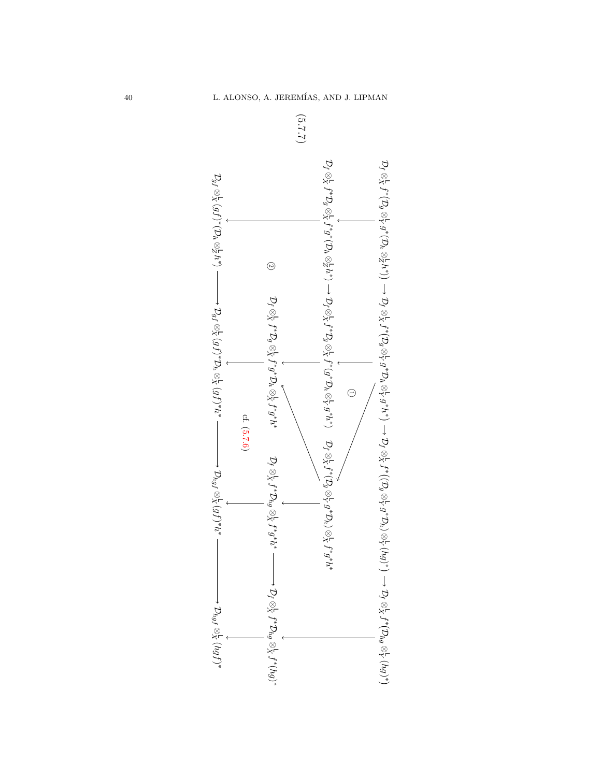

<span id="page-39-0"></span>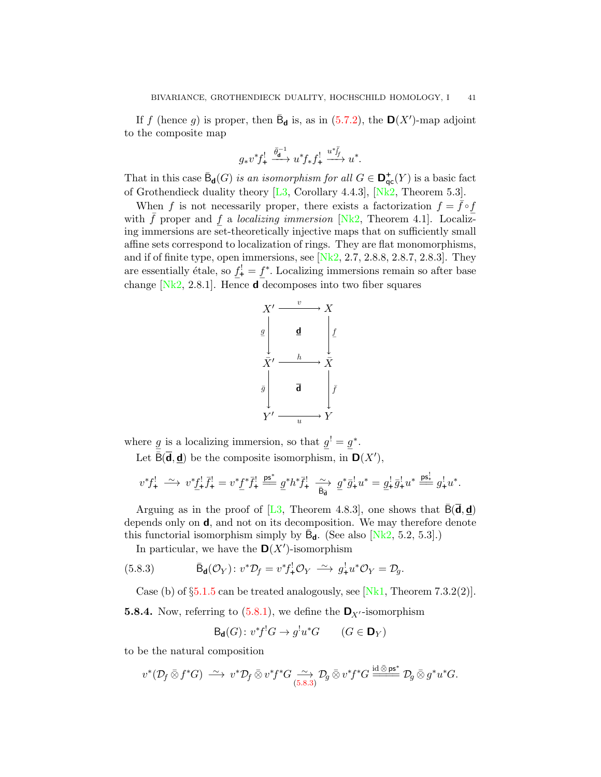If f (hence g) is proper, then  $\bar{\mathsf{B}}_{\mathsf{d}}$  is, as in [\(5.7.2\)](#page-37-0), the  $\mathsf{D}(X')$ -map adjoint to the composite map

$$
g_* v^* f^!_+ \xrightarrow{\bar{\theta}_\mathbf{d}^{-1}} u^* f_* f^!_+ \xrightarrow{u^* \bar{f}_f} u^*.
$$

That in this case  $\bar{\mathsf{B}}_{\mathsf{d}}(G)$  is an isomorphism for all  $G \in \mathsf{D}^+_{\mathsf{qc}}(Y)$  is a basic fact of Grothendieck duality theory  $[L3, Corollary 4.4.3], [Nk2, Theorem 5.3].$  $[L3, Corollary 4.4.3], [Nk2, Theorem 5.3].$  $[L3, Corollary 4.4.3], [Nk2, Theorem 5.3].$  $[L3, Corollary 4.4.3], [Nk2, Theorem 5.3].$ 

When f is not necessarily proper, there exists a factorization  $f = f \circ f$ which  $\overline{f}$  proper and  $\underline{f}$  a *localizing immersion* [\[Nk2,](#page-49-2) Theorem 4.1]. Localiziing immersions are set-theoretically injective maps that on sufficiently small affine sets correspond to localization of rings. They are flat monomorphisms, and if of finite type, open immersions, see  $[Nk2, 2.7, 2.8.8, 2.8.7, 2.8.3]$  $[Nk2, 2.7, 2.8.8, 2.8.7, 2.8.3]$ . They are essentially étale, so  $\underline{f}$  $t_{+}^{\text{!}} = \underline{f}$ ∗ . Localizing immersions remain so after base change  $[Nk2, 2.8.1]$  $[Nk2, 2.8.1]$ . Hence **d** decomposes into two fiber squares



where  $\underline{g}$  is a localizing immersion, so that  $\underline{g}^! = \underline{g}$ ∗ . Let  $\bar{\mathsf{B}}(\bar{\mathbf{d}}, \underline{\mathbf{d}})$  be the composite isomorphism, in  $\mathsf{D}(X')$ ,

$$
v^*f^!_+ \xrightarrow{\sim} v^*f^!_+ \overline{f}^!_+ = v^*f^* \overline{f}^!_+ \xrightarrow{\text{ps}^*} g^*h^* \overline{f}^!_+ \xrightarrow{\sim} g^* \overline{g}^!_+ u^* = g^!_+ \overline{g}^!_+ u^* \xrightarrow{\text{ps}^!}_+ g^!_+ u^*.
$$

Arguing as in the proof of [\[L3,](#page-48-1) Theorem 4.8.3], one shows that  $B(\mathbf{d}, \mathbf{d})$ depends only on d, and not on its decomposition. We may therefore denote this functorial isomorphism simply by  $\bar{\mathsf{B}}_{d}$ . (See also [\[Nk2,](#page-49-2) 5.2, 5.3].)

<span id="page-40-0"></span>In particular, we have the  $\mathbf{D}(X')$ -isomorphism

(5.8.3) 
$$
\bar{\mathsf{B}}_{\mathsf{d}}(\mathcal{O}_Y) : v^*\mathcal{D}_f = v^* f^!_* \mathcal{O}_Y \xrightarrow{\sim} g^!_* u^* \mathcal{O}_Y = \mathcal{D}_g.
$$

Case (b) of  $\S5.1.5$  $\S5.1.5$  can be treated analogously, see [\[Nk1,](#page-49-3) Theorem 7.3.2(2)].

**5.8.4.** Now, referring to [\(5.8.1\)](#page-38-2), we define the  $\mathbf{D}_{X'}$ -isomorphism

$$
\mathsf{B}_{\mathsf{d}}(G) \colon v^* f^! G \to g^! u^* G \qquad (G \in \mathsf{D}_Y)
$$

to be the natural composition

$$
v^*(\mathcal{D}_f\mathop{\bar\otimes} f^*G)\;\overset{\sim}{\longrightarrow}\;v^*\mathcal{D}_f\mathop{\bar\otimes} v^*f^*G\underset{(5.8.3)}{\longrightarrow}\mathcal{D}_g\mathop{\bar\otimes} v^*f^*G\overset{\mathrm{id}\mathop{\bar\otimes} \mathsf{ps}^*}{=\!\!\!=\!\!\!=}\mathcal{D}_g\mathop{\bar\otimes} g^*u^*G.
$$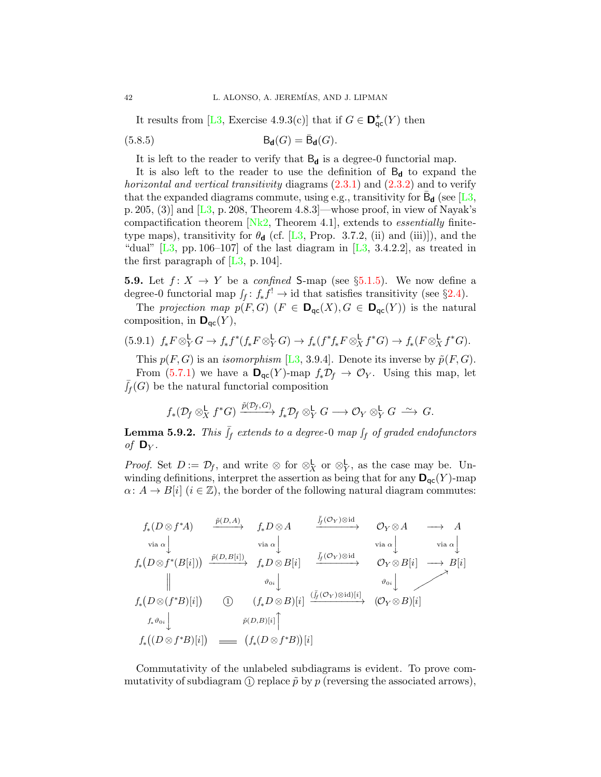<span id="page-41-2"></span>It results from [\[L3,](#page-48-1) Exercise 4.9.3(c)] that if  $G \in \mathbf{D}_{\mathsf{qc}}^+(Y)$  then

(5.8.5) 
$$
\mathsf{B}_{\mathbf{d}}(G) = \bar{\mathsf{B}}_{\mathbf{d}}(G).
$$

It is left to the reader to verify that  $B_d$  is a degree-0 functorial map.

It is also left to the reader to use the definition of  $B_d$  to expand the horizontal and vertical transitivity diagrams  $(2.3.1)$  and  $(2.3.2)$  and to verify that the expanded diagrams commute, using e.g., transitivity for  $\bar{\mathsf{B}}_{\mathsf{d}}$  (see [\[L3,](#page-48-1) p. 205, (3)] and  $[L3, p. 208,$  $[L3, p. 208,$  Theorem 4.8.3]—whose proof, in view of Nayak's compactification theorem  $[Nk2,$  Theorem 4.1, extends to *essentially* finitetype maps), transitivity for  $\theta_{\mathbf{d}}$  (cf. [\[L3,](#page-48-1) Prop. 3.7.2, (ii) and (iii)]), and the "dual"  $[L3, pp. 106-107]$  $[L3, pp. 106-107]$  of the last diagram in  $[L3, 3.4.2.2]$ , as treated in the first paragraph of  $[L3, p. 104]$  $[L3, p. 104]$ .

<span id="page-41-0"></span>**5.9.** Let  $f: X \rightarrow Y$  be a *confined* S-map (see §[5.1.5\)](#page-26-0). We now define a degree-0 functorial map  $\int_f : f_* f^! \to id$  that satisfies transitivity (see §[2.4\)](#page-8-2).

The projection map  $p(F, G)$   $(F \in \mathbf{D}_{qc}(X), G \in \mathbf{D}_{qc}(Y))$  is the natural composition, in  $\mathbf{D}_{\mathsf{qc}}(Y)$ ,

<span id="page-41-3"></span>
$$
(5.9.1) f_* F \otimes_Y^{\mathsf{L}} G \to f_* f^*(f_* F \otimes_Y^{\mathsf{L}} G) \to f_*(f^* f_* F \otimes_X^{\mathsf{L}} f^* G) \to f_*(F \otimes_X^{\mathsf{L}} f^* G).
$$

This  $p(F, G)$  is an *isomorphism* [\[L3,](#page-48-1) 3.9.4]. Denote its inverse by  $\tilde{p}(F, G)$ . From [\(5.7.1\)](#page-36-2) we have a  $\mathbf{D}_{\text{qc}}(Y)$ -map  $f_*\mathcal{D}_f \to \mathcal{O}_Y$ . Using this map, let  $\bar{J}_f(G)$  be the natural functorial composition

$$
f_*(\mathcal{D}_f \otimes^{\mathsf{L}}_X f^*G) \xrightarrow{\tilde{p}(\mathcal{D}_f,G)} f_*\mathcal{D}_f \otimes^{\mathsf{L}}_Y G \longrightarrow \mathcal{O}_Y \otimes^{\mathsf{L}}_Y G \xrightarrow{\sim} G.
$$

<span id="page-41-1"></span>**Lemma 5.9.2.** This  $\bar{J}_f$  extends to a degree-0 map  $\int_f$  of graded endofunctors of  $\mathbf{D}_Y$ .

*Proof.* Set  $D := \mathcal{D}_f$ , and write ⊗ for  $\otimes_X^{\mathsf{L}}$  or  $\otimes_Y^{\mathsf{L}}$ , as the case may be. Unwinding definitions, interpret the assertion as being that for any  $\mathbf{D}_{\text{qc}}(Y)$ -map  $\alpha: A \to B[i]$   $(i \in \mathbb{Z})$ , the border of the following natural diagram commutes:

$$
f_*(D \otimes f^*A) \xrightarrow{\tilde{p}(D,A)} f_*D \otimes A \xrightarrow{\tilde{f}_f(\mathcal{O}_Y) \otimes id} \mathcal{O}_Y \otimes A \longrightarrow A
$$
  
\n
$$
\text{via } \alpha \downarrow \text{via } \alpha \downarrow \text{via } \alpha \downarrow \text{via } \alpha \downarrow \text{via } \alpha \downarrow
$$
  
\n
$$
f_*(D \otimes f^*(B[i])) \xrightarrow{\tilde{p}(D,B[i])} f_*D \otimes B[i] \xrightarrow{\tilde{f}_f(\mathcal{O}_Y) \otimes id} \mathcal{O}_Y \otimes B[i] \longrightarrow B[i]
$$
  
\n
$$
f_*(D \otimes (f^*B)[i]) \qquad \text{(i)} \qquad (f_*D \otimes B)[i] \xrightarrow{\tilde{(f_f(\mathcal{O}_Y) \otimes id)[i]}} (\mathcal{O}_Y \otimes B)[i]
$$
  
\n
$$
f_*\vartheta_{0i} \downarrow \qquad \qquad \tilde{p}(D,B)[i] \uparrow
$$
  
\n
$$
f_*((D \otimes f^*B)[i]) \qquad \text{(ii)} \qquad (f_*(D \otimes f^*B))[i]
$$

Commutativity of the unlabeled subdiagrams is evident. To prove commutativity of subdiagram  $\Omega$  replace  $\tilde{p}$  by p (reversing the associated arrows),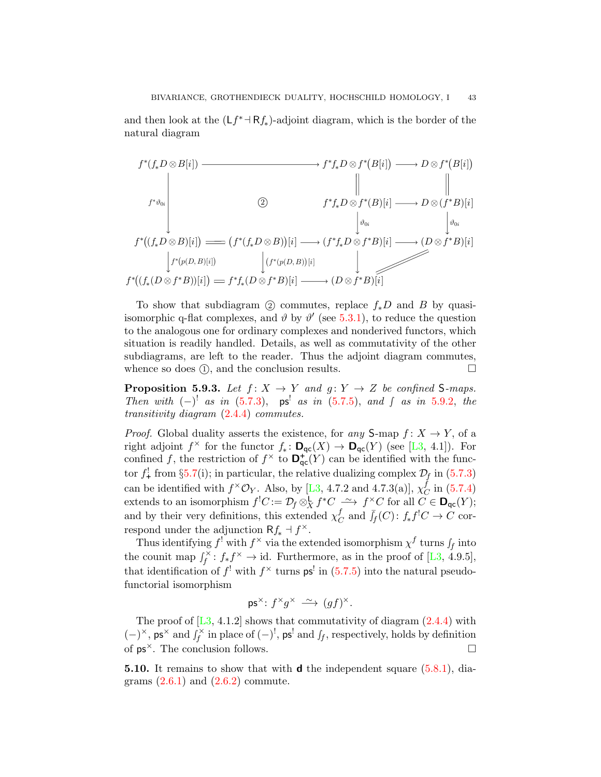and then look at the  $(Lf^* \to Rf_*)$ -adjoint diagram, which is the border of the natural diagram



To show that subdiagram (2) commutes, replace  $f_*D$  and B by quasiisomorphic q-flat complexes, and  $\vartheta$  by  $\vartheta'$  (see [5.3.1\)](#page-30-1), to reduce the question to the analogous one for ordinary complexes and nonderived functors, which situation is readily handled. Details, as well as commutativity of the other subdiagrams, are left to the reader. Thus the adjoint diagram commutes, whence so does  $(1)$ , and the conclusion results.  $\Box$ 

<span id="page-42-1"></span>**Proposition 5.9.3.** Let  $f: X \rightarrow Y$  and  $g: Y \rightarrow Z$  be confined S-maps. Then with  $(-)^!$  as in  $(5.7.3)$ ,  $ps^!$  as in  $(5.7.5)$ , and  $\int$  as in [5.9.2,](#page-41-1) the transitivity diagram [\(2.4.4\)](#page-8-1) commutes.

*Proof.* Global duality asserts the existence, for any  $S$ -map  $f: X \to Y$ , of a right adjoint  $f^{\times}$  for the functor  $f_*: \mathbf{D}_{\text{qc}}(X) \to \mathbf{D}_{\text{qc}}(Y)$  (see [\[L3,](#page-48-1) 4.1]). For confined f, the restriction of  $f^{\times}$  to  $\mathbf{D}_{\mathsf{qc}}^{+}(Y)$  can be identified with the functor  $f^!_+$  from §[5.7\(](#page-36-0)i); in particular, the relative dualizing complex  $\mathcal{D}_f$  in [\(5.7.3\)](#page-37-1) can be identified with  $f^{\times} \mathcal{O}_Y$ . Also, by [\[L3,](#page-48-1) 4.7.2 and 4.7.3(a)],  $\chi_C^f$  $_{C}^{J}$  in  $(5.7.4)$ extends to an isomorphism  $f^!C := \mathcal{D}_f \otimes^{\mathsf{L}}_X f^*C \longrightarrow f^\times C$  for all  $C \in \mathsf{D}_{\mathsf{qc}}(Y)$ ; and by their very definitions, this extended  $\chi^f_C$  ${}_{C}^{f}$  and  $\bar{J}_{f}(C)$ :  $f_{*}f^{\dagger}C \rightarrow C$  correspond under the adjunction  $Rf_* \dashv f^{\times}$ .

Thus identifying  $f^!$  with  $f^\times$  via the extended isomorphism  $\chi^f$  turns  $\int_f$  into the counit map  $\int_f^{\times}$  $f_f^{\times}$ :  $f_* f^{\times} \to id$ . Furthermore, as in the proof of [\[L3,](#page-48-1) 4.9.5], that identification of  $f'$  with  $f^{\times}$  turns  $\mathsf{ps}^{\mathsf{l}}$  in [\(5.7.5\)](#page-37-2) into the natural pseudofunctorial isomorphism

$$
\mathsf{ps}^\times\colon f^\times g^\times \xrightarrow{\sim} (gf)^\times.
$$

The proof of  $[L3, 4.1.2]$  $[L3, 4.1.2]$  shows that commutativity of diagram  $(2.4.4)$  with  $(-)^{\times}$ , ps<sup>×</sup> and  $\overrightarrow{f}_{f}^{\times}$  $\int_f^{\times}$  in place of  $(-)^!$ , ps' and  $\int_f$ , respectively, holds by definition of  $ps^{\times}$ . The conclusion follows.

<span id="page-42-0"></span>**5.10.** It remains to show that with **d** the independent square  $(5.8.1)$ , diagrams  $(2.6.1)$  and  $(2.6.2)$  commute.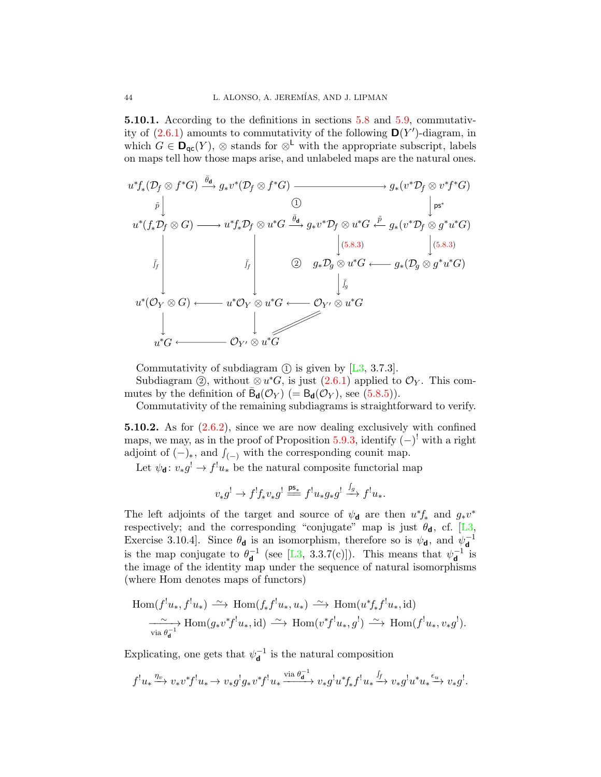5.10.1. According to the definitions in sections [5.8](#page-38-0) and [5.9,](#page-41-0) commutativity of  $(2.6.1)$  amounts to commutativity of the following  $\mathbf{D}(Y')$ -diagram, in which  $G \in \mathbf{D}_{\mathsf{qc}}(Y)$ , ⊗ stands for  $\otimes^{\mathsf{L}}$  with the appropriate subscript, labels on maps tell how those maps arise, and unlabeled maps are the natural ones.



Commutativity of subdiagram  $(1)$  is given by [\[L3,](#page-48-1) 3.7.3].

Subdiagram ②, without  $\otimes u^*G$ , is just  $(2.6.1)$  applied to  $\mathcal{O}_Y$ . This commutes by the definition of  $\bar{\mathsf{B}}_{\mathsf{d}}(\mathcal{O}_Y)$  (=  $\mathsf{B}_{\mathsf{d}}(\mathcal{O}_Y)$ , see [\(5.8.5\)](#page-41-2)).

Commutativity of the remaining subdiagrams is straightforward to verify.

5.10.2. As for [\(2.6.2\)](#page-9-2), since we are now dealing exclusively with confined maps, we may, as in the proof of Proposition [5.9.3,](#page-42-1) identify  $(-)^{!}$  with a right adjoint of  $(-)_*,$  and  $f_{(-)}$  with the corresponding counit map.

Let  $\psi_{\mathbf{d}}: v_*g^! \to f^!u_*$  be the natural composite functorial map

$$
v_*g^! \to f^!f_*v_*g^! \stackrel{\mathbf{ps}_*}{\implies} f^!u_*g_*g^! \stackrel{f_g}{\longrightarrow} f^!u_*.
$$

The left adjoints of the target and source of  $\psi_{\mathbf{d}}$  are then  $u^*f_*$  and  $g_*v^*$ respectively; and the corresponding "conjugate" map is just  $\theta_d$ , cf. [\[L3,](#page-48-1) Exercise 3.10.4]. Since  $\theta_{\bf d}$  is an isomorphism, therefore so is  $\psi_{\bf d}$ , and  $\psi_{\bf d}^{-1}$ d is the map conjugate to  $\theta_{\mathbf{d}}^{-1}$  $_{\mathbf{d}}^{-1}$  (see [\[L3,](#page-48-1) 3.3.7(c)]). This means that  $\psi_{\mathbf{d}}^{-1}$  $_{\mathbf{d}}^{-1}$  is the image of the identity map under the sequence of natural isomorphisms (where Hom denotes maps of functors)

$$
\text{Hom}(f^!u_*, f^!u_*) \xrightarrow{\sim} \text{Hom}(f_*f^!u_*, u_*) \xrightarrow{\sim} \text{Hom}(u^*f_*f^!u_*, id)
$$
\n
$$
\xrightarrow[\text{via } \theta_d^{-1}} \text{Hom}(g_*v^*f^!u_*, id) \xrightarrow{\sim} \text{Hom}(v^*f^!u_*, g^!) \xrightarrow{\sim} \text{Hom}(f^!u_*, v_*g^!).
$$

Explicating, one gets that  $\psi_d^{-1}$  $\mathbf{d}^{-1}$  is the natural composition

$$
f^!u_* \xrightarrow{\eta_v} v_*v^*f^!u_* \to v_*g^!g_*v^*f^!u_* \xrightarrow{\text{via }\theta_{\mathbf{d}}^{-1}} v_*g^!u^*f_*f^!u_* \xrightarrow{f_f} v_*g^!u^*u_* \xrightarrow{\epsilon_u} v_*g^!.
$$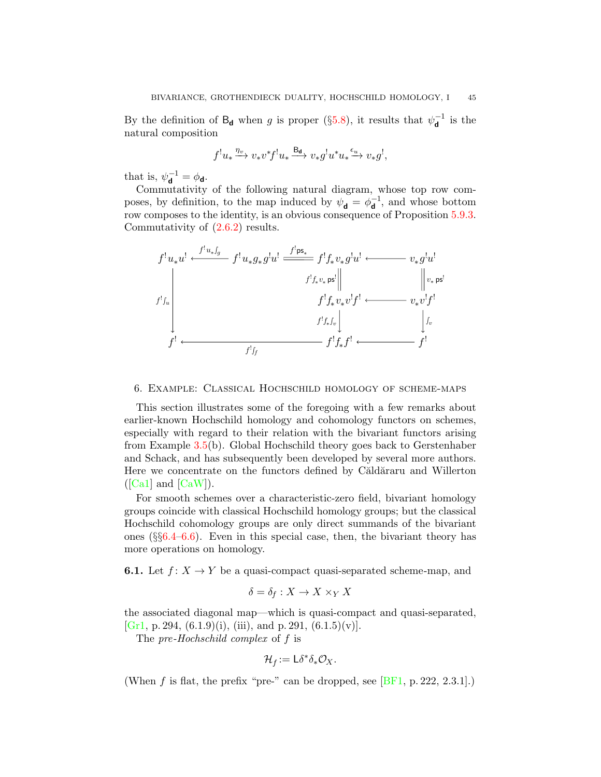By the definition of  $B_d$  when g is proper (§[5.8\)](#page-38-0), it results that  $\psi_d^{-1}$  $\overline{\mathsf{d}}^1$  is the natural composition

$$
f^{!}u_{*} \xrightarrow{\eta_{\upsilon}} v_{*}v^{*}f^{!}u_{*} \xrightarrow{\mathrm{B}_{\mathbf{d}}} v_{*}g^{!}u^{*}u_{*} \xrightarrow{\epsilon_{u}} v_{*}g^{!},
$$

that is,  $\psi_{\mathbf{d}}^{-1} = \phi_{\mathbf{d}}$ .

Commutativity of the following natural diagram, whose top row composes, by definition, to the map induced by  $\psi_{\mathbf{d}} = \phi_{\mathbf{d}}^{-1}$  $\mathbf{d}^{-1}$ , and whose bottom row composes to the identity, is an obvious consequence of Proposition [5.9.3.](#page-42-1) Commutativity of [\(2.6.2\)](#page-9-2) results.



<span id="page-44-0"></span>6. Example: Classical Hochschild homology of scheme-maps

This section illustrates some of the foregoing with a few remarks about earlier-known Hochschild homology and cohomology functors on schemes, especially with regard to their relation with the bivariant functors arising from Example [3.5\(](#page-14-0)b). Global Hochschild theory goes back to Gerstenhaber and Schack, and has subsequently been developed by several more authors. Here we concentrate on the functors defined by Căldăraru and Willerton  $([Ca1]$  $([Ca1]$  and  $[CaW]$ ).

For smooth schemes over a characteristic-zero field, bivariant homology groups coincide with classical Hochschild homology groups; but the classical Hochschild cohomology groups are only direct summands of the bivariant ones  $(\S66.4-6.6)$  $(\S66.4-6.6)$ . Even in this special case, then, the bivariant theory has more operations on homology.

**6.1.** Let  $f: X \to Y$  be a quasi-compact quasi-separated scheme-map, and

$$
\delta = \delta_f : X \to X \times_Y X
$$

the associated diagonal map—which is quasi-compact and quasi-separated, [\[Gr1,](#page-48-21) p. 294,  $(6.1.9)(i)$ ,  $(iii)$ , and p. 291,  $(6.1.5)(v)$ ].

The pre-Hochschild complex of f is

$$
\mathcal{H}_f := \mathsf{L}\delta^*\delta_*\mathcal{O}_X.
$$

(When f is flat, the prefix "pre-" can be dropped, see  $[BF1, p. 222, 2.3.1].$  $[BF1, p. 222, 2.3.1].$ )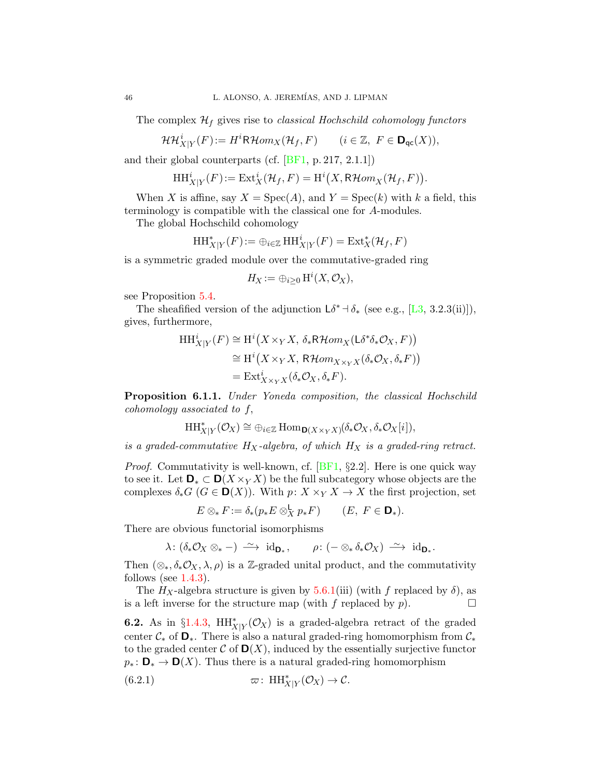The complex  $\mathcal{H}_f$  gives rise to *classical Hochschild cohomology functors* 

$$
\mathcal{HH}_{X|Y}^{i}(F) := H^{i}R\mathcal{H}om_{X}(\mathcal{H}_{f}, F) \qquad (i \in \mathbb{Z}, \ F \in \mathbf{D}_{\mathrm{qc}}(X)),
$$

and their global counterparts (cf. [\[BF1,](#page-48-11) p. 217, 2.1.1])

$$
\mathop{\mathrm{HH}}\nolimits^i_{X|Y}(F) := \mathop{\mathrm{Ext}}\nolimits^i_X(\mathcal{H}_f, F) = \mathop{\mathrm{H}}\nolimits^i(X, \mathsf{R}\mathcal{H}om_X(\mathcal{H}_f, F)).
$$

When X is affine, say  $X = \text{Spec}(A)$ , and  $Y = \text{Spec}(k)$  with k a field, this terminology is compatible with the classical one for A-modules.

The global Hochschild cohomology

$$
\operatorname{HH}_{X|Y}^*(F) := \oplus_{i \in \mathbb{Z}} \operatorname{HH}_{X|Y}^i(F) = \operatorname{Ext}_X^*(\mathcal{H}_f, F)
$$

is a symmetric graded module over the commutative-graded ring

$$
H_X := \bigoplus_{i \geq 0} \mathrm{H}^i(X, \mathcal{O}_X),
$$

see Proposition [5.4.](#page-30-0)

The sheafified version of the adjunction  $L\delta^*$  +  $\delta_*$  (see e.g., [\[L3,](#page-48-1) 3.2.3(ii)]), gives, furthermore,

$$
HH_{X|Y}^{i}(F) \cong H^{i}(X \times_{Y} X, \delta_{*}R\mathcal{H}om_{X}(\mathsf{L}\delta^{*}\delta_{*}\mathcal{O}_{X}, F))
$$
  
\n
$$
\cong H^{i}(X \times_{Y} X, R\mathcal{H}om_{X \times_{Y} X}(\delta_{*}\mathcal{O}_{X}, \delta_{*} F))
$$
  
\n
$$
= \mathrm{Ext}_{X \times_{Y} X}^{i}(\delta_{*}\mathcal{O}_{X}, \delta_{*} F).
$$

<span id="page-45-0"></span>Proposition 6.1.1. Under Yoneda composition, the classical Hochschild cohomology associated to f,

$$
\mathrm{HH}_{X|Y}^*(\mathcal{O}_X) \cong \oplus_{i \in \mathbb{Z}} \mathrm{Hom}_{\mathbf{D}(X \times_Y X)}(\delta_* \mathcal{O}_X, \delta_* \mathcal{O}_X[i]),
$$

is a graded-commutative  $H_X$ -algebra, of which  $H_X$  is a graded-ring retract.

*Proof.* Commutativity is well-known, cf.  $[BF1, §2.2]$  $[BF1, §2.2]$ . Here is one quick way to see it. Let  $\mathbf{D}_* \subset \mathbf{D}(X \times_Y X)$  be the full subcategory whose objects are the complexes  $\delta_* G$  ( $G \in \mathbf{D}(X)$ ). With  $p: X \times_Y X \to X$  the first projection, set

$$
E\otimes_{*} F:=\delta_{*}(p_{*}E\otimes_{X}^{\mathsf{L}} p_{*}F) \qquad (E, \ F\in\mathbf{D}_{*}).
$$

There are obvious functorial isomorphisms

 $\lambda: (\delta_* \mathcal{O}_X \otimes_{\ast} -) \longrightarrow \mathrm{id}_{\mathbf{D}_{\ast}}, \qquad \rho: (- \otimes_{\ast} \delta_{\ast} \mathcal{O}_X) \longrightarrow \mathrm{id}_{\mathbf{D}_{\ast}}.$ 

Then  $(\otimes_*, \delta_* \mathcal{O}_X, \lambda, \rho)$  is a Z-graded unital product, and the commutativity follows (see  $1.4.3$ ).

The  $H_X$ -algebra structure is given by [5.6.1\(](#page-34-0)iii) (with f replaced by  $\delta$ ), as is a left inverse for the structure map (with f replaced by  $p$ ).

**6.2.** As in §[1.4.3,](#page-5-1)  $HH^*_{X|Y}(\mathcal{O}_X)$  is a graded-algebra retract of the graded center  $\mathcal{C}_*$  of  $\mathbf{D}_*$ . There is also a natural graded-ring homomorphism from  $\mathcal{C}_*$ to the graded center  $\mathcal C$  of  $\mathbf D(X)$ , induced by the essentially surjective functor  $p_* : \mathbf{D}_* \to \mathbf{D}(X)$ . Thus there is a natural graded-ring homomorphism

<span id="page-45-1"></span>(6.2.1) 
$$
\varpi: \ \mathop{\mathrm{HH}}\nolimits_{X|Y}^*(\mathcal{O}_X) \to \mathcal{C}.
$$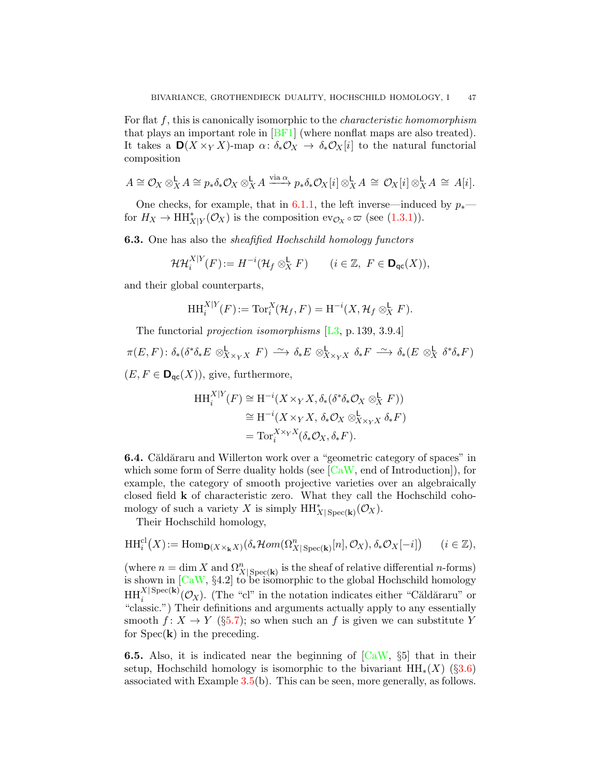For flat f, this is canonically isomorphic to the characteristic homomorphism that plays an important role in  $[BF1]$  (where nonflat maps are also treated). It takes a  $\mathbf{D}(X \times_Y X)$ -map  $\alpha \colon \delta_* \mathcal{O}_X \to \delta_* \mathcal{O}_X[i]$  to the natural functorial composition

$$
A \cong \mathcal{O}_X \otimes_X^{\mathsf{L}} A \cong p_* \delta_* \mathcal{O}_X \otimes_X^{\mathsf{L}} A \xrightarrow{\text{via } \alpha} p_* \delta_* \mathcal{O}_X[i] \otimes_X^{\mathsf{L}} A \cong \mathcal{O}_X[i] \otimes_X^{\mathsf{L}} A \cong A[i].
$$

One checks, for example, that in [6.1.1,](#page-45-0) the left inverse—induced by  $p_*$  for  $H_X \to \mathrm{HH}_{X|Y}^*(\mathcal{O}_X)$  is the composition  $ev_{\mathcal{O}_X} \circ \varpi$  (see [\(1.3.1\)](#page-5-0)).

**6.3.** One has also the *sheafified Hochschild homology functors* 

$$
\mathcal{HH}_i^{X|Y}(F) := H^{-i}(\mathcal{H}_f \otimes_X^{\mathbf{L}} F) \qquad (i \in \mathbb{Z}, \ F \in \mathbf{D}_{\mathrm{qc}}(X)),
$$

and their global counterparts,

$$
\mathrm{HH}_{i}^{X|Y}(F) := \mathrm{Tor}_{i}^{X}(\mathcal{H}_f, F) = \mathrm{H}^{-i}(X, \mathcal{H}_f \otimes^{\mathbf{L}}_X F).
$$

The functorial projection isomorphisms  $[L3, p. 139, 3.9.4]$  $[L3, p. 139, 3.9.4]$ 

 $\pi(E,F)\colon \delta_*(\delta^*\delta_*E \otimes^{\mathbf{L}}_{X\times_YX} F) \stackrel{\sim}{\longrightarrow} \delta_*E \otimes^{\mathbf{L}}_{X\times_YX} \delta_*F \stackrel{\sim}{\longrightarrow} \delta_*(E \otimes^{\mathbf{L}}_X \delta^*\delta_*F)$  $(E, F \in \mathbf{D}_{\mathsf{qc}}(X)),$  give, furthermore,

$$
HH_i^{X|Y}(F) \cong H^{-i}(X \times_Y X, \delta_*(\delta^*\delta_*\mathcal{O}_X \otimes^{\mathsf{L}}_X F))
$$
  
\n
$$
\cong H^{-i}(X \times_Y X, \delta_*\mathcal{O}_X \otimes^{\mathsf{L}}_{X \times_Y X} \delta_* F)
$$
  
\n
$$
= \text{Tor}_i^{X \times_Y X}(\delta_*\mathcal{O}_X, \delta_* F).
$$

<span id="page-46-0"></span>**6.4.** Căldăraru and Willerton work over a "geometric category of spaces" in which some form of Serre duality holds (see  $\lceil \text{CaW} \rceil$ , end of Introduction)), for example, the category of smooth projective varieties over an algebraically closed field k of characteristic zero. What they call the Hochschild cohomology of such a variety X is simply  $HH^*_{X|\operatorname{Spec}(\mathbf{k})}(\mathcal{O}_X)$ .

Their Hochschild homology,

$$
\mathrm{HH}_{i}^{\mathrm{cl}}(X) := \mathrm{Hom}_{\mathbf{D}(X \times_{\mathbf{k}} X)}(\delta_{*} \mathcal{H}om(\Omega_{X| \operatorname{Spec}(\mathbf{k})}^{n}[n], \mathcal{O}_{X}), \delta_{*} \mathcal{O}_{X}[-i]) \qquad (i \in \mathbb{Z}),
$$

(where  $n = \dim X$  and  $\Omega^n_{X|\text{Spec}(\mathbf{k})}$  is the sheaf of relative differential *n*-forms) is shown in  $[CaW, §4.2]$  $[CaW, §4.2]$  to be isomorphic to the global Hochschild homology  $HH_i^{X|Spec(k)}(\mathcal{O}_X)$ . (The "cl" in the notation indicates either "Căldăraru" or "classic.") Their definitions and arguments actually apply to any essentially smooth  $f: X \to Y$  (§[5.7\)](#page-36-0); so when such an f is given we can substitute Y for  $Spec(\mathbf{k})$  in the preceding.

**6.5.** Also, it is indicated near the beginning of  $[CaW, §5]$  $[CaW, §5]$  that in their setup, Hochschild homology is isomorphic to the bivariant  $HH_*(X)$  (§[3.6\)](#page-15-0) associated with Example [3.5\(](#page-14-0)b). This can be seen, more generally, as follows.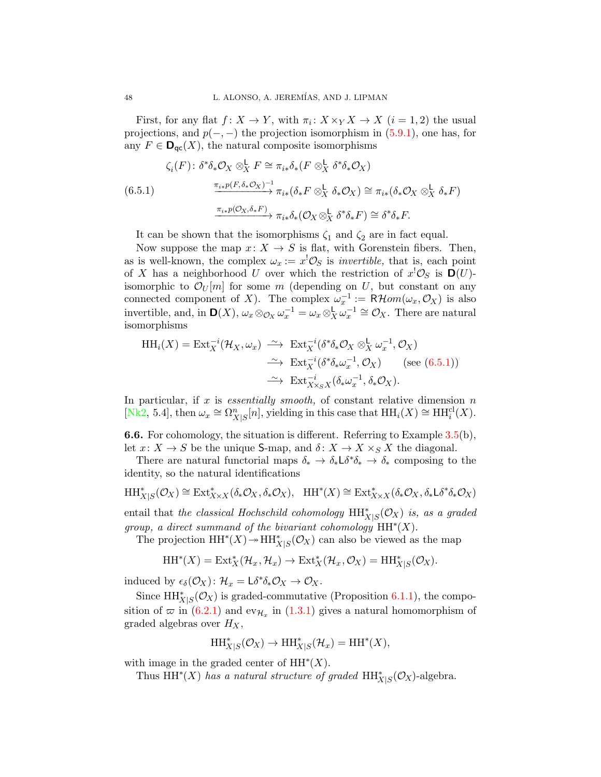First, for any flat  $f: X \to Y$ , with  $\pi_i: X \times_Y X \to X$   $(i = 1, 2)$  the usual projections, and  $p(-, -)$  the projection isomorphism in  $(5.9.1)$ , one has, for any  $F \in \mathbf{D}_{\mathsf{qc}}(X)$ , the natural composite isomorphisms

<span id="page-47-1"></span>
$$
\zeta_i(F) \colon \delta^* \delta_* \mathcal{O}_X \otimes_X^{\mathsf{L}} F \cong \pi_{i*} \delta_* (F \otimes_X^{\mathsf{L}} \delta^* \delta_* \mathcal{O}_X)
$$
  
(6.5.1)  

$$
\xrightarrow{\pi_{i*} p(F, \delta_* \mathcal{O}_X)^{-1}} \pi_{i*} (\delta_* F \otimes_X^{\mathsf{L}} \delta_* \mathcal{O}_X) \cong \pi_{i*} (\delta_* \mathcal{O}_X \otimes_X^{\mathsf{L}} \delta_* F)
$$
  

$$
\xrightarrow{\pi_{i*} p(\mathcal{O}_X, \delta_* F)} \pi_{i*} \delta_* (\mathcal{O}_X \otimes_X^{\mathsf{L}} \delta^* \delta_* F) \cong \delta^* \delta_* F.
$$

It can be shown that the isomorphisms  $\zeta_1$  and  $\zeta_2$  are in fact equal.

Now suppose the map  $x: X \to S$  is flat, with Gorenstein fibers. Then, as is well-known, the complex  $\omega_x := x^{\dagger} \mathcal{O}_S$  is *invertible*, that is, each point of X has a neighborhood U over which the restriction of  $x^! \mathcal{O}_S$  is  $\mathbf{D}(U)$ isomorphic to  $\mathcal{O}_U[m]$  for some m (depending on U, but constant on any connected component of X). The complex  $\omega_x^{-1} := \mathsf{R}\mathcal{H}om(\omega_x, \mathcal{O}_X)$  is also invertible, and, in  $\mathbf{D}(X)$ ,  $\omega_x \otimes_{\mathcal{O}_X} \omega_x^{-1} = \omega_x \otimes_X^{\mathsf{L}} \omega_x^{-1} \cong \mathcal{O}_X$ . There are natural isomorphisms

$$
HH_i(X) = Ext_X^{-i}(\mathcal{H}_X, \omega_x) \xrightarrow{\sim} Ext_X^{-i}(\delta^*\delta_*\mathcal{O}_X \otimes_X^{\mathsf{L}} \omega_x^{-1}, \mathcal{O}_X)
$$
  
\n
$$
\xrightarrow{\sim} Ext_X^{-i}(\delta^*\delta_*\omega_x^{-1}, \mathcal{O}_X) \quad (\text{see } (6.5.1))
$$
  
\n
$$
\xrightarrow{\sim} Ext_{X \times_S X}^{-i}(\delta_*\omega_x^{-1}, \delta_*\mathcal{O}_X).
$$

In particular, if x is essentially smooth, of constant relative dimension  $n$ [\[Nk2,](#page-49-2) 5.4], then  $\omega_x \cong \Omega_{X|S}^n[n]$ , yielding in this case that  $HH_i(X) \cong HH_i^{cl}(X)$ .

<span id="page-47-0"></span>6.6. For cohomology, the situation is different. Referring to Example [3.5\(](#page-14-0)b), let  $x: X \to S$  be the unique S-map, and  $\delta: X \to X \times_S X$  the diagonal.

There are natural functorial maps  $\delta_* \to \delta_* \mathsf{L} \delta^* \delta_* \to \delta_*$  composing to the identity, so the natural identifications

$$
\mathop{\mathrm{HH}}\nolimits^*_{X|S}(\mathcal{O}_X) \cong \mathop{\mathrm{Ext}}\nolimits^*_{X \times X}(\delta_* \mathcal{O}_X, \delta_* \mathcal{O}_X), \quad \mathop{\mathrm{HH}}\nolimits^*(X) \cong \mathop{\mathrm{Ext}}\nolimits^*_{X \times X}(\delta_* \mathcal{O}_X, \delta_* \mathsf{L} \delta^* \delta_* \mathcal{O}_X)
$$

entail that the classical Hochschild cohomology  $HH^*_{X|S}(\mathcal{O}_X)$  is, as a graded group, a direct summand of the bivariant cohomology  $HH^*(X)$ .

The projection  $HH^*(X) \to HH^*_{X|S}(\mathcal{O}_X)$  can also be viewed as the map

$$
\operatorname{HH}\nolimits^\ast(X) = \operatorname{Ext}\nolimits_X^\ast({\cal H}_x,{\cal H}_x) \to \operatorname{Ext}\nolimits_X^\ast({\cal H}_x,{\cal O}_X) = \operatorname{HH}\nolimits^\ast_{X|S}({\cal O}_X).
$$

induced by  $\epsilon_{\delta}(\mathcal{O}_X)$ :  $\mathcal{H}_x = \mathsf{L}\delta^*\delta_*\mathcal{O}_X \to \mathcal{O}_X$ .

Since  $HH_{X|S}^{*}(\mathcal{O}_{X})$  is graded-commutative (Proposition [6.1.1\)](#page-45-0), the composition of  $\varpi$  in  $(6.2.1)$  and  $ev_{\mathcal{H}_x}$  in  $(1.3.1)$  gives a natural homomorphism of graded algebras over  $H_X$ ,

$$
\mathop{\mathrm{HH}}\nolimits^*_{X|S}(\mathcal{O}_X) \to \mathop{\mathrm{HH}}\nolimits^*_{X|S}(\mathcal{H}_x) = \mathop{\mathrm{HH}}\nolimits^*(X),
$$

with image in the graded center of  $HH^*(X)$ .

Thus  $HH^*(X)$  has a natural structure of graded  $HH^*_{X|S}(\mathcal{O}_X)$ -algebra.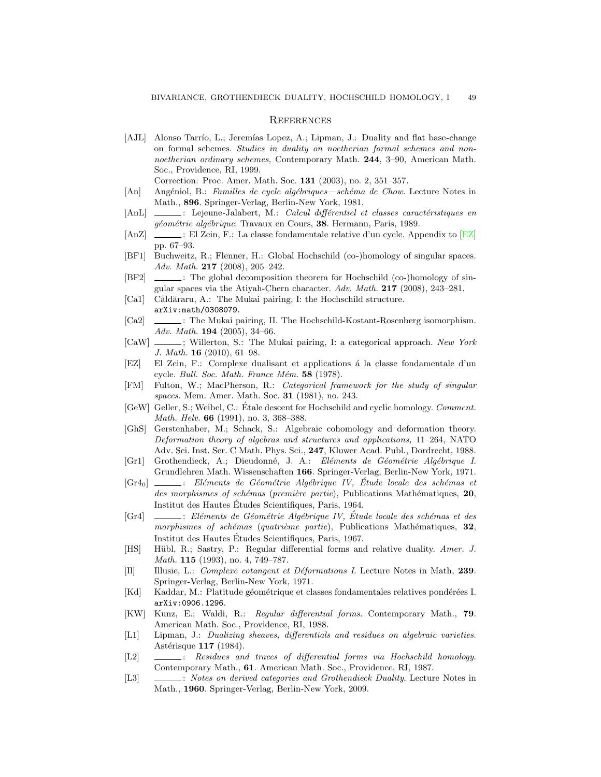#### **REFERENCES**

<span id="page-48-0"></span>[AJL] Alonso Tarrío, L.; Jeremías Lopez, A.; Lipman, J.: Duality and flat base-change on formal schemes. Studies in duality on noetherian formal schemes and nonnoetherian ordinary schemes, Contemporary Math. 244, 3-90, American Math. Soc., Providence, RI, 1999.

Correction: Proc. Amer. Math. Soc. 131 (2003), no. 2, 351–357.

- <span id="page-48-3"></span>[An] Angéniol, B.: Familles de cycle algébriques—schéma de Chow. Lecture Notes in Math., 896. Springer-Verlag, Berlin-New York, 1981.
- <span id="page-48-4"></span>[AnL]  $\quad \qquad \qquad \ldots$  : Lejeune-Jalabert, M.: *Calcul différentiel et classes caractéristiques en* géométrie algébrique. Travaux en Cours, 38. Hermann, Paris, 1989.
- <span id="page-48-2"></span>[AnZ]  $\Box$ : El Zein, F.: La classe fondamentale relative d'un cycle. Appendix to [\[EZ\]](#page-48-22) pp. 67–93.
- <span id="page-48-11"></span>[BF1] Buchweitz, R.; Flenner, H.: Global Hochschild (co-)homology of singular spaces. Adv. Math. 217 (2008), 205–242.
- <span id="page-48-18"></span>[BF2]  $\qquad \qquad$ : The global decomposition theorem for Hochschild (co-)homology of singular spaces via the Atiyah-Chern character. Adv. Math. 217 (2008), 243–281.
- <span id="page-48-16"></span>[Ca1] Căldăraru, A.: The Mukai pairing, I: the Hochschild structure. arXiv:math/0308079.
- <span id="page-48-13"></span>[Ca2]  $\quad$ : The Mukai pairing, II. The Hochschild-Kostant-Rosenberg isomorphism. Adv. Math. 194 (2005), 34–66.
- <span id="page-48-14"></span>[CaW]  $\ldots$ ; Willerton, S.: The Mukai pairing, I: a categorical approach. New York J. Math. 16 (2010), 61–98.
- <span id="page-48-22"></span>[EZ] El Zein, F.: Complexe dualisant et applications à la classe fondamentale d'un cycle. *Bull. Soc. Math. France Mém.*  $58$  (1978).
- <span id="page-48-15"></span>[FM] Fulton, W.; MacPherson, R.: Categorical framework for the study of singular spaces. Mem. Amer. Math. Soc. 31 (1981), no. 243.
- <span id="page-48-12"></span>[GeW] Geller, S.; Weibel, C.: Étale descent for Hochschild and cyclic homology. *Comment.* Math. Helv. **66** (1991), no. 3, 368-388.
- <span id="page-48-10"></span>[GhS] Gerstenhaber, M.; Schack, S.: Algebraic cohomology and deformation theory. Deformation theory of algebras and structures and applications, 11–264, NATO Adv. Sci. Inst. Ser. C Math. Phys. Sci., 247, Kluwer Acad. Publ., Dordrecht, 1988.
- <span id="page-48-21"></span>[Gr1] Grothendieck, A.; Dieudonn´e, J. A.: El´ements de G´eom´etrie Alg´ebrique I. Grundlehren Math. Wissenschaften 166. Springer-Verlag, Berlin-New York, 1971.
- <span id="page-48-19"></span> $[Gr4_0]$   $\quad \qquad$ : Eléments de Géométrie Algébrique IV, Étude locale des schémas et des morphismes of schémas (première partie), Publications Mathématiques, 20, Institut des Hautes Etudes Scientifiques, Paris, 1964. ´
- <span id="page-48-20"></span>[Gr4]  $\quad \qquad \qquad \vdots$  Eléments de Géométrie Algébrique IV, Étude locale des schémas et des morphismes of schémas (quatrième partie), Publications Mathématiques,  $32$ , Institut des Hautes Etudes Scientifiques, Paris, 1967. ´
- <span id="page-48-8"></span>[HS] Hübl, R.; Sastry, P.: Regular differential forms and relative duality. Amer. J. Math. 115 (1993), no. 4, 749–787.
- <span id="page-48-17"></span>[Il] Illusie, L.: Complexe cotangent et Déformations I. Lecture Notes in Math, 239. Springer-Verlag, Berlin-New York, 1971.
- <span id="page-48-6"></span>[Kd] Kaddar, M.: Platitude géométrique et classes fondamentales relatives pondérées I. arXiv:0906.1296.
- <span id="page-48-5"></span>[KW] Kunz, E.; Waldi, R.: Regular differential forms. Contemporary Math., 79. American Math. Soc., Providence, RI, 1988.
- <span id="page-48-7"></span>[L1] Lipman, J.: Dualizing sheaves, differentials and residues on algebraic varieties. Astérisque 117 (1984).
- <span id="page-48-9"></span>[L2]  $\quad \underline{\hspace{2cm}}$ : Residues and traces of differential forms via Hochschild homology. Contemporary Math., 61. American Math. Soc., Providence, RI, 1987.
- <span id="page-48-1"></span>[L3]  $\quad \quad \_$ : Notes on derived categories and Grothendieck Duality. Lecture Notes in Math., 1960. Springer-Verlag, Berlin-New York, 2009.